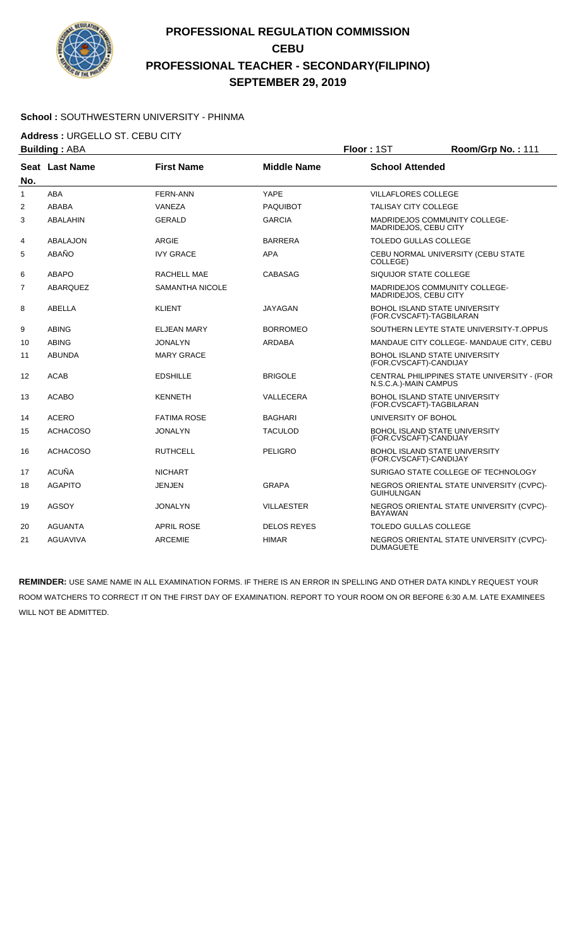

#### **School :** SOUTHWESTERN UNIVERSITY - PHINMA

**Address :** URGELLO ST. CEBU CITY

| <b>Building: ABA</b> |                 |                        | Floor: 1ST         | Room/Grp No.: 111                                                |                                             |
|----------------------|-----------------|------------------------|--------------------|------------------------------------------------------------------|---------------------------------------------|
| No.                  | Seat Last Name  | <b>First Name</b>      | <b>Middle Name</b> | <b>School Attended</b>                                           |                                             |
| 1                    | ABA             | <b>FERN-ANN</b>        | <b>YAPE</b>        | <b>VILLAFLORES COLLEGE</b>                                       |                                             |
| $\overline{2}$       | <b>ABABA</b>    | VANEZA                 | <b>PAQUIBOT</b>    | <b>TALISAY CITY COLLEGE</b>                                      |                                             |
| 3                    | <b>ABALAHIN</b> | <b>GERALD</b>          | <b>GARCIA</b>      | MADRIDEJOS, CEBU CITY                                            | MADRIDEJOS COMMUNITY COLLEGE-               |
| 4                    | ABALAJON        | <b>ARGIE</b>           | <b>BARRERA</b>     | <b>TOLEDO GULLAS COLLEGE</b>                                     |                                             |
| 5                    | ABAÑO           | <b>IVY GRACE</b>       | <b>APA</b>         | COLLEGE)                                                         | CEBU NORMAL UNIVERSITY (CEBU STATE          |
| 6                    | <b>ABAPO</b>    | RACHELL MAE            | CABASAG            | SIQUIJOR STATE COLLEGE                                           |                                             |
| $\overline{7}$       | ABARQUEZ        | <b>SAMANTHA NICOLE</b> |                    | MADRIDEJOS, CEBU CITY                                            | MADRIDEJOS COMMUNITY COLLEGE-               |
| 8                    | ABELLA          | <b>KLIENT</b>          | <b>JAYAGAN</b>     | <b>BOHOL ISLAND STATE UNIVERSITY</b><br>(FOR.CVSCAFT)-TAGBILARAN |                                             |
| 9                    | <b>ABING</b>    | <b>ELJEAN MARY</b>     | <b>BORROMEO</b>    |                                                                  | SOUTHERN LEYTE STATE UNIVERSITY-T.OPPUS     |
| 10                   | <b>ABING</b>    | <b>JONALYN</b>         | <b>ARDABA</b>      |                                                                  | MANDAUE CITY COLLEGE- MANDAUE CITY, CEBU    |
| 11                   | <b>ABUNDA</b>   | <b>MARY GRACE</b>      |                    | BOHOL ISLAND STATE UNIVERSITY<br>(FOR.CVSCAFT)-CANDIJAY          |                                             |
| 12                   | <b>ACAB</b>     | <b>EDSHILLE</b>        | <b>BRIGOLE</b>     | N.S.C.A.)-MAIN CAMPUS                                            | CENTRAL PHILIPPINES STATE UNIVERSITY - (FOR |
| 13                   | <b>ACABO</b>    | <b>KENNETH</b>         | VALLECERA          | BOHOL ISLAND STATE UNIVERSITY<br>(FOR.CVSCAFT)-TAGBILARAN        |                                             |
| 14                   | <b>ACERO</b>    | <b>FATIMA ROSE</b>     | <b>BAGHARI</b>     | UNIVERSITY OF BOHOL                                              |                                             |
| 15                   | <b>ACHACOSO</b> | <b>JONALYN</b>         | <b>TACULOD</b>     | <b>BOHOL ISLAND STATE UNIVERSITY</b><br>(FOR.CVSCAFT)-CANDIJAY   |                                             |
| 16                   | <b>ACHACOSO</b> | <b>RUTHCELL</b>        | <b>PELIGRO</b>     | <b>BOHOL ISLAND STATE UNIVERSITY</b><br>(FOR.CVSCAFT)-CANDIJAY   |                                             |
| 17                   | <b>ACUÑA</b>    | <b>NICHART</b>         |                    |                                                                  | SURIGAO STATE COLLEGE OF TECHNOLOGY         |
| 18                   | <b>AGAPITO</b>  | <b>JENJEN</b>          | <b>GRAPA</b>       | <b>GUIHULNGAN</b>                                                | NEGROS ORIENTAL STATE UNIVERSITY (CVPC)-    |
| 19                   | <b>AGSOY</b>    | <b>JONALYN</b>         | VILLAESTER         | <b>BAYAWAN</b>                                                   | NEGROS ORIENTAL STATE UNIVERSITY (CVPC)-    |
| 20                   | <b>AGUANTA</b>  | <b>APRIL ROSE</b>      | <b>DELOS REYES</b> | <b>TOLEDO GULLAS COLLEGE</b>                                     |                                             |
| 21                   | <b>AGUAVIVA</b> | <b>ARCEMIE</b>         | <b>HIMAR</b>       | <b>DUMAGUETE</b>                                                 | NEGROS ORIENTAL STATE UNIVERSITY (CVPC)-    |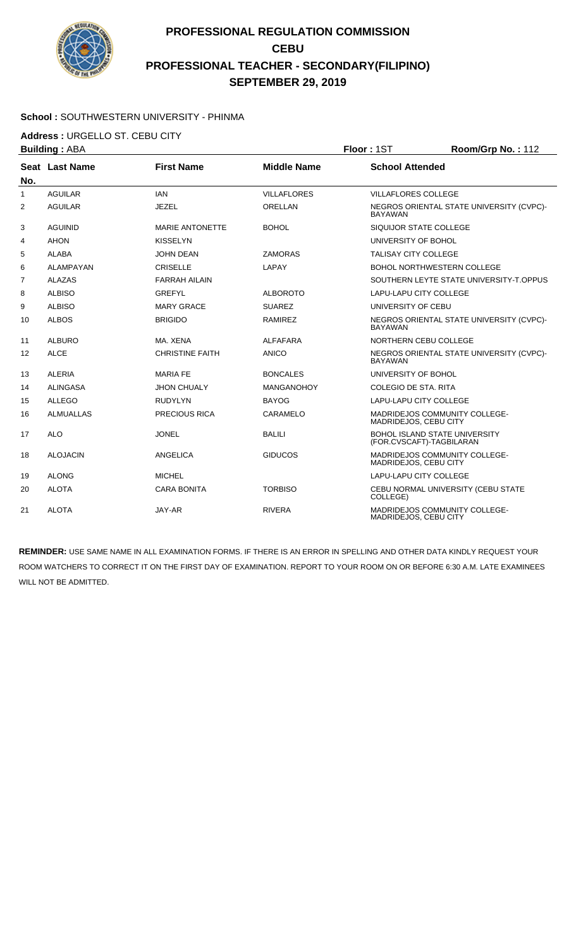

#### **School :** SOUTHWESTERN UNIVERSITY - PHINMA

**Address :** URGELLO ST. CEBU CITY

| <b>Building: ABA</b> |                  | Floor: 1ST             | Room/Grp No.: 112  |                             |                                          |
|----------------------|------------------|------------------------|--------------------|-----------------------------|------------------------------------------|
|                      | Seat Last Name   | <b>First Name</b>      | <b>Middle Name</b> | <b>School Attended</b>      |                                          |
| No.                  |                  |                        |                    |                             |                                          |
| $\mathbf{1}$         | <b>AGUILAR</b>   | <b>IAN</b>             | <b>VILLAFLORES</b> | <b>VILLAFLORES COLLEGE</b>  |                                          |
| 2                    | <b>AGUILAR</b>   | <b>JEZEL</b>           | <b>ORELLAN</b>     | <b>BAYAWAN</b>              | NEGROS ORIENTAL STATE UNIVERSITY (CVPC)- |
| 3                    | <b>AGUINID</b>   | <b>MARIE ANTONETTE</b> | <b>BOHOL</b>       | SIQUIJOR STATE COLLEGE      |                                          |
| 4                    | AHON             | <b>KISSELYN</b>        |                    | UNIVERSITY OF BOHOL         |                                          |
| 5                    | <b>ALABA</b>     | <b>JOHN DEAN</b>       | <b>ZAMORAS</b>     | <b>TALISAY CITY COLLEGE</b> |                                          |
| 6                    | <b>ALAMPAYAN</b> | <b>CRISELLE</b>        | LAPAY              |                             | <b>BOHOL NORTHWESTERN COLLEGE</b>        |
| $\overline{7}$       | <b>ALAZAS</b>    | <b>FARRAH AILAIN</b>   |                    |                             | SOUTHERN LEYTE STATE UNIVERSITY-T.OPPUS  |
| 8                    | <b>ALBISO</b>    | <b>GREFYL</b>          | <b>ALBOROTO</b>    | LAPU-LAPU CITY COLLEGE      |                                          |
| 9                    | <b>ALBISO</b>    | <b>MARY GRACE</b>      | <b>SUAREZ</b>      | UNIVERSITY OF CEBU          |                                          |
| 10                   | <b>ALBOS</b>     | <b>BRIGIDO</b>         | <b>RAMIREZ</b>     | <b>BAYAWAN</b>              | NEGROS ORIENTAL STATE UNIVERSITY (CVPC)- |
| 11                   | <b>ALBURO</b>    | MA, XENA               | <b>ALFAFARA</b>    | NORTHERN CEBU COLLEGE       |                                          |
| 12                   | <b>ALCE</b>      | <b>CHRISTINE FAITH</b> | <b>ANICO</b>       | <b>BAYAWAN</b>              | NEGROS ORIENTAL STATE UNIVERSITY (CVPC)- |
| 13                   | <b>ALERIA</b>    | <b>MARIA FE</b>        | <b>BONCALES</b>    | UNIVERSITY OF BOHOL         |                                          |
| 14                   | ALINGASA         | <b>JHON CHUALY</b>     | <b>MANGANOHOY</b>  | COLEGIO DE STA, RITA        |                                          |
| 15                   | <b>ALLEGO</b>    | <b>RUDYLYN</b>         | <b>BAYOG</b>       | LAPU-LAPU CITY COLLEGE      |                                          |
| 16                   | <b>ALMUALLAS</b> | <b>PRECIOUS RICA</b>   | CARAMELO           | MADRIDEJOS, CEBU CITY       | <b>MADRIDEJOS COMMUNITY COLLEGE-</b>     |
| 17                   | <b>ALO</b>       | <b>JONEL</b>           | <b>BALILI</b>      | (FOR.CVSCAFT)-TAGBILARAN    | BOHOL ISLAND STATE UNIVERSITY            |
| 18                   | <b>ALOJACIN</b>  | ANGELICA               | <b>GIDUCOS</b>     | MADRIDEJOS, CEBU CITY       | <b>MADRIDEJOS COMMUNITY COLLEGE-</b>     |
| 19                   | <b>ALONG</b>     | <b>MICHEL</b>          |                    | LAPU-LAPU CITY COLLEGE      |                                          |
| 20                   | <b>ALOTA</b>     | <b>CARA BONITA</b>     | <b>TORBISO</b>     | COLLEGE)                    | CEBU NORMAL UNIVERSITY (CEBU STATE       |
| 21                   | <b>ALOTA</b>     | JAY-AR                 | <b>RIVERA</b>      | MADRIDEJOS, CEBU CITY       | <b>MADRIDEJOS COMMUNITY COLLEGE-</b>     |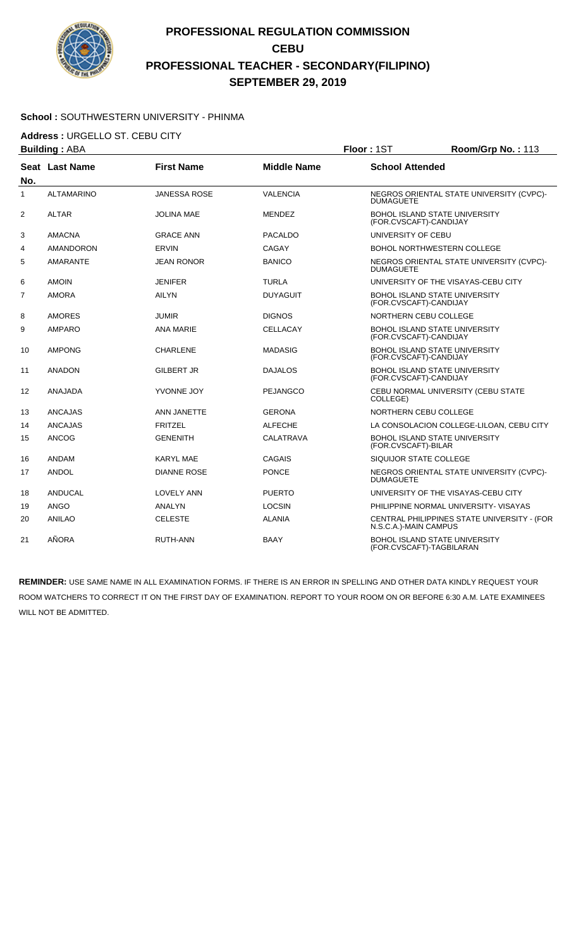

#### **School :** SOUTHWESTERN UNIVERSITY - PHINMA

**Address :** URGELLO ST. CEBU CITY

| <b>Building: ABA</b> |                   | Floor: 1ST          | Room/Grp No.: 113  |                        |                                                           |
|----------------------|-------------------|---------------------|--------------------|------------------------|-----------------------------------------------------------|
| No.                  | Seat Last Name    | <b>First Name</b>   | <b>Middle Name</b> | <b>School Attended</b> |                                                           |
| $\mathbf{1}$         | <b>ALTAMARINO</b> | <b>JANESSA ROSE</b> | <b>VALENCIA</b>    | <b>DUMAGUETE</b>       | NEGROS ORIENTAL STATE UNIVERSITY (CVPC)-                  |
| 2                    | <b>ALTAR</b>      | <b>JOLINA MAE</b>   | <b>MENDEZ</b>      | (FOR.CVSCAFT)-CANDIJAY | <b>BOHOL ISLAND STATE UNIVERSITY</b>                      |
| 3                    | <b>AMACNA</b>     | <b>GRACE ANN</b>    | <b>PACALDO</b>     | UNIVERSITY OF CEBU     |                                                           |
| 4                    | <b>AMANDORON</b>  | <b>ERVIN</b>        | CAGAY              |                        | BOHOL NORTHWESTERN COLLEGE                                |
| 5                    | <b>AMARANTE</b>   | <b>JEAN RONOR</b>   | <b>BANICO</b>      | <b>DUMAGUETE</b>       | NEGROS ORIENTAL STATE UNIVERSITY (CVPC)-                  |
| 6                    | <b>AMOIN</b>      | <b>JENIFER</b>      | <b>TURLA</b>       |                        | UNIVERSITY OF THE VISAYAS-CEBU CITY                       |
| $\overline{7}$       | <b>AMORA</b>      | <b>AILYN</b>        | <b>DUYAGUIT</b>    | (FOR.CVSCAFT)-CANDIJAY | <b>BOHOL ISLAND STATE UNIVERSITY</b>                      |
| 8                    | <b>AMORES</b>     | <b>JUMIR</b>        | <b>DIGNOS</b>      |                        | NORTHERN CEBU COLLEGE                                     |
| 9                    | <b>AMPARO</b>     | <b>ANA MARIE</b>    | <b>CELLACAY</b>    | (FOR.CVSCAFT)-CANDIJAY | BOHOL ISLAND STATE UNIVERSITY                             |
| 10                   | <b>AMPONG</b>     | <b>CHARLENE</b>     | <b>MADASIG</b>     | (FOR.CVSCAFT)-CANDIJAY | BOHOL ISLAND STATE UNIVERSITY                             |
| 11                   | <b>ANADON</b>     | <b>GILBERT JR</b>   | <b>DAJALOS</b>     | (FOR.CVSCAFT)-CANDIJAY | <b>BOHOL ISLAND STATE UNIVERSITY</b>                      |
| 12                   | ANAJADA           | YVONNE JOY          | <b>PEJANGCO</b>    | COLLEGE)               | CEBU NORMAL UNIVERSITY (CEBU STATE                        |
| 13                   | <b>ANCAJAS</b>    | ANN JANETTE         | <b>GERONA</b>      |                        | NORTHERN CEBU COLLEGE                                     |
| 14                   | <b>ANCAJAS</b>    | <b>FRITZEL</b>      | <b>ALFECHE</b>     |                        | LA CONSOLACION COLLEGE-LILOAN, CEBU CITY                  |
| 15                   | <b>ANCOG</b>      | <b>GENENITH</b>     | <b>CALATRAVA</b>   | (FOR.CVSCAFT)-BILAR    | <b>BOHOL ISLAND STATE UNIVERSITY</b>                      |
| 16                   | <b>ANDAM</b>      | <b>KARYL MAE</b>    | <b>CAGAIS</b>      | SIQUIJOR STATE COLLEGE |                                                           |
| 17                   | <b>ANDOL</b>      | <b>DIANNE ROSE</b>  | <b>PONCE</b>       | <b>DUMAGUETE</b>       | NEGROS ORIENTAL STATE UNIVERSITY (CVPC)-                  |
| 18                   | ANDUCAL           | <b>LOVELY ANN</b>   | <b>PUERTO</b>      |                        | UNIVERSITY OF THE VISAYAS-CEBU CITY                       |
| 19                   | <b>ANGO</b>       | ANALYN              | <b>LOCSIN</b>      |                        | PHILIPPINE NORMAL UNIVERSITY- VISAYAS                     |
| 20                   | <b>ANILAO</b>     | <b>CELESTE</b>      | <b>ALANIA</b>      | N.S.C.A.)-MAIN CAMPUS  | CENTRAL PHILIPPINES STATE UNIVERSITY - (FOR               |
| 21                   | AÑORA             | RUTH-ANN            | BAAY               |                        | BOHOL ISLAND STATE UNIVERSITY<br>(FOR.CVSCAFT)-TAGBILARAN |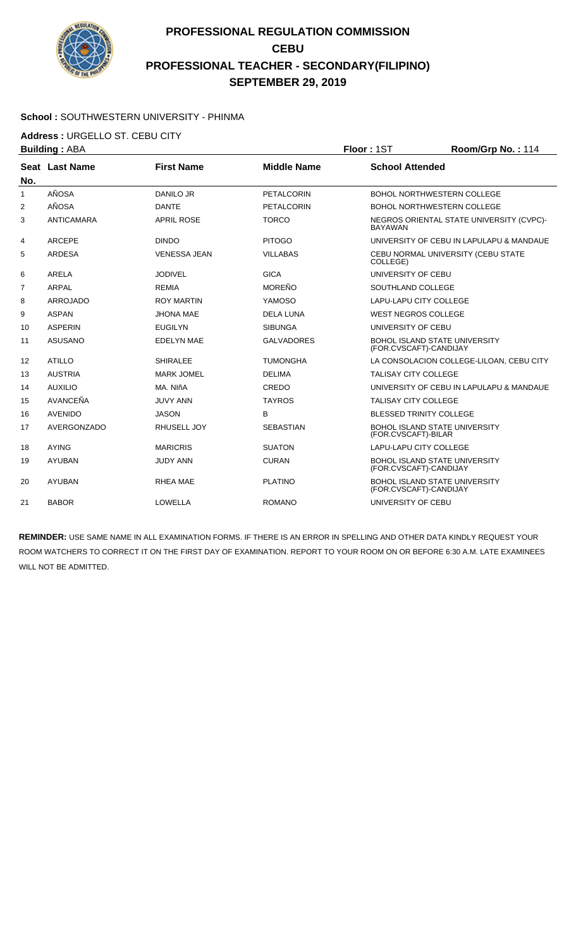

#### **School :** SOUTHWESTERN UNIVERSITY - PHINMA

**Address :** URGELLO ST. CEBU CITY

|              | <b>Building: ABA</b> |                     |                    | Floor: 1ST                  | Room/Grp No.: 114                        |
|--------------|----------------------|---------------------|--------------------|-----------------------------|------------------------------------------|
|              | Seat Last Name       | <b>First Name</b>   | <b>Middle Name</b> | <b>School Attended</b>      |                                          |
| No.          |                      |                     |                    |                             |                                          |
| $\mathbf{1}$ | AÑOSA                | <b>DANILO JR</b>    | PETALCORIN         |                             | BOHOL NORTHWESTERN COLLEGE               |
| 2            | AÑOSA                | <b>DANTE</b>        | <b>PETALCORIN</b>  |                             | <b>BOHOL NORTHWESTERN COLLEGE</b>        |
| 3            | <b>ANTICAMARA</b>    | <b>APRIL ROSE</b>   | <b>TORCO</b>       | <b>BAYAWAN</b>              | NEGROS ORIENTAL STATE UNIVERSITY (CVPC)- |
| 4            | <b>ARCEPE</b>        | <b>DINDO</b>        | <b>PITOGO</b>      |                             | UNIVERSITY OF CEBU IN LAPULAPU & MANDAUE |
| 5            | <b>ARDESA</b>        | <b>VENESSA JEAN</b> | <b>VILLABAS</b>    | COLLEGE)                    | CEBU NORMAL UNIVERSITY (CEBU STATE       |
| 6            | <b>ARELA</b>         | <b>JODIVEL</b>      | <b>GICA</b>        | UNIVERSITY OF CEBU          |                                          |
| 7            | <b>ARPAL</b>         | <b>REMIA</b>        | <b>MOREÑO</b>      | SOUTHLAND COLLEGE           |                                          |
| 8            | <b>ARROJADO</b>      | <b>ROY MARTIN</b>   | YAMOSO             | LAPU-LAPU CITY COLLEGE      |                                          |
| 9            | <b>ASPAN</b>         | <b>JHONA MAE</b>    | <b>DELA LUNA</b>   | <b>WEST NEGROS COLLEGE</b>  |                                          |
| 10           | <b>ASPERIN</b>       | <b>EUGILYN</b>      | <b>SIBUNGA</b>     | UNIVERSITY OF CEBU          |                                          |
| 11           | ASUSANO              | <b>EDELYN MAE</b>   | <b>GALVADORES</b>  | (FOR.CVSCAFT)-CANDIJAY      | <b>BOHOL ISLAND STATE UNIVERSITY</b>     |
| 12           | <b>ATILLO</b>        | <b>SHIRALEE</b>     | <b>TUMONGHA</b>    |                             | LA CONSOLACION COLLEGE-LILOAN, CEBU CITY |
| 13           | <b>AUSTRIA</b>       | <b>MARK JOMEL</b>   | <b>DELIMA</b>      | <b>TALISAY CITY COLLEGE</b> |                                          |
| 14           | <b>AUXILIO</b>       | MA, NIñA            | CREDO              |                             | UNIVERSITY OF CEBU IN LAPULAPU & MANDAUE |
| 15           | AVANCEÑA             | <b>JUVY ANN</b>     | <b>TAYROS</b>      | <b>TALISAY CITY COLLEGE</b> |                                          |
| 16           | <b>AVENIDO</b>       | <b>JASON</b>        | B                  |                             | <b>BLESSED TRINITY COLLEGE</b>           |
| 17           | AVERGONZADO          | RHUSELL JOY         | <b>SEBASTIAN</b>   | (FOR.CVSCAFT)-BILAR         | <b>BOHOL ISLAND STATE UNIVERSITY</b>     |
| 18           | <b>AYING</b>         | <b>MARICRIS</b>     | <b>SUATON</b>      | LAPU-LAPU CITY COLLEGE      |                                          |
| 19           | <b>AYUBAN</b>        | <b>JUDY ANN</b>     | <b>CURAN</b>       | (FOR.CVSCAFT)-CANDIJAY      | <b>BOHOL ISLAND STATE UNIVERSITY</b>     |
| 20           | <b>AYUBAN</b>        | <b>RHEA MAE</b>     | <b>PLATINO</b>     | (FOR.CVSCAFT)-CANDIJAY      | <b>BOHOL ISLAND STATE UNIVERSITY</b>     |
| 21           | <b>BABOR</b>         | <b>LOWELLA</b>      | <b>ROMANO</b>      | UNIVERSITY OF CEBU          |                                          |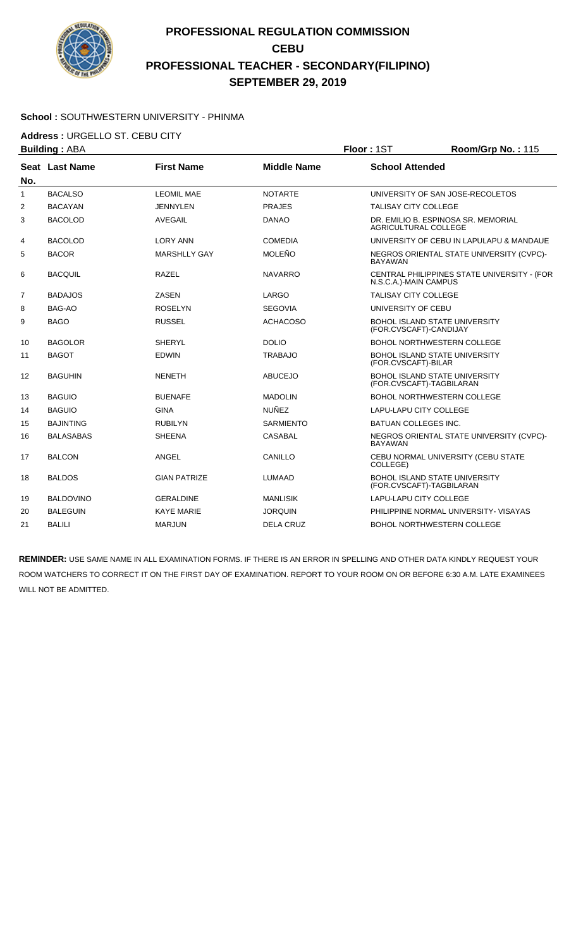

#### **School :** SOUTHWESTERN UNIVERSITY - PHINMA

**Address :** URGELLO ST. CEBU CITY

|                | <b>Building: ABA</b> |                     | Floor: 1ST         | Room/Grp No.: 115             |                                                                  |
|----------------|----------------------|---------------------|--------------------|-------------------------------|------------------------------------------------------------------|
| No.            | Seat Last Name       | <b>First Name</b>   | <b>Middle Name</b> | <b>School Attended</b>        |                                                                  |
| $\mathbf{1}$   | <b>BACALSO</b>       | <b>LEOMIL MAE</b>   | <b>NOTARTE</b>     |                               | UNIVERSITY OF SAN JOSE-RECOLETOS                                 |
| $\overline{2}$ | <b>BACAYAN</b>       | <b>JENNYLEN</b>     | <b>PRAJES</b>      | <b>TALISAY CITY COLLEGE</b>   |                                                                  |
| 3              | <b>BACOLOD</b>       | <b>AVEGAIL</b>      | <b>DANAO</b>       | AGRICULTURAL COLLEGE          | DR. EMILIO B. ESPINOSA SR. MEMORIAL                              |
| 4              | <b>BACOLOD</b>       | <b>LORY ANN</b>     | <b>COMEDIA</b>     |                               | UNIVERSITY OF CEBU IN LAPULAPU & MANDAUE                         |
| 5              | <b>BACOR</b>         | <b>MARSHLLY GAY</b> | <b>MOLEÑO</b>      | <b>BAYAWAN</b>                | NEGROS ORIENTAL STATE UNIVERSITY (CVPC)-                         |
| 6              | <b>BACQUIL</b>       | <b>RAZEL</b>        | <b>NAVARRO</b>     | N.S.C.A.)-MAIN CAMPUS         | CENTRAL PHILIPPINES STATE UNIVERSITY - (FOR                      |
| $\overline{7}$ | <b>BADAJOS</b>       | <b>ZASEN</b>        | LARGO              | TALISAY CITY COLLEGE          |                                                                  |
| 8              | <b>BAG-AO</b>        | <b>ROSELYN</b>      | <b>SEGOVIA</b>     | UNIVERSITY OF CEBU            |                                                                  |
| 9              | <b>BAGO</b>          | <b>RUSSEL</b>       | <b>ACHACOSO</b>    | (FOR.CVSCAFT)-CANDIJAY        | <b>BOHOL ISLAND STATE UNIVERSITY</b>                             |
| 10             | <b>BAGOLOR</b>       | <b>SHERYL</b>       | <b>DOLIO</b>       |                               | BOHOL NORTHWESTERN COLLEGE                                       |
| 11             | <b>BAGOT</b>         | <b>EDWIN</b>        | <b>TRABAJO</b>     | (FOR.CVSCAFT)-BILAR           | BOHOL ISLAND STATE UNIVERSITY                                    |
| 12             | <b>BAGUHIN</b>       | <b>NENETH</b>       | <b>ABUCEJO</b>     |                               | BOHOL ISLAND STATE UNIVERSITY<br>(FOR.CVSCAFT)-TAGBILARAN        |
| 13             | <b>BAGUIO</b>        | <b>BUENAFE</b>      | <b>MADOLIN</b>     |                               | <b>BOHOL NORTHWESTERN COLLEGE</b>                                |
| 14             | <b>BAGUIO</b>        | <b>GINA</b>         | <b>NUÑEZ</b>       | <b>LAPU-LAPU CITY COLLEGE</b> |                                                                  |
| 15             | <b>BAJINTING</b>     | <b>RUBILYN</b>      | <b>SARMIENTO</b>   | <b>BATUAN COLLEGES INC.</b>   |                                                                  |
| 16             | <b>BALASABAS</b>     | <b>SHEENA</b>       | <b>CASABAL</b>     | <b>BAYAWAN</b>                | NEGROS ORIENTAL STATE UNIVERSITY (CVPC)-                         |
| 17             | <b>BALCON</b>        | <b>ANGEL</b>        | CANILLO            | COLLEGE)                      | CEBU NORMAL UNIVERSITY (CEBU STATE                               |
| 18             | <b>BALDOS</b>        | <b>GIAN PATRIZE</b> | <b>LUMAAD</b>      |                               | <b>BOHOL ISLAND STATE UNIVERSITY</b><br>(FOR.CVSCAFT)-TAGBILARAN |
| 19             | <b>BALDOVINO</b>     | <b>GERALDINE</b>    | <b>MANLISIK</b>    | <b>LAPU-LAPU CITY COLLEGE</b> |                                                                  |
| 20             | <b>BALEGUIN</b>      | <b>KAYE MARIE</b>   | <b>JORQUIN</b>     |                               | PHILIPPINE NORMAL UNIVERSITY- VISAYAS                            |
| 21             | <b>BALILI</b>        | <b>MARJUN</b>       | <b>DELA CRUZ</b>   |                               | <b>BOHOL NORTHWESTERN COLLEGE</b>                                |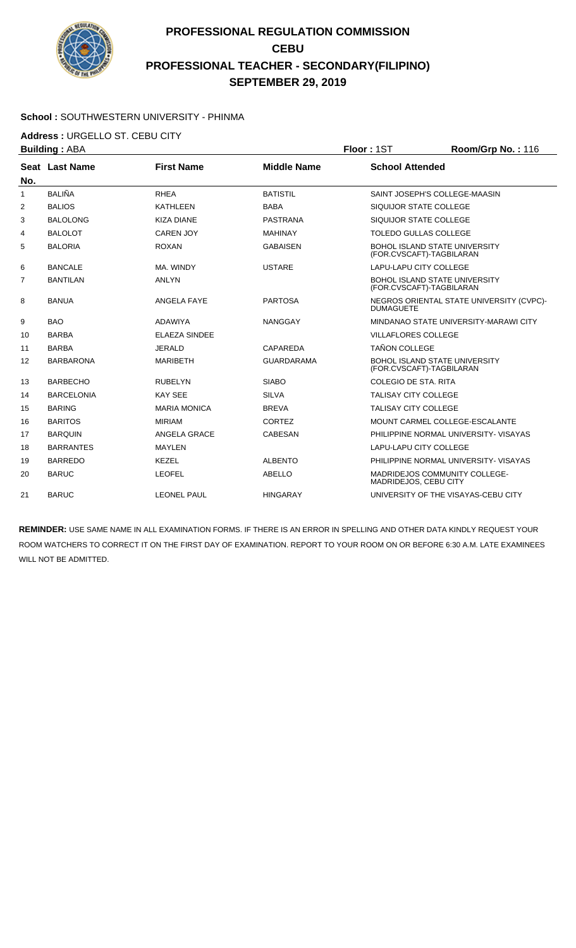

#### **School :** SOUTHWESTERN UNIVERSITY - PHINMA

**Address :** URGELLO ST. CEBU CITY

|                   | <b>Building: ABA</b>  |                      |                    | Floor: 1ST                    | Room/Grp No.: 116                        |
|-------------------|-----------------------|----------------------|--------------------|-------------------------------|------------------------------------------|
|                   | <b>Seat Last Name</b> | <b>First Name</b>    | <b>Middle Name</b> | <b>School Attended</b>        |                                          |
| No.               |                       |                      |                    |                               |                                          |
| $\mathbf{1}$      | <b>BALIÑA</b>         | <b>RHEA</b>          | <b>BATISTIL</b>    |                               | SAINT JOSEPH'S COLLEGE-MAASIN            |
| 2                 | <b>BALIOS</b>         | <b>KATHLEEN</b>      | <b>BABA</b>        | SIQUIJOR STATE COLLEGE        |                                          |
| 3                 | <b>BALOLONG</b>       | <b>KIZA DIANE</b>    | <b>PASTRANA</b>    | SIQUIJOR STATE COLLEGE        |                                          |
| 4                 | <b>BALOLOT</b>        | <b>CAREN JOY</b>     | <b>MAHINAY</b>     | <b>TOLEDO GULLAS COLLEGE</b>  |                                          |
| 5                 | <b>BALORIA</b>        | <b>ROXAN</b>         | <b>GABAISEN</b>    | (FOR.CVSCAFT)-TAGBILARAN      | <b>BOHOL ISLAND STATE UNIVERSITY</b>     |
| 6                 | <b>BANCALE</b>        | MA. WINDY            | <b>USTARE</b>      | LAPU-LAPU CITY COLLEGE        |                                          |
| $\overline{7}$    | <b>BANTILAN</b>       | <b>ANLYN</b>         |                    | (FOR.CVSCAFT)-TAGBILARAN      | <b>BOHOL ISLAND STATE UNIVERSITY</b>     |
| 8                 | <b>BANUA</b>          | <b>ANGELA FAYE</b>   | <b>PARTOSA</b>     | <b>DUMAGUETE</b>              | NEGROS ORIENTAL STATE UNIVERSITY (CVPC)- |
| 9                 | <b>BAO</b>            | <b>ADAWIYA</b>       | <b>NANGGAY</b>     |                               | MINDANAO STATE UNIVERSITY-MARAWI CITY    |
| 10                | <b>BARBA</b>          | <b>ELAEZA SINDEE</b> |                    | <b>VILLAFLORES COLLEGE</b>    |                                          |
| 11                | <b>BARBA</b>          | <b>JERALD</b>        | CAPAREDA           | <b>TAÑON COLLEGE</b>          |                                          |
| $12 \overline{ }$ | <b>BARBARONA</b>      | <b>MARIBETH</b>      | <b>GUARDARAMA</b>  | (FOR.CVSCAFT)-TAGBILARAN      | <b>BOHOL ISLAND STATE UNIVERSITY</b>     |
| 13                | <b>BARBECHO</b>       | <b>RUBELYN</b>       | <b>SIABO</b>       | COLEGIO DE STA, RITA          |                                          |
| 14                | <b>BARCELONIA</b>     | <b>KAY SEE</b>       | <b>SILVA</b>       | <b>TALISAY CITY COLLEGE</b>   |                                          |
| 15                | <b>BARING</b>         | <b>MARIA MONICA</b>  | <b>BREVA</b>       | <b>TALISAY CITY COLLEGE</b>   |                                          |
| 16                | <b>BARITOS</b>        | <b>MIRIAM</b>        | <b>CORTEZ</b>      |                               | MOUNT CARMEL COLLEGE-ESCALANTE           |
| 17                | <b>BARQUIN</b>        | ANGELA GRACE         | <b>CABESAN</b>     |                               | PHILIPPINE NORMAL UNIVERSITY- VISAYAS    |
| 18                | <b>BARRANTES</b>      | <b>MAYLEN</b>        |                    | <b>LAPU-LAPU CITY COLLEGE</b> |                                          |
| 19                | <b>BARREDO</b>        | <b>KEZEL</b>         | <b>ALBENTO</b>     |                               | PHILIPPINE NORMAL UNIVERSITY- VISAYAS    |
| 20                | <b>BARUC</b>          | <b>LEOFEL</b>        | <b>ABELLO</b>      | MADRIDEJOS, CEBU CITY         | <b>MADRIDEJOS COMMUNITY COLLEGE-</b>     |
| 21                | <b>BARUC</b>          | <b>LEONEL PAUL</b>   | <b>HINGARAY</b>    |                               | UNIVERSITY OF THE VISAYAS-CEBU CITY      |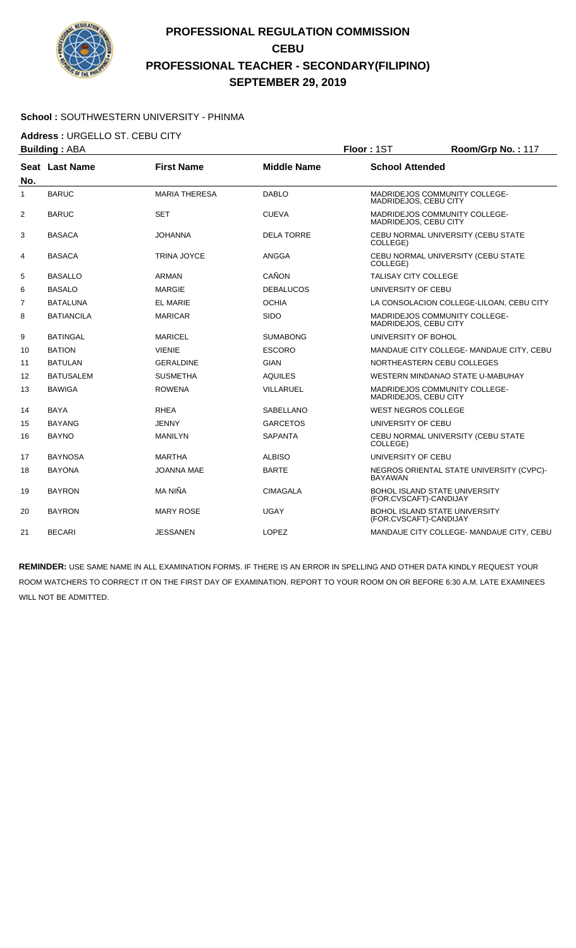

#### **School :** SOUTHWESTERN UNIVERSITY - PHINMA

**Address :** URGELLO ST. CEBU CITY

| <b>Building: ABA</b> |                   | Floor: 1ST           | Room/Grp No.: 117  |                             |                                          |
|----------------------|-------------------|----------------------|--------------------|-----------------------------|------------------------------------------|
| No.                  | Seat Last Name    | <b>First Name</b>    | <b>Middle Name</b> | <b>School Attended</b>      |                                          |
| 1                    | <b>BARUC</b>      | <b>MARIA THERESA</b> | <b>DABLO</b>       | MADRIDEJOS, CEBU CITY       | <b>MADRIDEJOS COMMUNITY COLLEGE-</b>     |
| 2                    | <b>BARUC</b>      | <b>SET</b>           | <b>CUEVA</b>       | MADRIDEJOS, CEBU CITY       | MADRIDEJOS COMMUNITY COLLEGE-            |
| 3                    | <b>BASACA</b>     | <b>JOHANNA</b>       | <b>DELA TORRE</b>  | COLLEGE)                    | CEBU NORMAL UNIVERSITY (CEBU STATE       |
| 4                    | <b>BASACA</b>     | <b>TRINA JOYCE</b>   | <b>ANGGA</b>       | COLLEGE)                    | CEBU NORMAL UNIVERSITY (CEBU STATE       |
| 5                    | <b>BASALLO</b>    | ARMAN                | CAÑON              | <b>TALISAY CITY COLLEGE</b> |                                          |
| 6                    | <b>BASALO</b>     | <b>MARGIE</b>        | <b>DEBALUCOS</b>   | UNIVERSITY OF CEBU          |                                          |
| 7                    | <b>BATALUNA</b>   | <b>EL MARIE</b>      | <b>OCHIA</b>       |                             | LA CONSOLACION COLLEGE-LILOAN, CEBU CITY |
| 8                    | <b>BATIANCILA</b> | <b>MARICAR</b>       | <b>SIDO</b>        | MADRIDEJOS, CEBU CITY       | MADRIDEJOS COMMUNITY COLLEGE-            |
| 9                    | <b>BATINGAL</b>   | <b>MARICEL</b>       | <b>SUMABONG</b>    | UNIVERSITY OF BOHOL         |                                          |
| 10                   | <b>BATION</b>     | <b>VIENIE</b>        | <b>ESCORO</b>      |                             | MANDAUE CITY COLLEGE- MANDAUE CITY, CEBU |
| 11                   | <b>BATULAN</b>    | <b>GERALDINE</b>     | <b>GIAN</b>        |                             | NORTHEASTERN CEBU COLLEGES               |
| 12                   | <b>BATUSALEM</b>  | <b>SUSMETHA</b>      | <b>AQUILES</b>     |                             | WESTERN MINDANAO STATE U-MABUHAY         |
| 13                   | <b>BAWIGA</b>     | <b>ROWENA</b>        | <b>VILLARUEL</b>   | MADRIDEJOS, CEBU CITY       | MADRIDEJOS COMMUNITY COLLEGE-            |
| 14                   | <b>BAYA</b>       | <b>RHEA</b>          | SABELLANO          | <b>WEST NEGROS COLLEGE</b>  |                                          |
| 15                   | <b>BAYANG</b>     | <b>JENNY</b>         | <b>GARCETOS</b>    | UNIVERSITY OF CEBU          |                                          |
| 16                   | <b>BAYNO</b>      | <b>MANILYN</b>       | <b>SAPANTA</b>     | COLLEGE)                    | CEBU NORMAL UNIVERSITY (CEBU STATE       |
| 17                   | <b>BAYNOSA</b>    | <b>MARTHA</b>        | <b>ALBISO</b>      | UNIVERSITY OF CEBU          |                                          |
| 18                   | <b>BAYONA</b>     | <b>JOANNA MAE</b>    | <b>BARTE</b>       | <b>BAYAWAN</b>              | NEGROS ORIENTAL STATE UNIVERSITY (CVPC)- |
| 19                   | <b>BAYRON</b>     | MA NIÑA              | <b>CIMAGALA</b>    | (FOR.CVSCAFT)-CANDIJAY      | <b>BOHOL ISLAND STATE UNIVERSITY</b>     |
| 20                   | <b>BAYRON</b>     | <b>MARY ROSE</b>     | <b>UGAY</b>        | (FOR.CVSCAFT)-CANDIJAY      | <b>BOHOL ISLAND STATE UNIVERSITY</b>     |
| 21                   | <b>BECARI</b>     | <b>JESSANEN</b>      | LOPEZ              |                             | MANDAUE CITY COLLEGE- MANDAUE CITY, CEBU |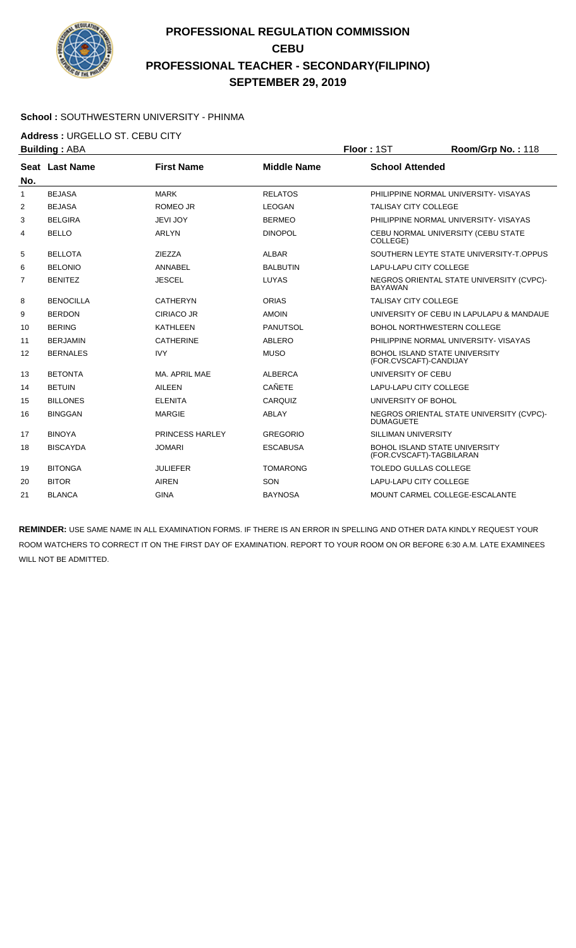

#### **School :** SOUTHWESTERN UNIVERSITY - PHINMA

**Address :** URGELLO ST. CEBU CITY

| <b>Building: ABA</b> |                   |                    | Floor: 1ST                    | Room/Grp No.: 118                        |
|----------------------|-------------------|--------------------|-------------------------------|------------------------------------------|
| Seat Last Name       | <b>First Name</b> | <b>Middle Name</b> | <b>School Attended</b>        |                                          |
|                      |                   |                    |                               |                                          |
| <b>BEJASA</b>        | <b>MARK</b>       | <b>RELATOS</b>     |                               | PHILIPPINE NORMAL UNIVERSITY- VISAYAS    |
| <b>BEJASA</b>        | ROMEO JR          | <b>LEOGAN</b>      | <b>TALISAY CITY COLLEGE</b>   |                                          |
| <b>BELGIRA</b>       | <b>JEVI JOY</b>   | <b>BERMEO</b>      |                               | PHILIPPINE NORMAL UNIVERSITY- VISAYAS    |
| <b>BELLO</b>         | <b>ARLYN</b>      | <b>DINOPOL</b>     | COLLEGE)                      | CEBU NORMAL UNIVERSITY (CEBU STATE       |
| <b>BELLOTA</b>       | <b>ZIEZZA</b>     | <b>ALBAR</b>       |                               | SOUTHERN LEYTE STATE UNIVERSITY-T.OPPUS  |
| <b>BELONIO</b>       | ANNABEL           | <b>BALBUTIN</b>    | <b>LAPU-LAPU CITY COLLEGE</b> |                                          |
| <b>BENITEZ</b>       | <b>JESCEL</b>     | LUYAS              | <b>BAYAWAN</b>                | NEGROS ORIENTAL STATE UNIVERSITY (CVPC)- |
| <b>BENOCILLA</b>     | <b>CATHERYN</b>   | <b>ORIAS</b>       | <b>TALISAY CITY COLLEGE</b>   |                                          |
| <b>BERDON</b>        | <b>CIRIACO JR</b> | <b>AMOIN</b>       |                               | UNIVERSITY OF CEBU IN LAPULAPU & MANDAUE |
| <b>BERING</b>        | <b>KATHLEEN</b>   | <b>PANUTSOL</b>    |                               | <b>BOHOL NORTHWESTERN COLLEGE</b>        |
| <b>BERJAMIN</b>      | <b>CATHERINE</b>  | ABLERO             |                               | PHILIPPINE NORMAL UNIVERSITY- VISAYAS    |
| <b>BERNALES</b>      | <b>IVY</b>        | <b>MUSO</b>        | (FOR.CVSCAFT)-CANDIJAY        | <b>BOHOL ISLAND STATE UNIVERSITY</b>     |
| <b>BETONTA</b>       | MA. APRIL MAE     | <b>ALBERCA</b>     | UNIVERSITY OF CEBU            |                                          |
| <b>BETUIN</b>        | <b>AILEEN</b>     | <b>CAÑETE</b>      | LAPU-LAPU CITY COLLEGE        |                                          |
| <b>BILLONES</b>      | <b>ELENITA</b>    | CARQUIZ            | UNIVERSITY OF BOHOL           |                                          |
| <b>BINGGAN</b>       | <b>MARGIE</b>     | ABLAY              | <b>DUMAGUETE</b>              | NEGROS ORIENTAL STATE UNIVERSITY (CVPC)- |
| <b>BINOYA</b>        | PRINCESS HARLEY   | <b>GREGORIO</b>    | <b>SILLIMAN UNIVERSITY</b>    |                                          |
| <b>BISCAYDA</b>      | <b>JOMARI</b>     | <b>ESCABUSA</b>    | (FOR.CVSCAFT)-TAGBILARAN      | BOHOL ISLAND STATE UNIVERSITY            |
| <b>BITONGA</b>       | <b>JULIEFER</b>   | <b>TOMARONG</b>    | <b>TOLEDO GULLAS COLLEGE</b>  |                                          |
| <b>BITOR</b>         |                   |                    | LAPU-LAPU CITY COLLEGE        |                                          |
| <b>BLANCA</b>        |                   |                    |                               |                                          |
|                      |                   | <b>AIREN</b>       | SON                           |                                          |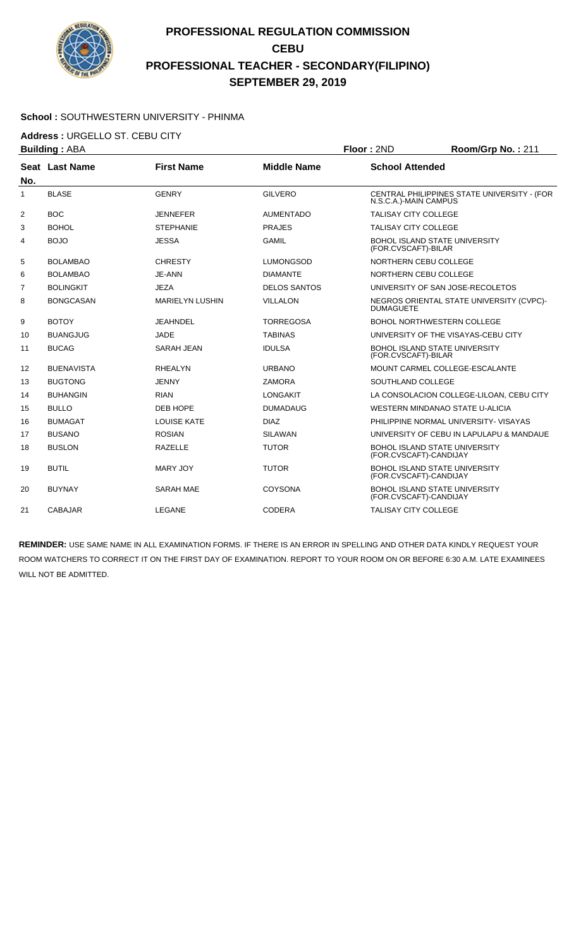

#### **School :** SOUTHWESTERN UNIVERSITY - PHINMA

**Address :** URGELLO ST. CEBU CITY

|              | <b>Building: ABA</b> |                        |                     | Floor: 2ND                  | Room/Grp No.: 211                           |
|--------------|----------------------|------------------------|---------------------|-----------------------------|---------------------------------------------|
|              | Seat Last Name       | <b>First Name</b>      | <b>Middle Name</b>  | <b>School Attended</b>      |                                             |
| No.          |                      |                        |                     |                             |                                             |
| $\mathbf{1}$ | <b>BLASE</b>         | <b>GENRY</b>           | <b>GILVERO</b>      | N.S.C.A.)-MAIN CAMPUS       | CENTRAL PHILIPPINES STATE UNIVERSITY - (FOR |
| 2            | <b>BOC</b>           | <b>JENNEFER</b>        | <b>AUMENTADO</b>    | <b>TALISAY CITY COLLEGE</b> |                                             |
| 3            | <b>BOHOL</b>         | <b>STEPHANIE</b>       | <b>PRAJES</b>       | <b>TALISAY CITY COLLEGE</b> |                                             |
| 4            | <b>BOJO</b>          | <b>JESSA</b>           | <b>GAMIL</b>        | (FOR.CVSCAFT)-BILAR         | <b>BOHOL ISLAND STATE UNIVERSITY</b>        |
| 5            | <b>BOLAMBAO</b>      | <b>CHRESTY</b>         | <b>LUMONGSOD</b>    | NORTHERN CEBU COLLEGE       |                                             |
| 6            | <b>BOLAMBAO</b>      | JE-ANN                 | <b>DIAMANTE</b>     | NORTHERN CEBU COLLEGE       |                                             |
| 7            | <b>BOLINGKIT</b>     | <b>JEZA</b>            | <b>DELOS SANTOS</b> |                             | UNIVERSITY OF SAN JOSE-RECOLETOS            |
| 8            | <b>BONGCASAN</b>     | <b>MARIELYN LUSHIN</b> | <b>VILLALON</b>     | <b>DUMAGUETE</b>            | NEGROS ORIENTAL STATE UNIVERSITY (CVPC)-    |
| 9            | <b>BOTOY</b>         | <b>JEAHNDEL</b>        | <b>TORREGOSA</b>    |                             | <b>BOHOL NORTHWESTERN COLLEGE</b>           |
| 10           | <b>BUANGJUG</b>      | JADE                   | <b>TABINAS</b>      |                             | UNIVERSITY OF THE VISAYAS-CEBU CITY         |
| 11           | <b>BUCAG</b>         | SARAH JEAN             | <b>IDULSA</b>       | (FOR.CVSCAFT)-BILAR         | <b>BOHOL ISLAND STATE UNIVERSITY</b>        |
| 12           | <b>BUENAVISTA</b>    | <b>RHEALYN</b>         | <b>URBANO</b>       |                             | MOUNT CARMEL COLLEGE-ESCALANTE              |
| 13           | <b>BUGTONG</b>       | <b>JENNY</b>           | <b>ZAMORA</b>       | SOUTHLAND COLLEGE           |                                             |
| 14           | <b>BUHANGIN</b>      | <b>RIAN</b>            | <b>LONGAKIT</b>     |                             | LA CONSOLACION COLLEGE-LILOAN, CEBU CITY    |
| 15           | <b>BULLO</b>         | DEB HOPE               | <b>DUMADAUG</b>     |                             | WESTERN MINDANAO STATE U-ALICIA             |
| 16           | <b>BUMAGAT</b>       | <b>LOUISE KATE</b>     | <b>DIAZ</b>         |                             | PHILIPPINE NORMAL UNIVERSITY- VISAYAS       |
| 17           | <b>BUSANO</b>        | <b>ROSIAN</b>          | <b>SILAWAN</b>      |                             | UNIVERSITY OF CEBU IN LAPULAPU & MANDAUE    |
| 18           | <b>BUSLON</b>        | <b>RAZELLE</b>         | <b>TUTOR</b>        | (FOR.CVSCAFT)-CANDIJAY      | <b>BOHOL ISLAND STATE UNIVERSITY</b>        |
| 19           | <b>BUTIL</b>         | <b>MARY JOY</b>        | <b>TUTOR</b>        | (FOR.CVSCAFT)-CANDIJAY      | <b>BOHOL ISLAND STATE UNIVERSITY</b>        |
| 20           | <b>BUYNAY</b>        | <b>SARAH MAE</b>       | <b>COYSONA</b>      | (FOR.CVSCAFT)-CANDIJAY      | <b>BOHOL ISLAND STATE UNIVERSITY</b>        |
| 21           | <b>CABAJAR</b>       | <b>LEGANE</b>          | <b>CODERA</b>       | <b>TALISAY CITY COLLEGE</b> |                                             |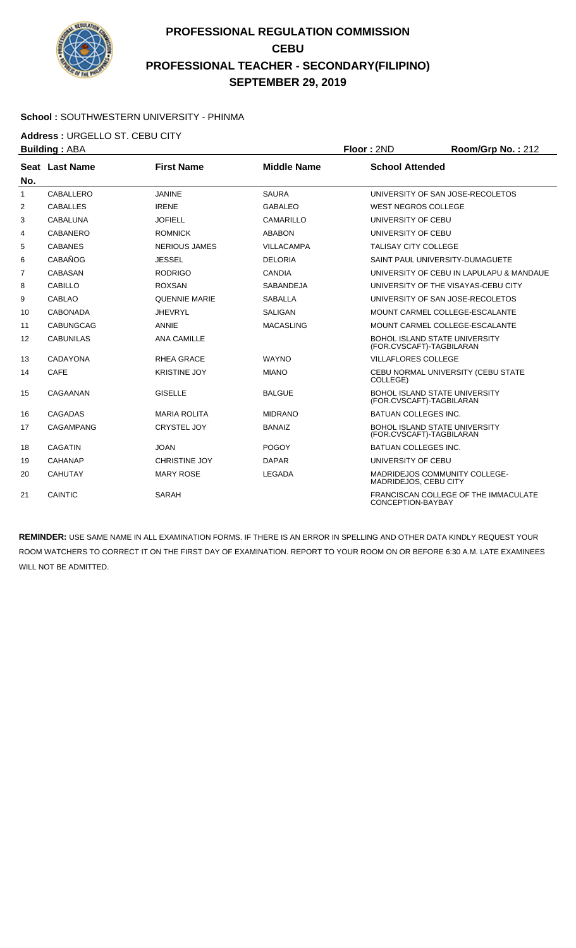

#### **School :** SOUTHWESTERN UNIVERSITY - PHINMA

**Address :** URGELLO ST. CEBU CITY

| <b>Building: ABA</b> |                  |                      |                    | Floor: 2ND                                                       | Room/Grp No.: 212                        |
|----------------------|------------------|----------------------|--------------------|------------------------------------------------------------------|------------------------------------------|
|                      | Seat Last Name   | <b>First Name</b>    | <b>Middle Name</b> | <b>School Attended</b>                                           |                                          |
| No.                  |                  |                      |                    |                                                                  |                                          |
| $\mathbf{1}$         | <b>CABALLERO</b> | <b>JANINE</b>        | <b>SAURA</b>       |                                                                  | UNIVERSITY OF SAN JOSE-RECOLETOS         |
| $\overline{2}$       | <b>CABALLES</b>  | <b>IRENE</b>         | <b>GABALEO</b>     | <b>WEST NEGROS COLLEGE</b>                                       |                                          |
| 3                    | CABALUNA         | <b>JOFIELL</b>       | CAMARILLO          | UNIVERSITY OF CEBU                                               |                                          |
| 4                    | CABANERO         | <b>ROMNICK</b>       | <b>ABABON</b>      | UNIVERSITY OF CEBU                                               |                                          |
| 5                    | <b>CABANES</b>   | <b>NERIOUS JAMES</b> | <b>VILLACAMPA</b>  | <b>TALISAY CITY COLLEGE</b>                                      |                                          |
| 6                    | CABAÑOG          | <b>JESSEL</b>        | <b>DELORIA</b>     | SAINT PAUL UNIVERSITY-DUMAGUETE                                  |                                          |
| 7                    | CABASAN          | <b>RODRIGO</b>       | <b>CANDIA</b>      |                                                                  | UNIVERSITY OF CEBU IN LAPULAPU & MANDAUE |
| 8                    | <b>CABILLO</b>   | <b>ROXSAN</b>        | SABANDEJA          |                                                                  | UNIVERSITY OF THE VISAYAS-CEBU CITY      |
| 9                    | <b>CABLAO</b>    | <b>QUENNIE MARIE</b> | <b>SABALLA</b>     |                                                                  | UNIVERSITY OF SAN JOSE-RECOLETOS         |
| 10                   | <b>CABONADA</b>  | <b>JHEVRYL</b>       | <b>SALIGAN</b>     | MOUNT CARMEL COLLEGE-ESCALANTE                                   |                                          |
| 11                   | <b>CABUNGCAG</b> | <b>ANNIE</b>         | <b>MACASLING</b>   |                                                                  | MOUNT CARMEL COLLEGE-ESCALANTE           |
| 12                   | <b>CABUNILAS</b> | <b>ANA CAMILLE</b>   |                    | <b>BOHOL ISLAND STATE UNIVERSITY</b><br>(FOR.CVSCAFT)-TAGBILARAN |                                          |
| 13                   | CADAYONA         | <b>RHEA GRACE</b>    | <b>WAYNO</b>       | <b>VILLAFLORES COLLEGE</b>                                       |                                          |
| 14                   | <b>CAFE</b>      | <b>KRISTINE JOY</b>  | <b>MIANO</b>       | COLLEGE)                                                         | CEBU NORMAL UNIVERSITY (CEBU STATE       |
| 15                   | CAGAANAN         | <b>GISELLE</b>       | <b>BALGUE</b>      | <b>BOHOL ISLAND STATE UNIVERSITY</b><br>(FOR.CVSCAFT)-TAGBILARAN |                                          |
| 16                   | <b>CAGADAS</b>   | <b>MARIA ROLITA</b>  | <b>MIDRANO</b>     | <b>BATUAN COLLEGES INC.</b>                                      |                                          |
| 17                   | <b>CAGAMPANG</b> | CRYSTEL JOY          | <b>BANAIZ</b>      | <b>BOHOL ISLAND STATE UNIVERSITY</b><br>(FOR.CVSCAFT)-TAGBILARAN |                                          |
| 18                   | <b>CAGATIN</b>   | <b>JOAN</b>          | <b>POGOY</b>       | <b>BATUAN COLLEGES INC.</b>                                      |                                          |
| 19                   | CAHANAP          | <b>CHRISTINE JOY</b> | <b>DAPAR</b>       | UNIVERSITY OF CEBU                                               |                                          |
| 20                   | <b>CAHUTAY</b>   | <b>MARY ROSE</b>     | <b>LEGADA</b>      | <b>MADRIDEJOS COMMUNITY COLLEGE-</b><br>MADRIDEJOS, CEBU CITY    |                                          |
| 21                   | CAINTIC          | SARAH                |                    | CONCEPTION-BAYBAY                                                | FRANCISCAN COLLEGE OF THE IMMACULATE     |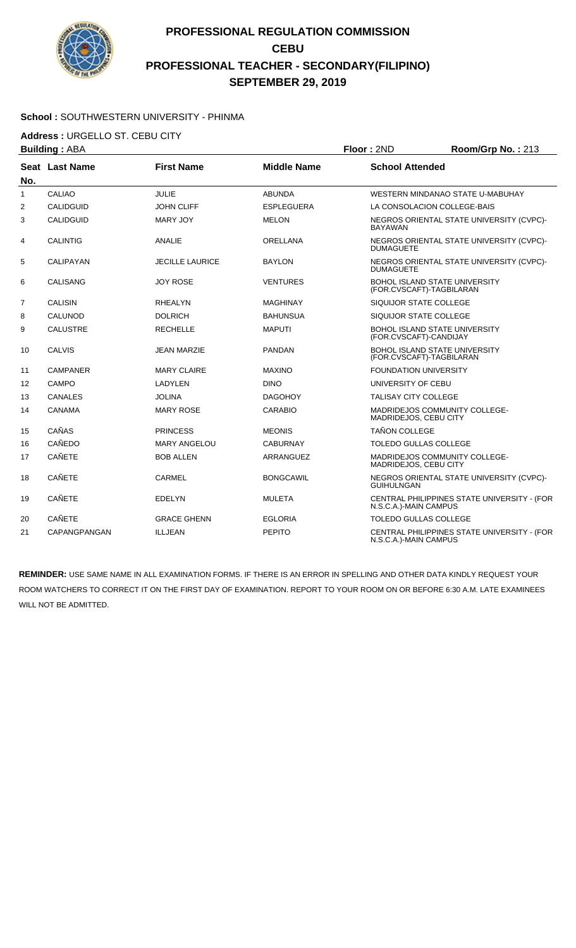

#### **School :** SOUTHWESTERN UNIVERSITY - PHINMA

**Address :** URGELLO ST. CEBU CITY

| <b>Building: ABA</b> |                       | Floor: 2ND             | Room/Grp No.: 213  |                              |                                                                  |
|----------------------|-----------------------|------------------------|--------------------|------------------------------|------------------------------------------------------------------|
| No.                  | <b>Seat Last Name</b> | <b>First Name</b>      | <b>Middle Name</b> | <b>School Attended</b>       |                                                                  |
| $\mathbf{1}$         | <b>CALIAO</b>         | <b>JULIE</b>           | <b>ABUNDA</b>      |                              | WESTERN MINDANAO STATE U-MABUHAY                                 |
| 2                    | <b>CALIDGUID</b>      | <b>JOHN CLIFF</b>      | <b>ESPLEGUERA</b>  |                              | LA CONSOLACION COLLEGE-BAIS                                      |
| 3                    | <b>CALIDGUID</b>      | <b>MARY JOY</b>        | <b>MELON</b>       | <b>BAYAWAN</b>               | NEGROS ORIENTAL STATE UNIVERSITY (CVPC)-                         |
| 4                    | <b>CALINTIG</b>       | <b>ANALIE</b>          | <b>ORELLANA</b>    | <b>DUMAGUETE</b>             | NEGROS ORIENTAL STATE UNIVERSITY (CVPC)-                         |
| 5                    | CALIPAYAN             | <b>JECILLE LAURICE</b> | <b>BAYLON</b>      | <b>DUMAGUETE</b>             | NEGROS ORIENTAL STATE UNIVERSITY (CVPC)-                         |
| 6                    | <b>CALISANG</b>       | <b>JOY ROSE</b>        | <b>VENTURES</b>    |                              | <b>BOHOL ISLAND STATE UNIVERSITY</b><br>(FOR.CVSCAFT)-TAGBILARAN |
| $\overline{7}$       | <b>CALISIN</b>        | <b>RHEALYN</b>         | <b>MAGHINAY</b>    | SIQUIJOR STATE COLLEGE       |                                                                  |
| 8                    | CALUNOD               | <b>DOLRICH</b>         | <b>BAHUNSUA</b>    | SIQUIJOR STATE COLLEGE       |                                                                  |
| 9                    | <b>CALUSTRE</b>       | <b>RECHELLE</b>        | <b>MAPUTI</b>      | (FOR.CVSCAFT)-CANDIJAY       | <b>BOHOL ISLAND STATE UNIVERSITY</b>                             |
| 10                   | <b>CALVIS</b>         | <b>JEAN MARZIE</b>     | <b>PANDAN</b>      |                              | BOHOL ISLAND STATE UNIVERSITY<br>(FOR.CVSCAFT)-TAGBILARAN        |
| 11                   | <b>CAMPANER</b>       | <b>MARY CLAIRE</b>     | <b>MAXINO</b>      | <b>FOUNDATION UNIVERSITY</b> |                                                                  |
| 12                   | <b>CAMPO</b>          | LADYLEN                | <b>DINO</b>        | UNIVERSITY OF CEBU           |                                                                  |
| 13                   | <b>CANALES</b>        | <b>JOLINA</b>          | <b>DAGOHOY</b>     | <b>TALISAY CITY COLLEGE</b>  |                                                                  |
| 14                   | CANAMA                | <b>MARY ROSE</b>       | <b>CARABIO</b>     | MADRIDEJOS, CEBU CITY        | <b>MADRIDEJOS COMMUNITY COLLEGE-</b>                             |
| 15                   | CAÑAS                 | <b>PRINCESS</b>        | <b>MEONIS</b>      | <b>TAÑON COLLEGE</b>         |                                                                  |
| 16                   | CAÑEDO                | <b>MARY ANGELOU</b>    | <b>CABURNAY</b>    | TOLEDO GULLAS COLLEGE        |                                                                  |
| 17                   | <b>CAÑETE</b>         | <b>BOB ALLEN</b>       | ARRANGUEZ          | MADRIDEJOS, CEBU CITY        | MADRIDEJOS COMMUNITY COLLEGE-                                    |
| 18                   | <b>CAÑETE</b>         | <b>CARMEL</b>          | <b>BONGCAWIL</b>   | <b>GUIHULNGAN</b>            | NEGROS ORIENTAL STATE UNIVERSITY (CVPC)-                         |
| 19                   | <b>CAÑETE</b>         | <b>EDELYN</b>          | <b>MULETA</b>      | N.S.C.A.)-MAIN CAMPUS        | CENTRAL PHILIPPINES STATE UNIVERSITY - (FOR                      |
| 20                   | <b>CAÑETE</b>         | <b>GRACE GHENN</b>     | <b>EGLORIA</b>     | <b>TOLEDO GULLAS COLLEGE</b> |                                                                  |
| 21                   | CAPANGPANGAN          | <b>ILLJEAN</b>         | <b>PEPITO</b>      | N.S.C.A.)-MAIN CAMPUS        | CENTRAL PHILIPPINES STATE UNIVERSITY - (FOR                      |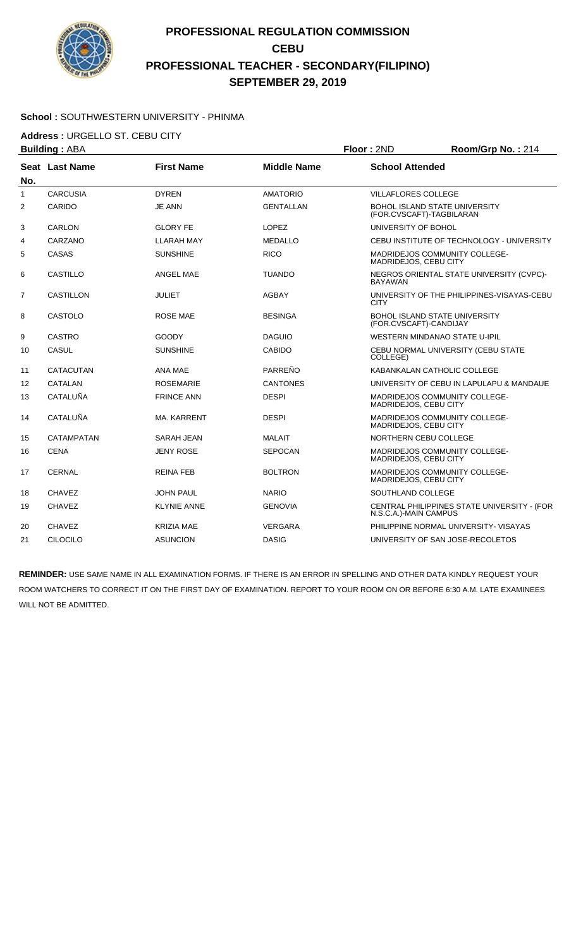

#### **School :** SOUTHWESTERN UNIVERSITY - PHINMA

**Address :** URGELLO ST. CEBU CITY

|                | <b>Building: ABA</b> |                    |                    | Floor: 2ND                 | Room/Grp No.: 214                                                |
|----------------|----------------------|--------------------|--------------------|----------------------------|------------------------------------------------------------------|
| No.            | Seat Last Name       | <b>First Name</b>  | <b>Middle Name</b> | <b>School Attended</b>     |                                                                  |
| $\mathbf{1}$   | <b>CARCUSIA</b>      | <b>DYREN</b>       | <b>AMATORIO</b>    | <b>VILLAFLORES COLLEGE</b> |                                                                  |
| 2              | CARIDO               | <b>JE ANN</b>      | <b>GENTALLAN</b>   |                            | <b>BOHOL ISLAND STATE UNIVERSITY</b><br>(FOR.CVSCAFT)-TAGBILARAN |
| 3              | <b>CARLON</b>        | <b>GLORY FE</b>    | <b>LOPEZ</b>       | UNIVERSITY OF BOHOL        |                                                                  |
| 4              | CARZANO              | <b>LLARAH MAY</b>  | <b>MEDALLO</b>     |                            | CEBU INSTITUTE OF TECHNOLOGY - UNIVERSITY                        |
| 5              | CASAS                | <b>SUNSHINE</b>    | <b>RICO</b>        | MADRIDEJOS, CEBU CITY      | MADRIDEJOS COMMUNITY COLLEGE-                                    |
| 6              | <b>CASTILLO</b>      | <b>ANGEL MAE</b>   | <b>TUANDO</b>      | <b>BAYAWAN</b>             | NEGROS ORIENTAL STATE UNIVERSITY (CVPC)-                         |
| $\overline{7}$ | <b>CASTILLON</b>     | JULIET             | AGBAY              | <b>CITY</b>                | UNIVERSITY OF THE PHILIPPINES-VISAYAS-CEBU                       |
| 8              | <b>CASTOLO</b>       | ROSE MAE           | <b>BESINGA</b>     | (FOR.CVSCAFT)-CANDIJAY     | <b>BOHOL ISLAND STATE UNIVERSITY</b>                             |
| 9              | <b>CASTRO</b>        | GOODY              | <b>DAGUIO</b>      |                            | WESTERN MINDANAO STATE U-IPIL                                    |
| 10             | <b>CASUL</b>         | <b>SUNSHINE</b>    | <b>CABIDO</b>      | COLLEGE)                   | CEBU NORMAL UNIVERSITY (CEBU STATE                               |
| 11             | CATACUTAN            | ANA MAE            | PARREÑO            |                            | KABANKALAN CATHOLIC COLLEGE                                      |
| 12             | <b>CATALAN</b>       | <b>ROSEMARIE</b>   | <b>CANTONES</b>    |                            | UNIVERSITY OF CEBU IN LAPULAPU & MANDAUE                         |
| 13             | CATALUÑA             | <b>FRINCE ANN</b>  | <b>DESPI</b>       | MADRIDEJOS, CEBU CITY      | <b>MADRIDEJOS COMMUNITY COLLEGE-</b>                             |
| 14             | CATALUÑA             | <b>MA. KARRENT</b> | <b>DESPI</b>       | MADRIDEJOS, CEBU CITY      | MADRIDEJOS COMMUNITY COLLEGE-                                    |
| 15             | CATAMPATAN           | SARAH JEAN         | <b>MALAIT</b>      | NORTHERN CEBU COLLEGE      |                                                                  |
| 16             | <b>CENA</b>          | <b>JENY ROSE</b>   | <b>SEPOCAN</b>     | MADRIDEJOS, CEBU CITY      | MADRIDEJOS COMMUNITY COLLEGE-                                    |
| 17             | <b>CERNAL</b>        | <b>REINA FEB</b>   | <b>BOLTRON</b>     | MADRIDEJOS, CEBU CITY      | MADRIDEJOS COMMUNITY COLLEGE-                                    |
| 18             | <b>CHAVEZ</b>        | JOHN PAUL          | <b>NARIO</b>       | SOUTHLAND COLLEGE          |                                                                  |
| 19             | <b>CHAVEZ</b>        | <b>KLYNIE ANNE</b> | <b>GENOVIA</b>     | N.S.C.A.)-MAIN CAMPUS      | CENTRAL PHILIPPINES STATE UNIVERSITY - (FOR                      |
| 20             | <b>CHAVEZ</b>        | KRIZIA MAE         | <b>VERGARA</b>     |                            | PHILIPPINE NORMAL UNIVERSITY- VISAYAS                            |
| 21             | <b>CILOCILO</b>      | <b>ASUNCION</b>    | <b>DASIG</b>       |                            | UNIVERSITY OF SAN JOSE-RECOLETOS                                 |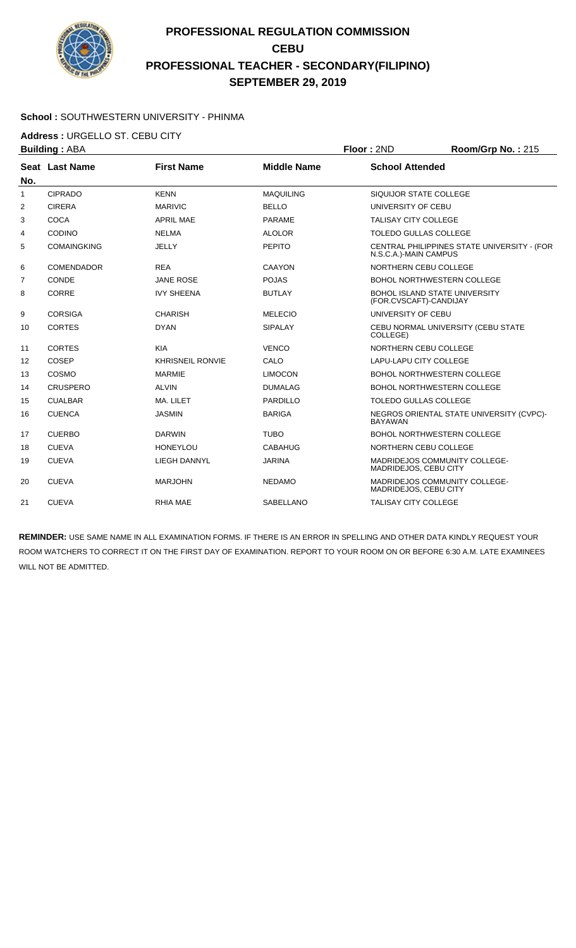

#### **School :** SOUTHWESTERN UNIVERSITY - PHINMA

**Address :** URGELLO ST. CEBU CITY

| <b>Building: ABA</b> |                       |                         | Floor: 2ND         | Room/Grp No.: 215            |                                             |
|----------------------|-----------------------|-------------------------|--------------------|------------------------------|---------------------------------------------|
|                      | <b>Seat Last Name</b> | <b>First Name</b>       | <b>Middle Name</b> | <b>School Attended</b>       |                                             |
| No.                  |                       |                         |                    |                              |                                             |
| $\mathbf{1}$         | <b>CIPRADO</b>        | <b>KENN</b>             | <b>MAQUILING</b>   | SIQUIJOR STATE COLLEGE       |                                             |
| $\overline{2}$       | <b>CIRERA</b>         | <b>MARIVIC</b>          | <b>BELLO</b>       | UNIVERSITY OF CEBU           |                                             |
| 3                    | <b>COCA</b>           | <b>APRIL MAE</b>        | <b>PARAME</b>      | <b>TALISAY CITY COLLEGE</b>  |                                             |
| 4                    | <b>CODINO</b>         | <b>NELMA</b>            | <b>ALOLOR</b>      | <b>TOLEDO GULLAS COLLEGE</b> |                                             |
| 5                    | <b>COMAINGKING</b>    | <b>JELLY</b>            | <b>PEPITO</b>      | N.S.C.A.)-MAIN CAMPUS        | CENTRAL PHILIPPINES STATE UNIVERSITY - (FOR |
| 6                    | <b>COMENDADOR</b>     | <b>REA</b>              | <b>CAAYON</b>      | NORTHERN CEBU COLLEGE        |                                             |
| 7                    | CONDE                 | <b>JANE ROSE</b>        | <b>POJAS</b>       |                              | <b>BOHOL NORTHWESTERN COLLEGE</b>           |
| 8                    | CORRE                 | <b>IVY SHEENA</b>       | <b>BUTLAY</b>      | (FOR.CVSCAFT)-CANDIJAY       | <b>BOHOL ISLAND STATE UNIVERSITY</b>        |
| 9                    | <b>CORSIGA</b>        | <b>CHARISH</b>          | <b>MELECIO</b>     | UNIVERSITY OF CEBU           |                                             |
| 10                   | <b>CORTES</b>         | <b>DYAN</b>             | <b>SIPALAY</b>     | COLLEGE)                     | CEBU NORMAL UNIVERSITY (CEBU STATE          |
| 11                   | <b>CORTES</b>         | <b>KIA</b>              | <b>VENCO</b>       | NORTHERN CEBU COLLEGE        |                                             |
| 12                   | <b>COSEP</b>          | <b>KHRISNEIL RONVIE</b> | CALO               | LAPU-LAPU CITY COLLEGE       |                                             |
| 13                   | COSMO                 | <b>MARMIE</b>           | <b>LIMOCON</b>     |                              | <b>BOHOL NORTHWESTERN COLLEGE</b>           |
| 14                   | <b>CRUSPERO</b>       | <b>ALVIN</b>            | <b>DUMALAG</b>     |                              | <b>BOHOL NORTHWESTERN COLLEGE</b>           |
| 15                   | <b>CUALBAR</b>        | MA. LILET               | <b>PARDILLO</b>    | <b>TOLEDO GULLAS COLLEGE</b> |                                             |
| 16                   | <b>CUENCA</b>         | <b>JASMIN</b>           | <b>BARIGA</b>      | <b>BAYAWAN</b>               | NEGROS ORIENTAL STATE UNIVERSITY (CVPC)-    |
| 17                   | <b>CUERBO</b>         | <b>DARWIN</b>           | <b>TUBO</b>        |                              | <b>BOHOL NORTHWESTERN COLLEGE</b>           |
| 18                   | <b>CUEVA</b>          | <b>HONEYLOU</b>         | <b>CABAHUG</b>     | NORTHERN CEBU COLLEGE        |                                             |
| 19                   | <b>CUEVA</b>          | <b>LIEGH DANNYL</b>     | <b>JARINA</b>      | MADRIDEJOS, CEBU CITY        | <b>MADRIDEJOS COMMUNITY COLLEGE-</b>        |
| 20                   | <b>CUEVA</b>          | <b>MARJOHN</b>          | <b>NEDAMO</b>      | MADRIDEJOS, CEBU CITY        | <b>MADRIDEJOS COMMUNITY COLLEGE-</b>        |
| 21                   | <b>CUEVA</b>          | <b>RHIA MAE</b>         | SABELLANO          | <b>TALISAY CITY COLLEGE</b>  |                                             |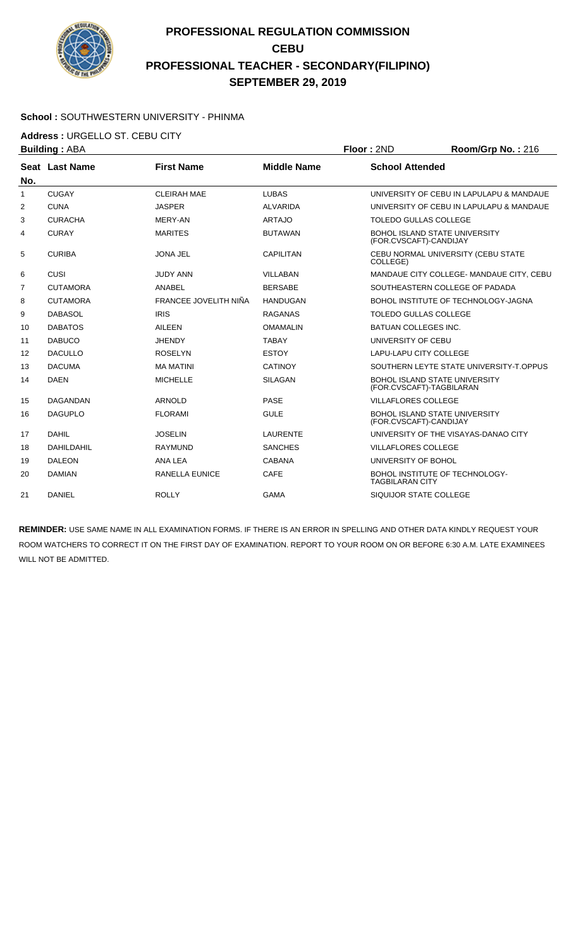

### **School :** SOUTHWESTERN UNIVERSITY - PHINMA

**Address :** URGELLO ST. CEBU CITY

| <b>Building: ABA</b> |                 |                       | Floor: 2ND         | Room/Grp No.: 216            |                                          |
|----------------------|-----------------|-----------------------|--------------------|------------------------------|------------------------------------------|
|                      | Seat Last Name  | <b>First Name</b>     | <b>Middle Name</b> | <b>School Attended</b>       |                                          |
| No.                  |                 |                       |                    |                              |                                          |
| $\mathbf{1}$         | <b>CUGAY</b>    | <b>CLEIRAH MAE</b>    | <b>LUBAS</b>       |                              | UNIVERSITY OF CEBU IN LAPULAPU & MANDAUE |
| 2                    | <b>CUNA</b>     | <b>JASPER</b>         | <b>ALVARIDA</b>    |                              | UNIVERSITY OF CEBU IN LAPULAPU & MANDAUE |
| 3                    | <b>CURACHA</b>  | MERY-AN               | <b>ARTAJO</b>      | <b>TOLEDO GULLAS COLLEGE</b> |                                          |
| 4                    | <b>CURAY</b>    | <b>MARITES</b>        | <b>BUTAWAN</b>     | (FOR.CVSCAFT)-CANDIJAY       | <b>BOHOL ISLAND STATE UNIVERSITY</b>     |
| 5                    | <b>CURIBA</b>   | <b>JONA JEL</b>       | <b>CAPILITAN</b>   | COLLEGE)                     | CEBU NORMAL UNIVERSITY (CEBU STATE       |
| 6                    | CUSI            | <b>JUDY ANN</b>       | <b>VILLABAN</b>    |                              | MANDAUE CITY COLLEGE- MANDAUE CITY, CEBU |
| $\overline{7}$       | <b>CUTAMORA</b> | ANABEL                | <b>BERSABE</b>     |                              | SOUTHEASTERN COLLEGE OF PADADA           |
| 8                    | <b>CUTAMORA</b> | FRANCEE JOVELITH NIÑA | <b>HANDUGAN</b>    |                              | BOHOL INSTITUTE OF TECHNOLOGY-JAGNA      |
| 9                    | <b>DABASOL</b>  | <b>IRIS</b>           | <b>RAGANAS</b>     | <b>TOLEDO GULLAS COLLEGE</b> |                                          |
| 10                   | <b>DABATOS</b>  | AILEEN                | <b>OMAMALIN</b>    | <b>BATUAN COLLEGES INC.</b>  |                                          |
| 11                   | <b>DABUCO</b>   | <b>JHENDY</b>         | <b>TABAY</b>       | UNIVERSITY OF CEBU           |                                          |
| 12                   | <b>DACULLO</b>  | <b>ROSELYN</b>        | <b>ESTOY</b>       | LAPU-LAPU CITY COLLEGE       |                                          |
| 13                   | <b>DACUMA</b>   | <b>MA MATINI</b>      | <b>CATINOY</b>     |                              | SOUTHERN LEYTE STATE UNIVERSITY-T.OPPUS  |
| 14                   | <b>DAEN</b>     | <b>MICHELLE</b>       | <b>SILAGAN</b>     | (FOR.CVSCAFT)-TAGBILARAN     | <b>BOHOL ISLAND STATE UNIVERSITY</b>     |
| 15                   | <b>DAGANDAN</b> | <b>ARNOLD</b>         | <b>PASE</b>        | <b>VILLAFLORES COLLEGE</b>   |                                          |
| 16                   | <b>DAGUPLO</b>  | <b>FLORAMI</b>        | <b>GULE</b>        | (FOR.CVSCAFT)-CANDIJAY       | <b>BOHOL ISLAND STATE UNIVERSITY</b>     |
| 17                   | <b>DAHIL</b>    | <b>JOSELIN</b>        | <b>LAURENTE</b>    |                              | UNIVERSITY OF THE VISAYAS-DANAO CITY     |
| 18                   | DAHILDAHIL      | <b>RAYMUND</b>        | <b>SANCHES</b>     | <b>VILLAFLORES COLLEGE</b>   |                                          |
| 19                   | <b>DALEON</b>   | ANA LEA               | <b>CABANA</b>      | UNIVERSITY OF BOHOL          |                                          |
| 20                   | <b>DAMIAN</b>   | RANELLA EUNICE        | CAFE               | TAGBILARAN CITY              | BOHOL INSTITUTE OF TECHNOLOGY-           |
| 21                   | <b>DANIEL</b>   | <b>ROLLY</b>          | <b>GAMA</b>        | SIQUIJOR STATE COLLEGE       |                                          |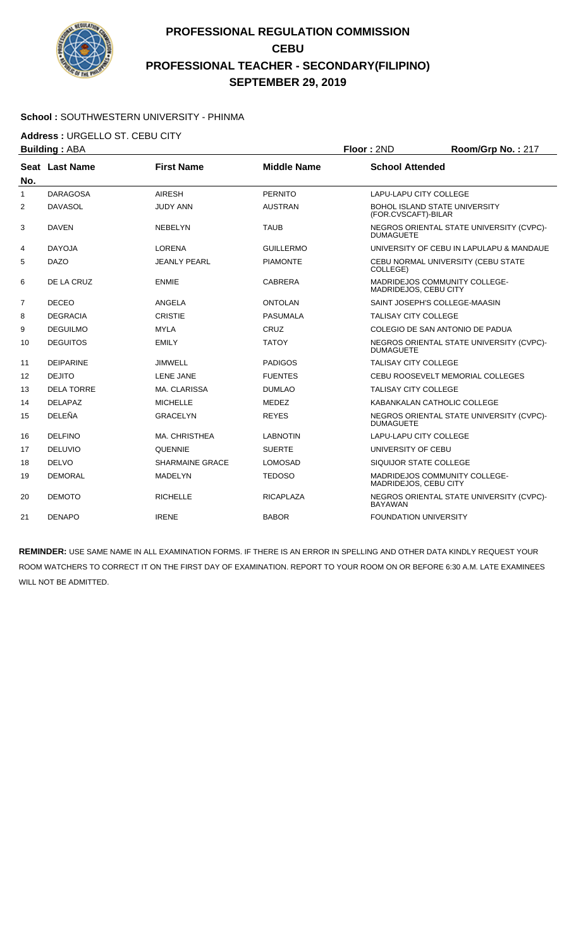

#### **School :** SOUTHWESTERN UNIVERSITY - PHINMA

**Address :** URGELLO ST. CEBU CITY

|                | <b>Building: ABA</b>  |                        |                    | Floor: 2ND                   | Room/Grp No.: 217                        |
|----------------|-----------------------|------------------------|--------------------|------------------------------|------------------------------------------|
| No.            | <b>Seat Last Name</b> | <b>First Name</b>      | <b>Middle Name</b> | <b>School Attended</b>       |                                          |
| $\mathbf{1}$   | <b>DARAGOSA</b>       | <b>AIRESH</b>          | <b>PERNITO</b>     | LAPU-LAPU CITY COLLEGE       |                                          |
| 2              | <b>DAVASOL</b>        | <b>JUDY ANN</b>        | <b>AUSTRAN</b>     | (FOR.CVSCAFT)-BILAR          | <b>BOHOL ISLAND STATE UNIVERSITY</b>     |
| 3              | <b>DAVEN</b>          | <b>NEBELYN</b>         | <b>TAUB</b>        | <b>DUMAGUETE</b>             | NEGROS ORIENTAL STATE UNIVERSITY (CVPC)- |
| 4              | <b>DAYOJA</b>         | LORENA                 | <b>GUILLERMO</b>   |                              | UNIVERSITY OF CEBU IN LAPULAPU & MANDAUE |
| 5              | <b>DAZO</b>           | <b>JEANLY PEARL</b>    | <b>PIAMONTE</b>    | COLLEGE)                     | CEBU NORMAL UNIVERSITY (CEBU STATE       |
| 6              | DE LA CRUZ            | <b>ENMIE</b>           | <b>CABRERA</b>     | MADRIDEJOS, CEBU CITY        | <b>MADRIDEJOS COMMUNITY COLLEGE-</b>     |
| $\overline{7}$ | <b>DECEO</b>          | ANGELA                 | <b>ONTOLAN</b>     |                              | SAINT JOSEPH'S COLLEGE-MAASIN            |
| 8              | <b>DEGRACIA</b>       | <b>CRISTIE</b>         | <b>PASUMALA</b>    | <b>TALISAY CITY COLLEGE</b>  |                                          |
| 9              | <b>DEGUILMO</b>       | <b>MYLA</b>            | CRUZ               |                              | COLEGIO DE SAN ANTONIO DE PADUA          |
| 10             | <b>DEGUITOS</b>       | <b>EMILY</b>           | <b>TATOY</b>       | <b>DUMAGUETE</b>             | NEGROS ORIENTAL STATE UNIVERSITY (CVPC)- |
| 11             | <b>DEIPARINE</b>      | <b>JIMWELL</b>         | <b>PADIGOS</b>     | <b>TALISAY CITY COLLEGE</b>  |                                          |
| 12             | <b>DEJITO</b>         | <b>LENE JANE</b>       | <b>FUENTES</b>     |                              | CEBU ROOSEVELT MEMORIAL COLLEGES         |
| 13             | <b>DELA TORRE</b>     | MA. CLARISSA           | <b>DUMLAO</b>      | <b>TALISAY CITY COLLEGE</b>  |                                          |
| 14             | <b>DELAPAZ</b>        | <b>MICHELLE</b>        | <b>MEDEZ</b>       |                              | KABANKALAN CATHOLIC COLLEGE              |
| 15             | DELEÑA                | <b>GRACELYN</b>        | <b>REYES</b>       | <b>DUMAGUETE</b>             | NEGROS ORIENTAL STATE UNIVERSITY (CVPC)- |
| 16             | <b>DELFINO</b>        | MA. CHRISTHEA          | <b>LABNOTIN</b>    | LAPU-LAPU CITY COLLEGE       |                                          |
| 17             | <b>DELUVIO</b>        | <b>QUENNIE</b>         | <b>SUERTE</b>      | UNIVERSITY OF CEBU           |                                          |
| 18             | <b>DELVO</b>          | <b>SHARMAINE GRACE</b> | <b>LOMOSAD</b>     | SIQUIJOR STATE COLLEGE       |                                          |
| 19             | <b>DEMORAL</b>        | <b>MADELYN</b>         | <b>TEDOSO</b>      | MADRIDEJOS, CEBU CITY        | MADRIDEJOS COMMUNITY COLLEGE-            |
| 20             | <b>DEMOTO</b>         | <b>RICHELLE</b>        | <b>RICAPLAZA</b>   | <b>BAYAWAN</b>               | NEGROS ORIENTAL STATE UNIVERSITY (CVPC)- |
| 21             | <b>DENAPO</b>         | <b>IRENE</b>           | <b>BABOR</b>       | <b>FOUNDATION UNIVERSITY</b> |                                          |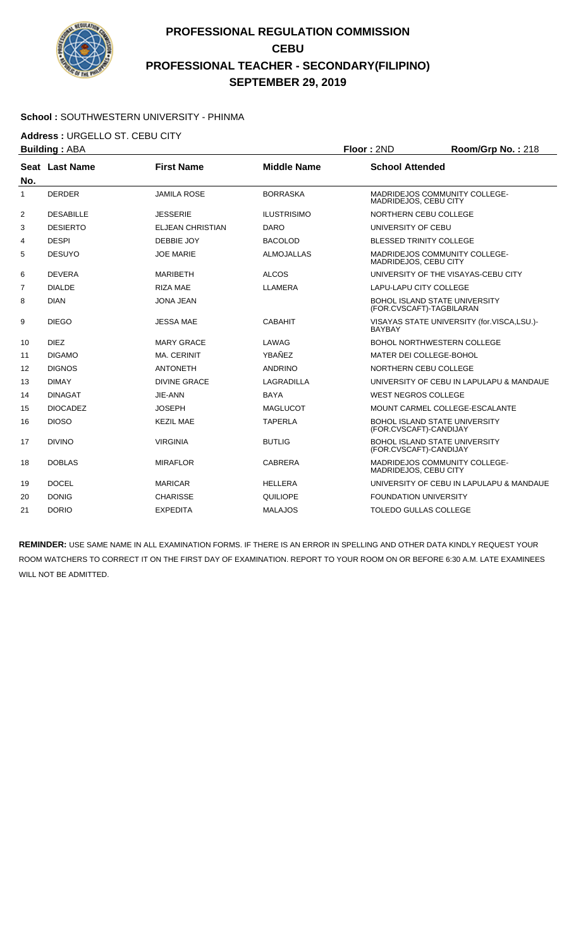

#### **School :** SOUTHWESTERN UNIVERSITY - PHINMA

**Address :** URGELLO ST. CEBU CITY

|              | <b>Building: ABA</b>  |                         |                    | Floor: 2ND                     | Room/Grp No.: 218                          |
|--------------|-----------------------|-------------------------|--------------------|--------------------------------|--------------------------------------------|
|              | <b>Seat Last Name</b> | <b>First Name</b>       | <b>Middle Name</b> | <b>School Attended</b>         |                                            |
| No.          |                       |                         |                    |                                |                                            |
| $\mathbf{1}$ | <b>DERDER</b>         | <b>JAMILA ROSE</b>      | <b>BORRASKA</b>    | MADRIDEJOS, CEBU CITY          | <b>MADRIDEJOS COMMUNITY COLLEGE-</b>       |
| 2            | <b>DESABILLE</b>      | <b>JESSERIE</b>         | <b>ILUSTRISIMO</b> | NORTHERN CEBU COLLEGE          |                                            |
| 3            | <b>DESIERTO</b>       | <b>ELJEAN CHRISTIAN</b> | <b>DARO</b>        | UNIVERSITY OF CEBU             |                                            |
| 4            | <b>DESPI</b>          | DEBBIE JOY              | <b>BACOLOD</b>     | <b>BLESSED TRINITY COLLEGE</b> |                                            |
| 5            | <b>DESUYO</b>         | <b>JOE MARIE</b>        | <b>ALMOJALLAS</b>  | MADRIDEJOS, CEBU CITY          | <b>MADRIDEJOS COMMUNITY COLLEGE-</b>       |
| 6            | <b>DEVERA</b>         | <b>MARIBETH</b>         | <b>ALCOS</b>       |                                | UNIVERSITY OF THE VISAYAS-CEBU CITY        |
| 7            | <b>DIALDE</b>         | <b>RIZA MAE</b>         | LLAMERA            | <b>LAPU-LAPU CITY COLLEGE</b>  |                                            |
| 8            | <b>DIAN</b>           | <b>JONA JEAN</b>        |                    | (FOR.CVSCAFT)-TAGBILARAN       | <b>BOHOL ISLAND STATE UNIVERSITY</b>       |
| 9            | <b>DIEGO</b>          | <b>JESSA MAE</b>        | <b>CABAHIT</b>     | <b>BAYBAY</b>                  | VISAYAS STATE UNIVERSITY (for.VISCA,LSU.)- |
| 10           | <b>DIEZ</b>           | <b>MARY GRACE</b>       | LAWAG              |                                | <b>BOHOL NORTHWESTERN COLLEGE</b>          |
| 11           | <b>DIGAMO</b>         | <b>MA. CERINIT</b>      | YBAÑEZ             | MATER DEI COLLEGE-BOHOL        |                                            |
| 12           | <b>DIGNOS</b>         | <b>ANTONETH</b>         | <b>ANDRINO</b>     | NORTHERN CEBU COLLEGE          |                                            |
| 13           | <b>DIMAY</b>          | <b>DIVINE GRACE</b>     | <b>LAGRADILLA</b>  |                                | UNIVERSITY OF CEBU IN LAPULAPU & MANDAUE   |
| 14           | <b>DINAGAT</b>        | JIE-ANN                 | <b>BAYA</b>        | <b>WEST NEGROS COLLEGE</b>     |                                            |
| 15           | <b>DIOCADEZ</b>       | <b>JOSEPH</b>           | <b>MAGLUCOT</b>    |                                | MOUNT CARMEL COLLEGE-ESCALANTE             |
| 16           | <b>DIOSO</b>          | <b>KEZIL MAE</b>        | <b>TAPERLA</b>     | (FOR.CVSCAFT)-CANDIJAY         | <b>BOHOL ISLAND STATE UNIVERSITY</b>       |
| 17           | <b>DIVINO</b>         | <b>VIRGINIA</b>         | <b>BUTLIG</b>      | (FOR.CVSCAFT)-CANDIJAY         | <b>BOHOL ISLAND STATE UNIVERSITY</b>       |
| 18           | <b>DOBLAS</b>         | <b>MIRAFLOR</b>         | <b>CABRERA</b>     | MADRIDEJOS, CEBU CITY          | MADRIDEJOS COMMUNITY COLLEGE-              |
| 19           | <b>DOCEL</b>          | <b>MARICAR</b>          | <b>HELLERA</b>     |                                | UNIVERSITY OF CEBU IN LAPULAPU & MANDAUE   |
| 20           | <b>DONIG</b>          | <b>CHARISSE</b>         | QUILIOPE           | <b>FOUNDATION UNIVERSITY</b>   |                                            |
| 21           | <b>DORIO</b>          | <b>EXPEDITA</b>         | <b>MALAJOS</b>     | <b>TOLEDO GULLAS COLLEGE</b>   |                                            |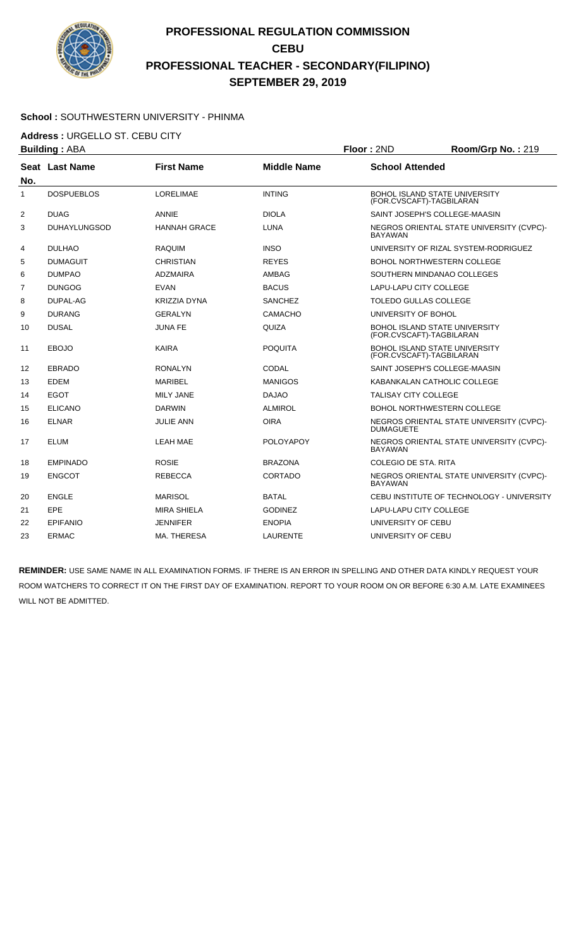

#### **School :** SOUTHWESTERN UNIVERSITY - PHINMA

**Address :** URGELLO ST. CEBU CITY

| Seat Last Name<br><b>DOSPUEBLOS</b><br><b>DUAG</b><br><b>DUHAYLUNGSOD</b> | <b>First Name</b><br><b>LORELIMAE</b><br>ANNIE | <b>Middle Name</b><br><b>INTING</b> | <b>School Attended</b>      |                                           |
|---------------------------------------------------------------------------|------------------------------------------------|-------------------------------------|-----------------------------|-------------------------------------------|
|                                                                           |                                                |                                     |                             |                                           |
|                                                                           |                                                |                                     | (FOR.CVSCAFT)-TAGBILARAN    | <b>BOHOL ISLAND STATE UNIVERSITY</b>      |
|                                                                           |                                                | <b>DIOLA</b>                        |                             | SAINT JOSEPH'S COLLEGE-MAASIN             |
|                                                                           | <b>HANNAH GRACE</b>                            | <b>LUNA</b>                         | <b>BAYAWAN</b>              | NEGROS ORIENTAL STATE UNIVERSITY (CVPC)-  |
| <b>DULHAO</b>                                                             | <b>RAQUIM</b>                                  | <b>INSO</b>                         |                             | UNIVERSITY OF RIZAL SYSTEM-RODRIGUEZ      |
| <b>DUMAGUIT</b>                                                           | <b>CHRISTIAN</b>                               | <b>REYES</b>                        |                             | BOHOL NORTHWESTERN COLLEGE                |
| <b>DUMPAO</b>                                                             | <b>ADZMAIRA</b>                                | <b>AMBAG</b>                        |                             | SOUTHERN MINDANAO COLLEGES                |
| <b>DUNGOG</b>                                                             | <b>EVAN</b>                                    | <b>BACUS</b>                        | LAPU-LAPU CITY COLLEGE      |                                           |
| DUPAL-AG                                                                  | KRIZZIA DYNA                                   | <b>SANCHEZ</b>                      | TOLEDO GULLAS COLLEGE       |                                           |
| <b>DURANG</b>                                                             | <b>GERALYN</b>                                 | <b>CAMACHO</b>                      | UNIVERSITY OF BOHOL         |                                           |
| <b>DUSAL</b>                                                              | <b>JUNA FE</b>                                 | QUIZA                               | (FOR.CVSCAFT)-TAGBILARAN    | <b>BOHOL ISLAND STATE UNIVERSITY</b>      |
| <b>EBOJO</b>                                                              | <b>KAIRA</b>                                   | <b>POQUITA</b>                      | (FOR.CVSCAFT)-TAGBILARAN    | <b>BOHOL ISLAND STATE UNIVERSITY</b>      |
| <b>EBRADO</b>                                                             | <b>RONALYN</b>                                 | CODAL                               |                             | SAINT JOSEPH'S COLLEGE-MAASIN             |
| <b>EDEM</b>                                                               | <b>MARIBEL</b>                                 | <b>MANIGOS</b>                      |                             | KABANKALAN CATHOLIC COLLEGE               |
| <b>EGOT</b>                                                               | <b>MILY JANE</b>                               | <b>DAJAO</b>                        | <b>TALISAY CITY COLLEGE</b> |                                           |
| <b>ELICANO</b>                                                            | <b>DARWIN</b>                                  | <b>ALMIROL</b>                      |                             | <b>BOHOL NORTHWESTERN COLLEGE</b>         |
| <b>ELNAR</b>                                                              | <b>JULIE ANN</b>                               | <b>OIRA</b>                         | <b>DUMAGUETE</b>            | NEGROS ORIENTAL STATE UNIVERSITY (CVPC)-  |
| <b>ELUM</b>                                                               | LEAH MAE                                       | <b>POLOYAPOY</b>                    | <b>BAYAWAN</b>              | NEGROS ORIENTAL STATE UNIVERSITY (CVPC)-  |
| <b>EMPINADO</b>                                                           | <b>ROSIE</b>                                   | <b>BRAZONA</b>                      | COLEGIO DE STA, RITA        |                                           |
| <b>ENGCOT</b>                                                             | <b>REBECCA</b>                                 | <b>CORTADO</b>                      | <b>BAYAWAN</b>              | NEGROS ORIENTAL STATE UNIVERSITY (CVPC)-  |
| <b>ENGLE</b>                                                              | <b>MARISOL</b>                                 | <b>BATAL</b>                        |                             | CEBU INSTITUTE OF TECHNOLOGY - UNIVERSITY |
| <b>EPE</b>                                                                | <b>MIRA SHIELA</b>                             | <b>GODINEZ</b>                      | LAPU-LAPU CITY COLLEGE      |                                           |
| <b>EPIFANIO</b>                                                           | <b>JENNIFER</b>                                | <b>ENOPIA</b>                       | UNIVERSITY OF CEBU          |                                           |
| <b>ERMAC</b>                                                              | MA. THERESA                                    | <b>LAURENTE</b>                     | UNIVERSITY OF CEBU          |                                           |
|                                                                           |                                                |                                     |                             |                                           |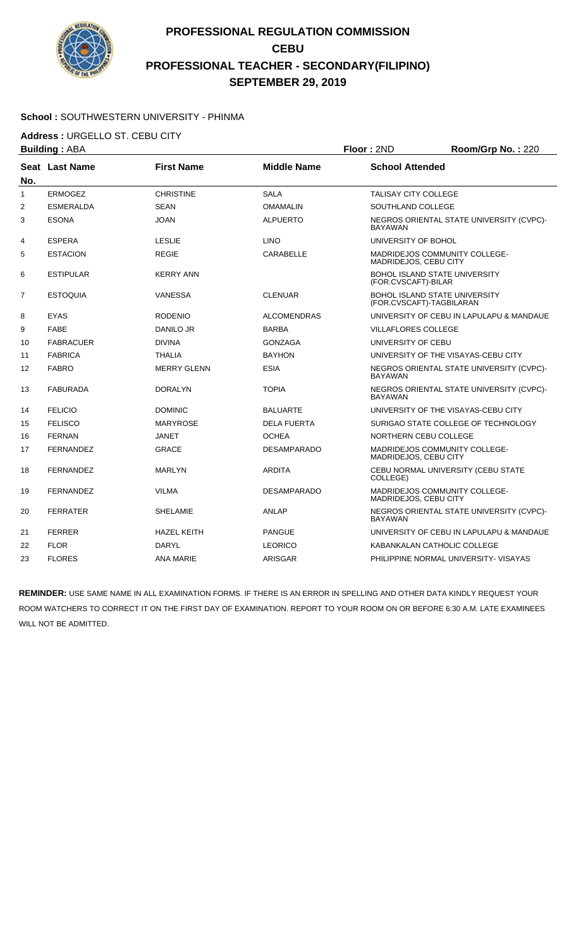

#### **School :** SOUTHWESTERN UNIVERSITY - PHINMA

**Address :** URGELLO ST. CEBU CITY

| <b>Building: ABA</b> |                  |                    | Floor: 2ND         | Room/Grp No.: 220                                                |                                          |
|----------------------|------------------|--------------------|--------------------|------------------------------------------------------------------|------------------------------------------|
| No.                  | Seat Last Name   | <b>First Name</b>  | <b>Middle Name</b> | <b>School Attended</b>                                           |                                          |
| $\mathbf{1}$         | <b>ERMOGEZ</b>   | <b>CHRISTINE</b>   | <b>SALA</b>        | <b>TALISAY CITY COLLEGE</b>                                      |                                          |
| $\overline{2}$       | <b>ESMERALDA</b> | <b>SEAN</b>        | <b>OMAMALIN</b>    | SOUTHLAND COLLEGE                                                |                                          |
| 3                    | <b>ESONA</b>     | <b>JOAN</b>        | <b>ALPUERTO</b>    | <b>BAYAWAN</b>                                                   | NEGROS ORIENTAL STATE UNIVERSITY (CVPC)- |
| 4                    | <b>ESPERA</b>    | <b>LESLIE</b>      | <b>LINO</b>        | UNIVERSITY OF BOHOL                                              |                                          |
| 5                    | <b>ESTACION</b>  | <b>REGIE</b>       | CARABELLE          | MADRIDEJOS, CEBU CITY                                            | MADRIDEJOS COMMUNITY COLLEGE-            |
| 6                    | <b>ESTIPULAR</b> | <b>KERRY ANN</b>   |                    | <b>BOHOL ISLAND STATE UNIVERSITY</b><br>(FOR.CVSCAFT)-BILAR      |                                          |
| $\overline{7}$       | <b>ESTOQUIA</b>  | <b>VANESSA</b>     | <b>CLENUAR</b>     | <b>BOHOL ISLAND STATE UNIVERSITY</b><br>(FOR.CVSCAFT)-TAGBILARAN |                                          |
| 8                    | <b>EYAS</b>      | <b>RODENIO</b>     | <b>ALCOMENDRAS</b> |                                                                  | UNIVERSITY OF CEBU IN LAPULAPU & MANDAUE |
| 9                    | <b>FABE</b>      | DANILO JR          | <b>BARBA</b>       | <b>VILLAFLORES COLLEGE</b>                                       |                                          |
| 10                   | <b>FABRACUER</b> | <b>DIVINA</b>      | <b>GONZAGA</b>     | UNIVERSITY OF CEBU                                               |                                          |
| 11                   | <b>FABRICA</b>   | <b>THALIA</b>      | <b>BAYHON</b>      |                                                                  | UNIVERSITY OF THE VISAYAS-CEBU CITY      |
| 12                   | <b>FABRO</b>     | <b>MERRY GLENN</b> | <b>ESIA</b>        | <b>BAYAWAN</b>                                                   | NEGROS ORIENTAL STATE UNIVERSITY (CVPC)- |
| 13                   | <b>FABURADA</b>  | <b>DORALYN</b>     | <b>TOPIA</b>       | <b>BAYAWAN</b>                                                   | NEGROS ORIENTAL STATE UNIVERSITY (CVPC)- |
| 14                   | <b>FELICIO</b>   | <b>DOMINIC</b>     | <b>BALUARTE</b>    |                                                                  | UNIVERSITY OF THE VISAYAS-CEBU CITY      |
| 15                   | <b>FELISCO</b>   | <b>MARYROSE</b>    | <b>DELA FUERTA</b> |                                                                  | SURIGAO STATE COLLEGE OF TECHNOLOGY      |
| 16                   | <b>FERNAN</b>    | JANET              | <b>OCHEA</b>       | NORTHERN CEBU COLLEGE                                            |                                          |
| 17                   | <b>FERNANDEZ</b> | <b>GRACE</b>       | <b>DESAMPARADO</b> | MADRIDEJOS, CEBU CITY                                            | MADRIDEJOS COMMUNITY COLLEGE-            |
| 18                   | <b>FERNANDEZ</b> | <b>MARLYN</b>      | <b>ARDITA</b>      | COLLEGE)                                                         | CEBU NORMAL UNIVERSITY (CEBU STATE       |
| 19                   | <b>FERNANDEZ</b> | <b>VILMA</b>       | <b>DESAMPARADO</b> | MADRIDEJOS, CEBU CITY                                            | MADRIDEJOS COMMUNITY COLLEGE-            |
| 20                   | <b>FERRATER</b>  | <b>SHELAMIE</b>    | <b>ANLAP</b>       | <b>BAYAWAN</b>                                                   | NEGROS ORIENTAL STATE UNIVERSITY (CVPC)- |
| 21                   | <b>FERRER</b>    | <b>HAZEL KEITH</b> | <b>PANGUE</b>      |                                                                  | UNIVERSITY OF CEBU IN LAPULAPU & MANDAUE |
| 22                   | <b>FLOR</b>      | <b>DARYL</b>       | <b>LEORICO</b>     | KABANKALAN CATHOLIC COLLEGE                                      |                                          |
| 23                   | <b>FLORES</b>    | <b>ANA MARIE</b>   | ARISGAR            |                                                                  | PHILIPPINE NORMAL UNIVERSITY- VISAYAS    |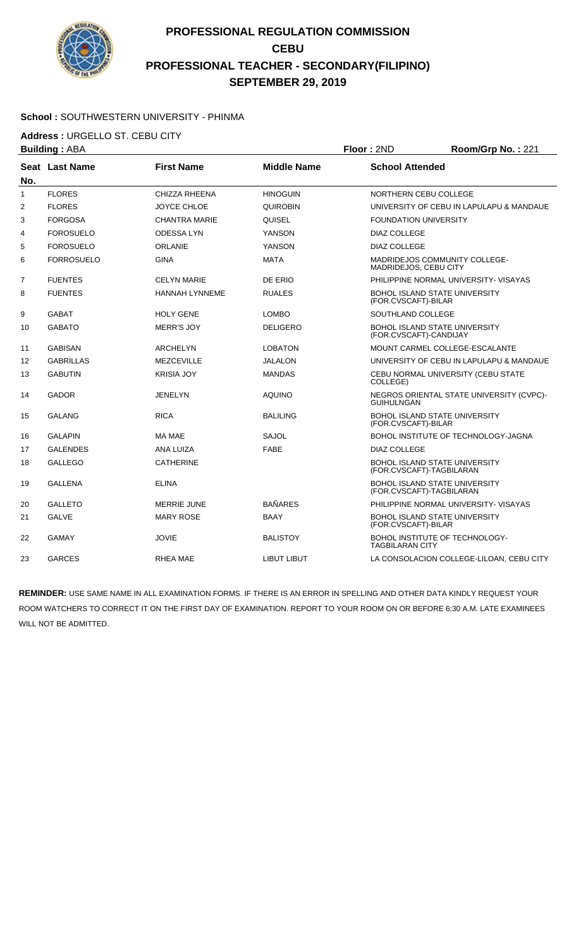

#### **School :** SOUTHWESTERN UNIVERSITY - PHINMA

**Address :** URGELLO ST. CEBU CITY

| <b>Building: ABA</b> |                   |                       | Floor: 2ND         | Room/Grp No.: 221            |                                          |
|----------------------|-------------------|-----------------------|--------------------|------------------------------|------------------------------------------|
| No.                  | Seat Last Name    | <b>First Name</b>     | <b>Middle Name</b> | <b>School Attended</b>       |                                          |
| $\mathbf{1}$         | <b>FLORES</b>     | <b>CHIZZA RHEENA</b>  | <b>HINOGUIN</b>    | NORTHERN CEBU COLLEGE        |                                          |
| 2                    | <b>FLORES</b>     | <b>JOYCE CHLOE</b>    | QUIROBIN           |                              | UNIVERSITY OF CEBU IN LAPULAPU & MANDAUE |
| 3                    | <b>FORGOSA</b>    | <b>CHANTRA MARIE</b>  | QUISEL             | <b>FOUNDATION UNIVERSITY</b> |                                          |
| 4                    | <b>FOROSUELO</b>  | <b>ODESSALYN</b>      | YANSON             | <b>DIAZ COLLEGE</b>          |                                          |
| 5                    | <b>FOROSUELO</b>  | <b>ORLANIE</b>        | <b>YANSON</b>      | <b>DIAZ COLLEGE</b>          |                                          |
| 6                    | <b>FORROSUELO</b> | <b>GINA</b>           | <b>MATA</b>        | MADRIDEJOS, CEBU CITY        | MADRIDEJOS COMMUNITY COLLEGE-            |
| $\overline{7}$       | <b>FUENTES</b>    | <b>CELYN MARIE</b>    | DE ERIO            |                              | PHILIPPINE NORMAL UNIVERSITY- VISAYAS    |
| 8                    | <b>FUENTES</b>    | <b>HANNAH LYNNEME</b> | <b>RUALES</b>      | (FOR.CVSCAFT)-BILAR          | BOHOL ISLAND STATE UNIVERSITY            |
| 9                    | <b>GABAT</b>      | <b>HOLY GENE</b>      | <b>LOMBO</b>       | SOUTHLAND COLLEGE            |                                          |
| 10                   | <b>GABATO</b>     | <b>MERR'S JOY</b>     | <b>DELIGERO</b>    | (FOR.CVSCAFT)-CANDIJAY       | <b>BOHOL ISLAND STATE UNIVERSITY</b>     |
| 11                   | <b>GABISAN</b>    | <b>ARCHELYN</b>       | <b>LOBATON</b>     |                              | MOUNT CARMEL COLLEGE-ESCALANTE           |
| 12                   | <b>GABRILLAS</b>  | <b>MEZCEVILLE</b>     | JALALON            |                              | UNIVERSITY OF CEBU IN LAPULAPU & MANDAUE |
| 13                   | <b>GABUTIN</b>    | <b>KRISIA JOY</b>     | <b>MANDAS</b>      | COLLEGE)                     | CEBU NORMAL UNIVERSITY (CEBU STATE       |
| 14                   | <b>GADOR</b>      | <b>JENELYN</b>        | <b>AQUINO</b>      | <b>GUIHULNGAN</b>            | NEGROS ORIENTAL STATE UNIVERSITY (CVPC)- |
| 15                   | <b>GALANG</b>     | <b>RICA</b>           | <b>BALILING</b>    | (FOR.CVSCAFT)-BILAR          | <b>BOHOL ISLAND STATE UNIVERSITY</b>     |
| 16                   | <b>GALAPIN</b>    | MA MAE                | <b>SAJOL</b>       |                              | BOHOL INSTITUTE OF TECHNOLOGY-JAGNA      |
| 17                   | <b>GALENDES</b>   | ANA LUIZA             | <b>FABE</b>        | DIAZ COLLEGE                 |                                          |
| 18                   | <b>GALLEGO</b>    | <b>CATHERINE</b>      |                    | (FOR.CVSCAFT)-TAGBILARAN     | <b>BOHOL ISLAND STATE UNIVERSITY</b>     |
| 19                   | <b>GALLENA</b>    | <b>ELINA</b>          |                    | (FOR.CVSCAFT)-TAGBILARAN     | BOHOL ISLAND STATE UNIVERSITY            |
| 20                   | <b>GALLETO</b>    | <b>MERRIE JUNE</b>    | <b>BAÑARES</b>     |                              | PHILIPPINE NORMAL UNIVERSITY- VISAYAS    |
| 21                   | <b>GALVE</b>      | <b>MARY ROSE</b>      | <b>BAAY</b>        | (FOR.CVSCAFT)-BILAR          | <b>BOHOL ISLAND STATE UNIVERSITY</b>     |
| 22                   | <b>GAMAY</b>      | <b>JOVIE</b>          | <b>BALISTOY</b>    | <b>TAGBILARAN CITY</b>       | BOHOL INSTITUTE OF TECHNOLOGY-           |
| 23                   | <b>GARCES</b>     | <b>RHEA MAE</b>       | LIBUT LIBUT        |                              | LA CONSOLACION COLLEGE-LILOAN, CEBU CITY |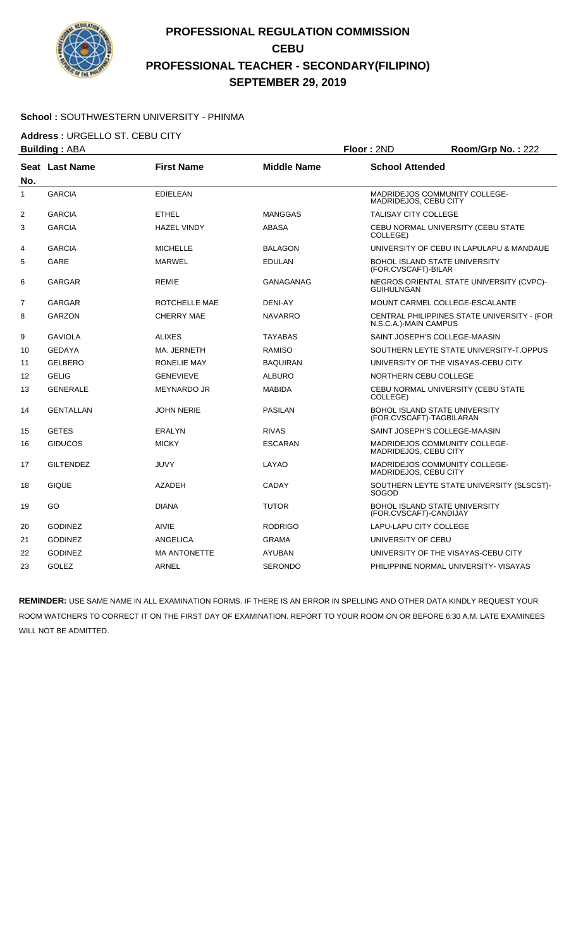

#### **School :** SOUTHWESTERN UNIVERSITY - PHINMA

**Address :** URGELLO ST. CEBU CITY

| <b>Building: ABA</b> |                  |                     | Floor: 2ND         | Room/Grp No.: 222           |                                             |
|----------------------|------------------|---------------------|--------------------|-----------------------------|---------------------------------------------|
| No.                  | Seat Last Name   | <b>First Name</b>   | <b>Middle Name</b> | <b>School Attended</b>      |                                             |
| $\mathbf{1}$         | <b>GARCIA</b>    | <b>EDIELEAN</b>     |                    | MADRIDEJOS, CEBU CITY       | MADRIDEJOS COMMUNITY COLLEGE-               |
| 2                    | <b>GARCIA</b>    | <b>ETHEL</b>        | <b>MANGGAS</b>     | <b>TALISAY CITY COLLEGE</b> |                                             |
| 3                    | <b>GARCIA</b>    | <b>HAZEL VINDY</b>  | <b>ABASA</b>       | COLLEGE)                    | CEBU NORMAL UNIVERSITY (CEBU STATE          |
| 4                    | <b>GARCIA</b>    | <b>MICHELLE</b>     | <b>BALAGON</b>     |                             | UNIVERSITY OF CEBU IN LAPULAPU & MANDAUE    |
| 5                    | <b>GARE</b>      | <b>MARWEL</b>       | <b>EDULAN</b>      | (FOR.CVSCAFT)-BILAR         | <b>BOHOL ISLAND STATE UNIVERSITY</b>        |
| 6                    | <b>GARGAR</b>    | <b>REMIE</b>        | <b>GANAGANAG</b>   | <b>GUIHULNGAN</b>           | NEGROS ORIENTAL STATE UNIVERSITY (CVPC)-    |
| $\overline{7}$       | <b>GARGAR</b>    | ROTCHELLE MAE       | <b>DENI-AY</b>     |                             | MOUNT CARMEL COLLEGE-ESCALANTE              |
| 8                    | <b>GARZON</b>    | <b>CHERRY MAE</b>   | <b>NAVARRO</b>     | N.S.C.A.)-MAIN CAMPUS       | CENTRAL PHILIPPINES STATE UNIVERSITY - (FOR |
| 9                    | <b>GAVIOLA</b>   | <b>ALIXES</b>       | <b>TAYABAS</b>     |                             | SAINT JOSEPH'S COLLEGE-MAASIN               |
| 10                   | <b>GEDAYA</b>    | MA. JERNETH         | <b>RAMISO</b>      |                             | SOUTHERN LEYTE STATE UNIVERSITY-T.OPPUS     |
| 11                   | <b>GELBERO</b>   | <b>RONELIE MAY</b>  | <b>BAQUIRAN</b>    |                             | UNIVERSITY OF THE VISAYAS-CEBU CITY         |
| 12                   | <b>GELIG</b>     | <b>GENEVIEVE</b>    | <b>ALBURO</b>      | NORTHERN CEBU COLLEGE       |                                             |
| 13                   | <b>GENERALE</b>  | <b>MEYNARDO JR</b>  | <b>MABIDA</b>      | COLLEGE)                    | CEBU NORMAL UNIVERSITY (CEBU STATE          |
| 14                   | <b>GENTALLAN</b> | <b>JOHN NERIE</b>   | <b>PASILAN</b>     | (FOR.CVSCAFT)-TAGBILARAN    | BOHOL ISLAND STATE UNIVERSITY               |
| 15                   | <b>GETES</b>     | ERALYN              | <b>RIVAS</b>       |                             | SAINT JOSEPH'S COLLEGE-MAASIN               |
| 16                   | <b>GIDUCOS</b>   | <b>MICKY</b>        | <b>ESCARAN</b>     | MADRIDEJOS, CEBU CITY       | MADRIDEJOS COMMUNITY COLLEGE-               |
| 17                   | <b>GILTENDEZ</b> | <b>JUVY</b>         | LAYAO              | MADRIDEJOS, CEBU CITY       | MADRIDEJOS COMMUNITY COLLEGE-               |
| 18                   | <b>GIQUE</b>     | <b>AZADEH</b>       | <b>CADAY</b>       | SOGOD                       | SOUTHERN LEYTE STATE UNIVERSITY (SLSCST)-   |
| 19                   | GO               | <b>DIANA</b>        | <b>TUTOR</b>       | (FOR.CVSCAFT)-CANDIJAY      | <b>BOHOL ISLAND STATE UNIVERSITY</b>        |
| 20                   | <b>GODINEZ</b>   | <b>AIVIE</b>        | <b>RODRIGO</b>     | LAPU-LAPU CITY COLLEGE      |                                             |
| 21                   | <b>GODINEZ</b>   | <b>ANGELICA</b>     | <b>GRAMA</b>       | UNIVERSITY OF CEBU          |                                             |
| 22                   | <b>GODINEZ</b>   | <b>MA ANTONETTE</b> | <b>AYUBAN</b>      |                             | UNIVERSITY OF THE VISAYAS-CEBU CITY         |
| 23                   | <b>GOLEZ</b>     | <b>ARNEL</b>        | <b>SERONDO</b>     |                             | PHILIPPINE NORMAL UNIVERSITY- VISAYAS       |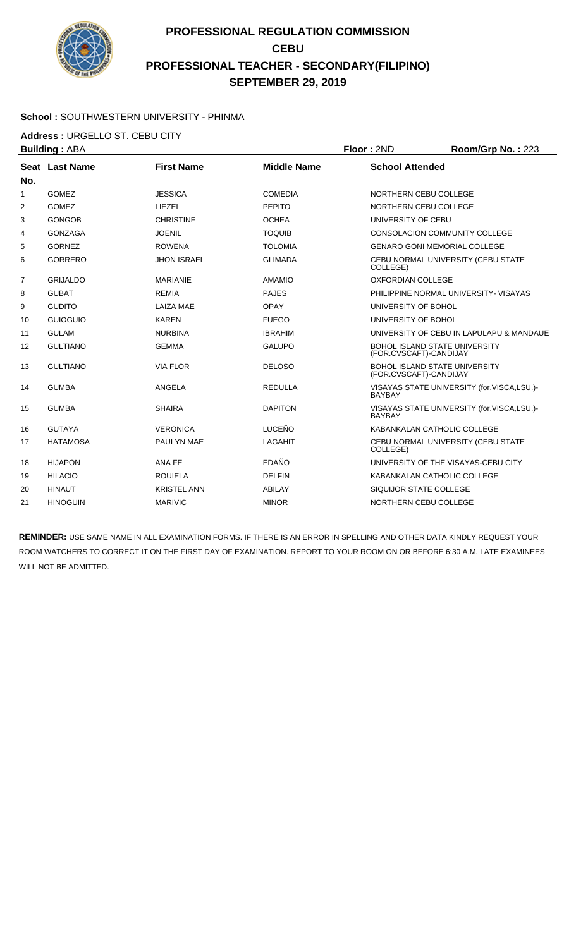

#### **School :** SOUTHWESTERN UNIVERSITY - PHINMA

**Address :** URGELLO ST. CEBU CITY

|                   | <b>Building: ABA</b> |                    |                    | Floor: 2ND               | Room/Grp No.: 223                          |
|-------------------|----------------------|--------------------|--------------------|--------------------------|--------------------------------------------|
|                   | Seat Last Name       | <b>First Name</b>  | <b>Middle Name</b> | <b>School Attended</b>   |                                            |
| No.               |                      |                    |                    |                          |                                            |
| 1                 | <b>GOMEZ</b>         | <b>JESSICA</b>     | <b>COMEDIA</b>     | NORTHERN CEBU COLLEGE    |                                            |
| 2                 | <b>GOMEZ</b>         | LIEZEL             | <b>PEPITO</b>      | NORTHERN CEBU COLLEGE    |                                            |
| 3                 | <b>GONGOB</b>        | <b>CHRISTINE</b>   | <b>OCHEA</b>       | UNIVERSITY OF CEBU       |                                            |
| 4                 | <b>GONZAGA</b>       | <b>JOENIL</b>      | <b>TOQUIB</b>      |                          | CONSOLACION COMMUNITY COLLEGE              |
| 5                 | <b>GORNEZ</b>        | <b>ROWENA</b>      | <b>TOLOMIA</b>     |                          | <b>GENARO GONI MEMORIAL COLLEGE</b>        |
| 6                 | <b>GORRERO</b>       | <b>JHON ISRAEL</b> | <b>GLIMADA</b>     | COLLEGE)                 | CEBU NORMAL UNIVERSITY (CEBU STATE         |
| 7                 | <b>GRIJALDO</b>      | <b>MARIANIE</b>    | <b>AMAMIO</b>      | <b>OXFORDIAN COLLEGE</b> |                                            |
| 8                 | <b>GUBAT</b>         | <b>REMIA</b>       | <b>PAJES</b>       |                          | PHILIPPINE NORMAL UNIVERSITY- VISAYAS      |
| 9                 | <b>GUDITO</b>        | LAIZA MAE          | <b>OPAY</b>        | UNIVERSITY OF BOHOL      |                                            |
| 10                | <b>GUIOGUIO</b>      | <b>KAREN</b>       | <b>FUEGO</b>       | UNIVERSITY OF BOHOL      |                                            |
| 11                | <b>GULAM</b>         | <b>NURBINA</b>     | <b>IBRAHIM</b>     |                          | UNIVERSITY OF CEBU IN LAPULAPU & MANDAUE   |
| $12 \overline{ }$ | <b>GULTIANO</b>      | <b>GEMMA</b>       | <b>GALUPO</b>      | (FOR.CVSCAFT)-CANDIJAY   | <b>BOHOL ISLAND STATE UNIVERSITY</b>       |
| 13                | <b>GULTIANO</b>      | <b>VIA FLOR</b>    | <b>DELOSO</b>      | (FOR.CVSCAFT)-CANDIJAY   | <b>BOHOL ISLAND STATE UNIVERSITY</b>       |
| 14                | <b>GUMBA</b>         | ANGELA             | <b>REDULLA</b>     | <b>BAYBAY</b>            | VISAYAS STATE UNIVERSITY (for.VISCA,LSU.)- |
| 15                | <b>GUMBA</b>         | <b>SHAIRA</b>      | <b>DAPITON</b>     | <b>BAYBAY</b>            | VISAYAS STATE UNIVERSITY (for.VISCA,LSU.)- |
| 16                | <b>GUTAYA</b>        | <b>VERONICA</b>    | <b>LUCEÑO</b>      |                          | KABANKALAN CATHOLIC COLLEGE                |
| 17                | <b>HATAMOSA</b>      | PAULYN MAE         | LAGAHIT            | COLLEGE)                 | CEBU NORMAL UNIVERSITY (CEBU STATE         |
| 18                | <b>HIJAPON</b>       | ANA FE             | EDAÑO              |                          | UNIVERSITY OF THE VISAYAS-CEBU CITY        |
| 19                | <b>HILACIO</b>       | <b>ROUIELA</b>     | <b>DELFIN</b>      |                          | KABANKALAN CATHOLIC COLLEGE                |
| 20                | <b>HINAUT</b>        | <b>KRISTEL ANN</b> | ABILAY             | SIQUIJOR STATE COLLEGE   |                                            |
| 21                | <b>HINOGUIN</b>      | <b>MARIVIC</b>     | <b>MINOR</b>       | NORTHERN CEBU COLLEGE    |                                            |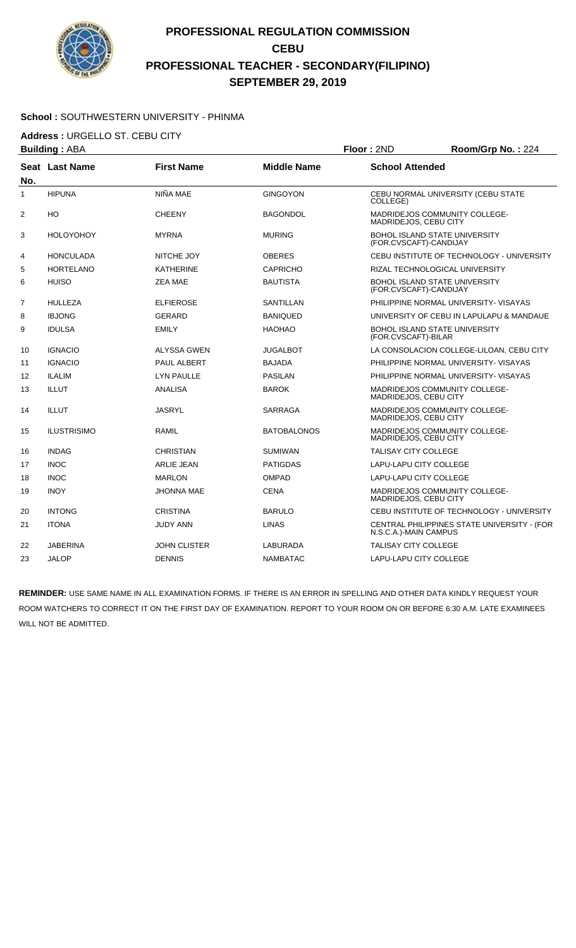

#### **School :** SOUTHWESTERN UNIVERSITY - PHINMA

**Address :** URGELLO ST. CEBU CITY

|                   | <b>Building: ABA</b> |                     |                    | Floor: 2ND                                                     | Room/Grp No.: 224                           |
|-------------------|----------------------|---------------------|--------------------|----------------------------------------------------------------|---------------------------------------------|
| No.               | Seat Last Name       | <b>First Name</b>   | <b>Middle Name</b> | <b>School Attended</b>                                         |                                             |
| $\mathbf{1}$      | <b>HIPUNA</b>        | NIÑA MAE            | <b>GINGOYON</b>    | COLLEGE)                                                       | CEBU NORMAL UNIVERSITY (CEBU STATE          |
| 2                 | HO                   | <b>CHEENY</b>       | <b>BAGONDOL</b>    | MADRIDEJOS COMMUNITY COLLEGE-<br>MADRIDEJOS, CEBU CITY         |                                             |
| 3                 | <b>HOLOYOHOY</b>     | <b>MYRNA</b>        | <b>MURING</b>      | <b>BOHOL ISLAND STATE UNIVERSITY</b><br>(FOR.CVSCAFT)-CANDIJAY |                                             |
| 4                 | <b>HONCULADA</b>     | NITCHE JOY          | <b>OBERES</b>      |                                                                | CEBU INSTITUTE OF TECHNOLOGY - UNIVERSITY   |
| 5                 | <b>HORTELANO</b>     | <b>KATHERINE</b>    | <b>CAPRICHO</b>    | RIZAL TECHNOLOGICAL UNIVERSITY                                 |                                             |
| 6                 | <b>HUISO</b>         | ZEA MAE             | <b>BAUTISTA</b>    | <b>BOHOL ISLAND STATE UNIVERSITY</b><br>(FOR.CVSCAFT)-CANDIJAY |                                             |
| $\overline{7}$    | <b>HULLEZA</b>       | <b>ELFIEROSE</b>    | <b>SANTILLAN</b>   |                                                                | PHILIPPINE NORMAL UNIVERSITY- VISAYAS       |
| 8                 | <b>IBJONG</b>        | <b>GERARD</b>       | <b>BANIQUED</b>    |                                                                | UNIVERSITY OF CEBU IN LAPULAPU & MANDAUE    |
| 9                 | <b>IDULSA</b>        | <b>EMILY</b>        | <b>HAOHAO</b>      | <b>BOHOL ISLAND STATE UNIVERSITY</b><br>(FOR.CVSCAFT)-BILAR    |                                             |
| 10                | <b>IGNACIO</b>       | ALYSSA GWEN         | <b>JUGALBOT</b>    |                                                                | LA CONSOLACION COLLEGE-LILOAN, CEBU CITY    |
| 11                | <b>IGNACIO</b>       | PAUL ALBERT         | <b>BAJADA</b>      |                                                                | PHILIPPINE NORMAL UNIVERSITY- VISAYAS       |
| $12 \overline{ }$ | <b>ILALIM</b>        | <b>LYN PAULLE</b>   | <b>PASILAN</b>     |                                                                | PHILIPPINE NORMAL UNIVERSITY- VISAYAS       |
| 13                | <b>ILLUT</b>         | <b>ANALISA</b>      | <b>BAROK</b>       | MADRIDEJOS COMMUNITY COLLEGE-<br>MADRIDEJOS, CEBU CITY         |                                             |
| 14                | <b>ILLUT</b>         | <b>JASRYL</b>       | SARRAGA            | MADRIDEJOS COMMUNITY COLLEGE-<br>MADRIDEJOS, CEBU CITY         |                                             |
| 15                | <b>ILUSTRISIMO</b>   | <b>RAMIL</b>        | <b>BATOBALONOS</b> | MADRIDEJOS COMMUNITY COLLEGE-<br>MADRIDEJOS, CEBU CITY         |                                             |
| 16                | <b>INDAG</b>         | <b>CHRISTIAN</b>    | <b>SUMIWAN</b>     | <b>TALISAY CITY COLLEGE</b>                                    |                                             |
| 17                | <b>INOC</b>          | <b>ARLIE JEAN</b>   | <b>PATIGDAS</b>    | LAPU-LAPU CITY COLLEGE                                         |                                             |
| 18                | <b>INOC</b>          | <b>MARLON</b>       | <b>OMPAD</b>       | <b>LAPU-LAPU CITY COLLEGE</b>                                  |                                             |
| 19                | <b>INOY</b>          | <b>JHONNA MAE</b>   | <b>CENA</b>        | MADRIDEJOS COMMUNITY COLLEGE-<br>MADRIDEJOS, CEBU CITY         |                                             |
| 20                | <b>INTONG</b>        | <b>CRISTINA</b>     | <b>BARULO</b>      |                                                                | CEBU INSTITUTE OF TECHNOLOGY - UNIVERSITY   |
| 21                | <b>ITONA</b>         | JUDY ANN            | <b>LINAS</b>       | N.S.C.A.)-MAIN CAMPUS                                          | CENTRAL PHILIPPINES STATE UNIVERSITY - (FOR |
| 22                | <b>JABERINA</b>      | <b>JOHN CLISTER</b> | LABURADA           | <b>TALISAY CITY COLLEGE</b>                                    |                                             |
| 23                | <b>JALOP</b>         | <b>DENNIS</b>       | <b>NAMBATAC</b>    | <b>LAPU-LAPU CITY COLLEGE</b>                                  |                                             |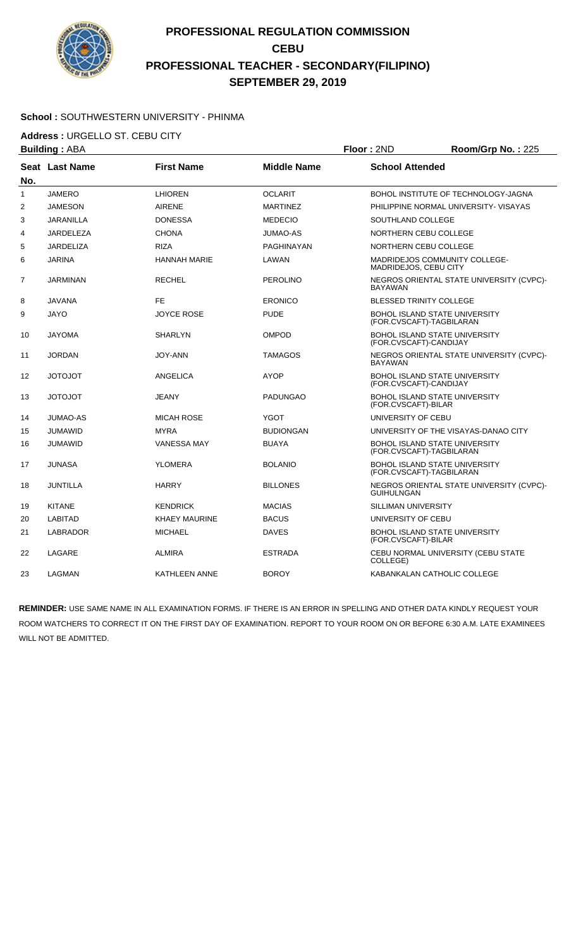

#### **School :** SOUTHWESTERN UNIVERSITY - PHINMA

**Address :** URGELLO ST. CEBU CITY

| <b>Building: ABA</b> |                  | Floor: 2ND           | Room/Grp No.: 225  |                                |                                                                  |
|----------------------|------------------|----------------------|--------------------|--------------------------------|------------------------------------------------------------------|
| No.                  | Seat Last Name   | <b>First Name</b>    | <b>Middle Name</b> | <b>School Attended</b>         |                                                                  |
| $\mathbf{1}$         | <b>JAMERO</b>    | <b>LHIOREN</b>       | <b>OCLARIT</b>     |                                | BOHOL INSTITUTE OF TECHNOLOGY-JAGNA                              |
| $\overline{2}$       | <b>JAMESON</b>   | <b>AIRENE</b>        | <b>MARTINEZ</b>    |                                | PHILIPPINE NORMAL UNIVERSITY- VISAYAS                            |
| 3                    | <b>JARANILLA</b> | <b>DONESSA</b>       | <b>MEDECIO</b>     | SOUTHLAND COLLEGE              |                                                                  |
| 4                    | <b>JARDELEZA</b> | CHONA                | <b>JUMAO-AS</b>    | NORTHERN CEBU COLLEGE          |                                                                  |
| 5                    | <b>JARDELIZA</b> | <b>RIZA</b>          | PAGHINAYAN         | NORTHERN CEBU COLLEGE          |                                                                  |
| 6                    | <b>JARINA</b>    | HANNAH MARIE         | LAWAN              | MADRIDEJOS, CEBU CITY          | MADRIDEJOS COMMUNITY COLLEGE-                                    |
| 7                    | JARMINAN         | <b>RECHEL</b>        | <b>PEROLINO</b>    | <b>BAYAWAN</b>                 | NEGROS ORIENTAL STATE UNIVERSITY (CVPC)-                         |
| 8                    | <b>JAVANA</b>    | <b>FE</b>            | <b>ERONICO</b>     | <b>BLESSED TRINITY COLLEGE</b> |                                                                  |
| 9                    | <b>JAYO</b>      | JOYCE ROSE           | <b>PUDE</b>        |                                | <b>BOHOL ISLAND STATE UNIVERSITY</b><br>(FOR.CVSCAFT)-TAGBILARAN |
| 10                   | <b>JAYOMA</b>    | <b>SHARLYN</b>       | <b>OMPOD</b>       | (FOR.CVSCAFT)-CANDIJAY         | <b>BOHOL ISLAND STATE UNIVERSITY</b>                             |
| 11                   | <b>JORDAN</b>    | JOY-ANN              | <b>TAMAGOS</b>     | <b>BAYAWAN</b>                 | NEGROS ORIENTAL STATE UNIVERSITY (CVPC)-                         |
| 12                   | <b>TOLOTOL</b>   | <b>ANGELICA</b>      | <b>AYOP</b>        | (FOR.CVSCAFT)-CANDIJAY         | <b>BOHOL ISLAND STATE UNIVERSITY</b>                             |
| 13                   | <b>TOLOTOL</b>   | JEANY                | <b>PADUNGAO</b>    | (FOR.CVSCAFT)-BILAR            | <b>BOHOL ISLAND STATE UNIVERSITY</b>                             |
| 14                   | <b>JUMAO-AS</b>  | <b>MICAH ROSE</b>    | <b>YGOT</b>        | UNIVERSITY OF CEBU             |                                                                  |
| 15                   | <b>JUMAWID</b>   | <b>MYRA</b>          | <b>BUDIONGAN</b>   |                                | UNIVERSITY OF THE VISAYAS-DANAO CITY                             |
| 16                   | <b>JUMAWID</b>   | <b>VANESSA MAY</b>   | <b>BUAYA</b>       |                                | <b>BOHOL ISLAND STATE UNIVERSITY</b><br>(FOR.CVSCAFT)-TAGBILARAN |
| 17                   | <b>JUNASA</b>    | <b>YLOMERA</b>       | <b>BOLANIO</b>     |                                | <b>BOHOL ISLAND STATE UNIVERSITY</b><br>(FOR.CVSCAFT)-TAGBILARAN |
| 18                   | JUNTILLA         | <b>HARRY</b>         | <b>BILLONES</b>    | <b>GUIHULNGAN</b>              | NEGROS ORIENTAL STATE UNIVERSITY (CVPC)-                         |
| 19                   | <b>KITANE</b>    | KENDRICK             | <b>MACIAS</b>      | <b>SILLIMAN UNIVERSITY</b>     |                                                                  |
| 20                   | <b>LABITAD</b>   | <b>KHAEY MAURINE</b> | <b>BACUS</b>       | UNIVERSITY OF CEBU             |                                                                  |
| 21                   | <b>LABRADOR</b>  | <b>MICHAEL</b>       | <b>DAVES</b>       | (FOR.CVSCAFT)-BILAR            | <b>BOHOL ISLAND STATE UNIVERSITY</b>                             |
| 22                   | LAGARE           | ALMIRA               | ESTRADA            | COLLEGE)                       | CEBU NORMAL UNIVERSITY (CEBU STATE                               |
| 23                   | <b>LAGMAN</b>    | KATHLEEN ANNE        | <b>BOROY</b>       |                                | KABANKALAN CATHOLIC COLLEGE                                      |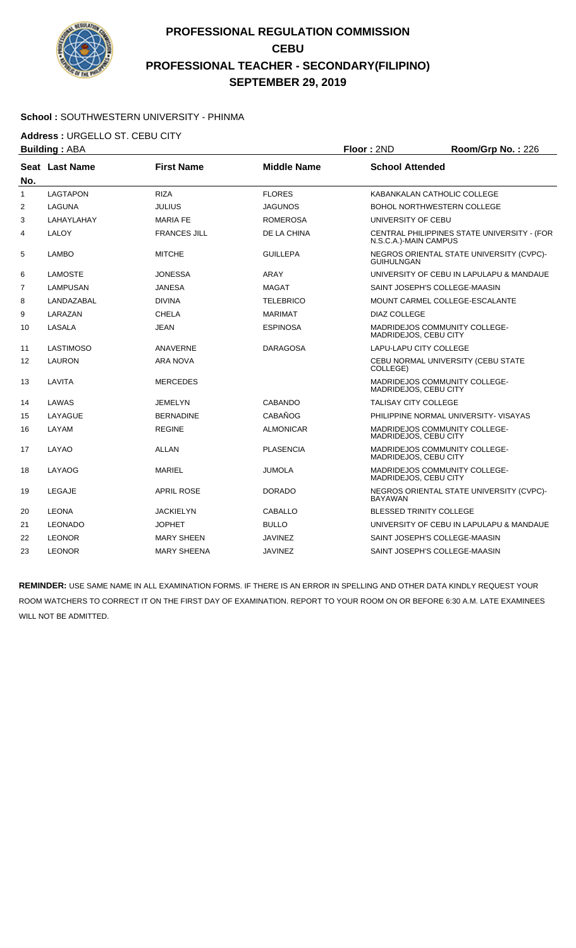

#### **School :** SOUTHWESTERN UNIVERSITY - PHINMA

**Address :** URGELLO ST. CEBU CITY

| <b>Building: ABA</b> |                  | Floor: 2ND          | Room/Grp No.: 226  |                                |                                             |
|----------------------|------------------|---------------------|--------------------|--------------------------------|---------------------------------------------|
| No.                  | Seat Last Name   | <b>First Name</b>   | <b>Middle Name</b> | <b>School Attended</b>         |                                             |
| $\mathbf{1}$         | <b>LAGTAPON</b>  | <b>RIZA</b>         | <b>FLORES</b>      |                                | KABANKALAN CATHOLIC COLLEGE                 |
| 2                    | <b>LAGUNA</b>    | <b>JULIUS</b>       | <b>JAGUNOS</b>     |                                | <b>BOHOL NORTHWESTERN COLLEGE</b>           |
| 3                    | LAHAYLAHAY       | <b>MARIA FE</b>     | <b>ROMEROSA</b>    | UNIVERSITY OF CEBU             |                                             |
| 4                    | LALOY            | <b>FRANCES JILL</b> | DE LA CHINA        | N.S.C.A.)-MAIN CAMPUS          | CENTRAL PHILIPPINES STATE UNIVERSITY - (FOR |
| 5                    | <b>LAMBO</b>     | <b>MITCHE</b>       | <b>GUILLEPA</b>    | <b>GUIHULNGAN</b>              | NEGROS ORIENTAL STATE UNIVERSITY (CVPC)-    |
| 6                    | <b>LAMOSTE</b>   | <b>JONESSA</b>      | ARAY               |                                | UNIVERSITY OF CEBU IN LAPULAPU & MANDAUE    |
| $\overline{7}$       | LAMPUSAN         | <b>JANESA</b>       | <b>MAGAT</b>       |                                | SAINT JOSEPH'S COLLEGE-MAASIN               |
| 8                    | LANDAZABAL       | <b>DIVINA</b>       | <b>TELEBRICO</b>   |                                | MOUNT CARMEL COLLEGE-ESCALANTE              |
| 9                    | LARAZAN          | <b>CHELA</b>        | <b>MARIMAT</b>     | DIAZ COLLEGE                   |                                             |
| 10                   | LASALA           | <b>JEAN</b>         | <b>ESPINOSA</b>    | MADRIDEJOS, CEBU CITY          | MADRIDEJOS COMMUNITY COLLEGE-               |
| 11                   | <b>LASTIMOSO</b> | ANAVERNE            | <b>DARAGOSA</b>    | <b>LAPU-LAPU CITY COLLEGE</b>  |                                             |
| 12                   | <b>LAURON</b>    | ARA NOVA            |                    | COLLEGE)                       | CEBU NORMAL UNIVERSITY (CEBU STATE          |
| 13                   | LAVITA           | <b>MERCEDES</b>     |                    | MADRIDEJOS, CEBU CITY          | MADRIDEJOS COMMUNITY COLLEGE-               |
| 14                   | LAWAS            | <b>JEMELYN</b>      | <b>CABANDO</b>     | <b>TALISAY CITY COLLEGE</b>    |                                             |
| 15                   | LAYAGUE          | <b>BERNADINE</b>    | CABAÑOG            |                                | PHILIPPINE NORMAL UNIVERSITY- VISAYAS       |
| 16                   | LAYAM            | <b>REGINE</b>       | <b>ALMONICAR</b>   | MADRIDEJOS, CEBU CITY          | MADRIDEJOS COMMUNITY COLLEGE-               |
| 17                   | LAYAO            | ALLAN               | <b>PLASENCIA</b>   | MADRIDEJOS, CEBU CITY          | MADRIDEJOS COMMUNITY COLLEGE-               |
| 18                   | LAYAOG           | <b>MARIEL</b>       | <b>JUMOLA</b>      | MADRIDEJOS, CEBU CITY          | MADRIDEJOS COMMUNITY COLLEGE-               |
| 19                   | LEGAJE           | <b>APRIL ROSE</b>   | <b>DORADO</b>      | <b>BAYAWAN</b>                 | NEGROS ORIENTAL STATE UNIVERSITY (CVPC)-    |
| 20                   | <b>LEONA</b>     | <b>JACKIELYN</b>    | <b>CABALLO</b>     | <b>BLESSED TRINITY COLLEGE</b> |                                             |
| 21                   | <b>LEONADO</b>   | <b>JOPHET</b>       | <b>BULLO</b>       |                                | UNIVERSITY OF CEBU IN LAPULAPU & MANDAUE    |
| 22                   | <b>LEONOR</b>    | <b>MARY SHEEN</b>   | <b>JAVINEZ</b>     |                                | SAINT JOSEPH'S COLLEGE-MAASIN               |
| 23                   | <b>LEONOR</b>    | <b>MARY SHEENA</b>  | <b>JAVINEZ</b>     |                                | SAINT JOSEPH'S COLLEGE-MAASIN               |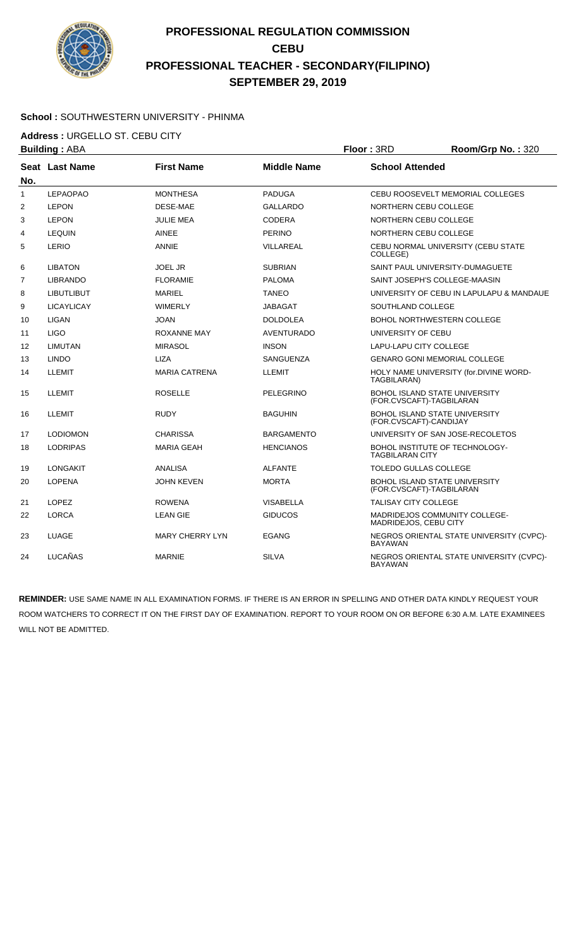

#### **School :** SOUTHWESTERN UNIVERSITY - PHINMA

**Address :** URGELLO ST. CEBU CITY

|                   | Floor: 3RD<br><b>Building: ABA</b> |                        | Room/Grp No.: 320  |                                                                  |                                          |
|-------------------|------------------------------------|------------------------|--------------------|------------------------------------------------------------------|------------------------------------------|
| No.               | Seat Last Name                     | <b>First Name</b>      | <b>Middle Name</b> | <b>School Attended</b>                                           |                                          |
| $\mathbf{1}$      | <b>LEPAOPAO</b>                    | <b>MONTHESA</b>        | <b>PADUGA</b>      |                                                                  | CEBU ROOSEVELT MEMORIAL COLLEGES         |
| $\overline{2}$    | <b>LEPON</b>                       | <b>DESE-MAE</b>        | <b>GALLARDO</b>    | NORTHERN CEBU COLLEGE                                            |                                          |
| 3                 | <b>LEPON</b>                       | <b>JULIE MEA</b>       | <b>CODERA</b>      | NORTHERN CEBU COLLEGE                                            |                                          |
| 4                 | <b>LEQUIN</b>                      | <b>AINEE</b>           | <b>PERINO</b>      | NORTHERN CEBU COLLEGE                                            |                                          |
| 5                 | LERIO                              | <b>ANNIE</b>           | VILLAREAL          | COLLEGE)                                                         | CEBU NORMAL UNIVERSITY (CEBU STATE       |
| 6                 | <b>LIBATON</b>                     | <b>JOEL JR</b>         | <b>SUBRIAN</b>     | SAINT PAUL UNIVERSITY-DUMAGUETE                                  |                                          |
| $\overline{7}$    | <b>LIBRANDO</b>                    | <b>FLORAMIE</b>        | <b>PALOMA</b>      | SAINT JOSEPH'S COLLEGE-MAASIN                                    |                                          |
| 8                 | <b>LIBUTLIBUT</b>                  | <b>MARIEL</b>          | <b>TANEO</b>       |                                                                  | UNIVERSITY OF CEBU IN LAPULAPU & MANDAUE |
| 9                 | <b>LICAYLICAY</b>                  | <b>WIMERLY</b>         | JABAGAT            | SOUTHLAND COLLEGE                                                |                                          |
| 10                | LIGAN                              | <b>JOAN</b>            | <b>DOLDOLEA</b>    | <b>BOHOL NORTHWESTERN COLLEGE</b>                                |                                          |
| 11                | <b>LIGO</b>                        | <b>ROXANNE MAY</b>     | <b>AVENTURADO</b>  | UNIVERSITY OF CEBU                                               |                                          |
| $12 \overline{ }$ | <b>LIMUTAN</b>                     | <b>MIRASOL</b>         | <b>INSON</b>       | LAPU-LAPU CITY COLLEGE                                           |                                          |
| 13                | <b>LINDO</b>                       | <b>LIZA</b>            | <b>SANGUENZA</b>   | <b>GENARO GONI MEMORIAL COLLEGE</b>                              |                                          |
| 14                | <b>LLEMIT</b>                      | <b>MARIA CATRENA</b>   | <b>LLEMIT</b>      | TAGBILARAN)                                                      | HOLY NAME UNIVERSITY (for.DIVINE WORD-   |
| 15                | <b>LLEMIT</b>                      | <b>ROSELLE</b>         | PELEGRINO          | BOHOL ISLAND STATE UNIVERSITY<br>(FOR.CVSCAFT)-TAGBILARAN        |                                          |
| 16                | <b>LLEMIT</b>                      | <b>RUDY</b>            | <b>BAGUHIN</b>     | <b>BOHOL ISLAND STATE UNIVERSITY</b><br>(FOR.CVSCAFT)-CANDIJAY   |                                          |
| 17                | <b>LODIOMON</b>                    | <b>CHARISSA</b>        | <b>BARGAMENTO</b>  |                                                                  | UNIVERSITY OF SAN JOSE-RECOLETOS         |
| 18                | <b>LODRIPAS</b>                    | <b>MARIA GEAH</b>      | <b>HENCIANOS</b>   | BOHOL INSTITUTE OF TECHNOLOGY-<br><b>TAGBILARAN CITY</b>         |                                          |
| 19                | <b>LONGAKIT</b>                    | ANALISA                | <b>ALFANTE</b>     | <b>TOLEDO GULLAS COLLEGE</b>                                     |                                          |
| 20                | <b>LOPENA</b>                      | <b>JOHN KEVEN</b>      | <b>MORTA</b>       | <b>BOHOL ISLAND STATE UNIVERSITY</b><br>(FOR.CVSCAFT)-TAGBILARAN |                                          |
| 21                | <b>LOPEZ</b>                       | <b>ROWENA</b>          | <b>VISABELLA</b>   | <b>TALISAY CITY COLLEGE</b>                                      |                                          |
| 22                | <b>LORCA</b>                       | <b>LEAN GIE</b>        | <b>GIDUCOS</b>     | MADRIDEJOS COMMUNITY COLLEGE-<br>MADRIDEJOS, CEBU CITY           |                                          |
| 23                | <b>LUAGE</b>                       | <b>MARY CHERRY LYN</b> | <b>EGANG</b>       | <b>BAYAWAN</b>                                                   | NEGROS ORIENTAL STATE UNIVERSITY (CVPC)- |
| 24                | LUCAÑAS                            | <b>MARNIE</b>          | <b>SILVA</b>       | <b>BAYAWAN</b>                                                   | NEGROS ORIENTAL STATE UNIVERSITY (CVPC)- |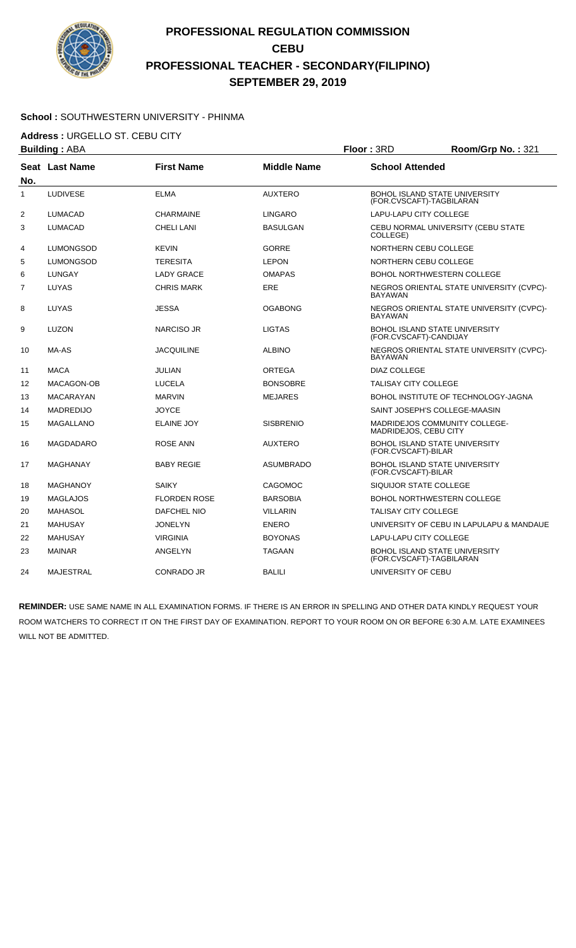

#### **School :** SOUTHWESTERN UNIVERSITY - PHINMA

**Address :** URGELLO ST. CEBU CITY

| <b>Building: ABA</b> |                  |                     |                    | Floor: 3RD                                                       | Room/Grp No.: 321                        |
|----------------------|------------------|---------------------|--------------------|------------------------------------------------------------------|------------------------------------------|
| No.                  | Seat Last Name   | <b>First Name</b>   | <b>Middle Name</b> | <b>School Attended</b>                                           |                                          |
| $\mathbf{1}$         | <b>LUDIVESE</b>  | <b>ELMA</b>         | <b>AUXTERO</b>     | <b>BOHOL ISLAND STATE UNIVERSITY</b><br>(FOR.CVSCAFT)-TAGBILARAN |                                          |
| $\overline{2}$       | <b>LUMACAD</b>   | <b>CHARMAINE</b>    | <b>LINGARO</b>     | <b>LAPU-LAPU CITY COLLEGE</b>                                    |                                          |
| 3                    | <b>LUMACAD</b>   | CHELI LANI          | <b>BASULGAN</b>    | COLLEGE)                                                         | CEBU NORMAL UNIVERSITY (CEBU STATE       |
| 4                    | <b>LUMONGSOD</b> | <b>KEVIN</b>        | <b>GORRE</b>       | <b>NORTHERN CEBU COLLEGE</b>                                     |                                          |
| 5                    | LUMONGSOD        | TERESITA            | <b>LEPON</b>       | NORTHERN CEBU COLLEGE                                            |                                          |
| 6                    | <b>LUNGAY</b>    | <b>LADY GRACE</b>   | <b>OMAPAS</b>      | <b>BOHOL NORTHWESTERN COLLEGE</b>                                |                                          |
| 7                    | LUYAS            | <b>CHRIS MARK</b>   | <b>ERE</b>         | <b>BAYAWAN</b>                                                   | NEGROS ORIENTAL STATE UNIVERSITY (CVPC)- |
| 8                    | LUYAS            | JESSA               | <b>OGABONG</b>     | <b>BAYAWAN</b>                                                   | NEGROS ORIENTAL STATE UNIVERSITY (CVPC)- |
| 9                    | <b>LUZON</b>     | NARCISO JR          | <b>LIGTAS</b>      | <b>BOHOL ISLAND STATE UNIVERSITY</b><br>(FOR.CVSCAFT)-CANDIJAY   |                                          |
| 10                   | MA-AS            | <b>JACQUILINE</b>   | <b>ALBINO</b>      | <b>BAYAWAN</b>                                                   | NEGROS ORIENTAL STATE UNIVERSITY (CVPC)- |
| 11                   | <b>MACA</b>      | JULIAN              | ORTEGA             | <b>DIAZ COLLEGE</b>                                              |                                          |
| 12                   | MACAGON-OB       | <b>LUCELA</b>       | <b>BONSOBRE</b>    | TALISAY CITY COLLEGE                                             |                                          |
| 13                   | <b>MACARAYAN</b> | <b>MARVIN</b>       | <b>MEJARES</b>     |                                                                  | BOHOL INSTITUTE OF TECHNOLOGY-JAGNA      |
| 14                   | <b>MADREDIJO</b> | <b>JOYCE</b>        |                    | SAINT JOSEPH'S COLLEGE-MAASIN                                    |                                          |
| 15                   | <b>MAGALLANO</b> | <b>ELAINE JOY</b>   | <b>SISBRENIO</b>   | MADRIDEJOS COMMUNITY COLLEGE-<br>MADRIDEJOS, CEBU CITY           |                                          |
| 16                   | MAGDADARO        | ROSE ANN            | <b>AUXTERO</b>     | <b>BOHOL ISLAND STATE UNIVERSITY</b><br>(FOR.CVSCAFT)-BILAR      |                                          |
| 17                   | <b>MAGHANAY</b>  | <b>BABY REGIE</b>   | <b>ASUMBRADO</b>   | <b>BOHOL ISLAND STATE UNIVERSITY</b><br>(FOR.CVSCAFT)-BILAR      |                                          |
| 18                   | <b>MAGHANOY</b>  | <b>SAIKY</b>        | <b>CAGOMOC</b>     | SIQUIJOR STATE COLLEGE                                           |                                          |
| 19                   | <b>MAGLAJOS</b>  | <b>FLORDEN ROSE</b> | <b>BARSOBIA</b>    | <b>BOHOL NORTHWESTERN COLLEGE</b>                                |                                          |
| 20                   | <b>MAHASOL</b>   | DAFCHEL NIO         | <b>VILLARIN</b>    | TALISAY CITY COLLEGE                                             |                                          |
| 21                   | <b>MAHUSAY</b>   | <b>JONELYN</b>      | <b>ENERO</b>       |                                                                  | UNIVERSITY OF CEBU IN LAPULAPU & MANDAUE |
| 22                   | <b>MAHUSAY</b>   | <b>VIRGINIA</b>     | <b>BOYONAS</b>     | LAPU-LAPU CITY COLLEGE                                           |                                          |
| 23                   | <b>MAINAR</b>    | ANGELYN             | <b>TAGAAN</b>      | <b>BOHOL ISLAND STATE UNIVERSITY</b><br>(FOR.CVSCAFT)-TAGBILARAN |                                          |
| 24                   | <b>MAJESTRAL</b> | CONRADO JR          | <b>BALILI</b>      | UNIVERSITY OF CEBU                                               |                                          |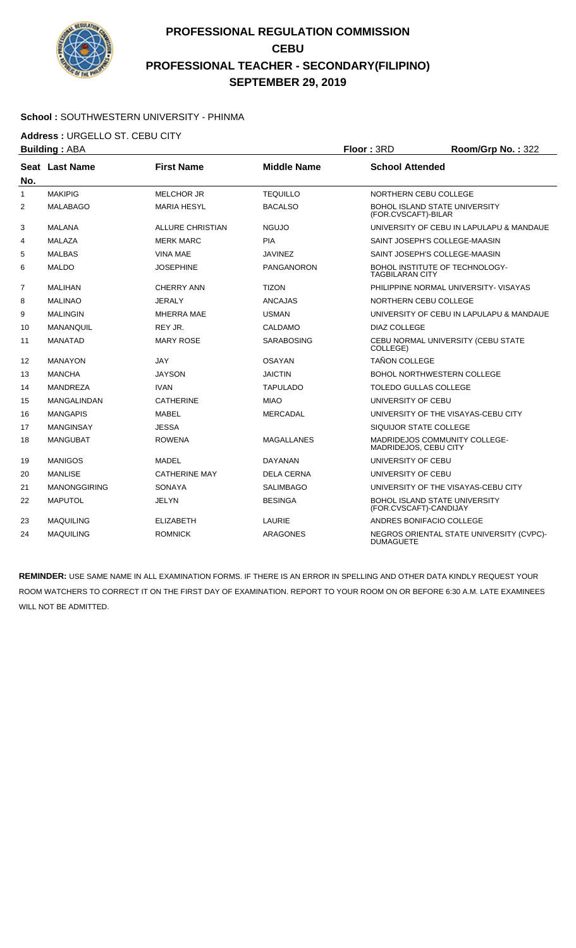

#### **School :** SOUTHWESTERN UNIVERSITY - PHINMA

**Address :** URGELLO ST. CEBU CITY

| <b>Building: ABA</b><br>Floor: 3RD |                     |                         |                    | Room/Grp No.: 322                                              |                                          |
|------------------------------------|---------------------|-------------------------|--------------------|----------------------------------------------------------------|------------------------------------------|
| No.                                | Seat Last Name      | <b>First Name</b>       | <b>Middle Name</b> | <b>School Attended</b>                                         |                                          |
| $\mathbf{1}$                       | <b>MAKIPIG</b>      | <b>MELCHOR JR</b>       | <b>TEQUILLO</b>    | NORTHERN CEBU COLLEGE                                          |                                          |
| $\overline{2}$                     | <b>MALABAGO</b>     | <b>MARIA HESYL</b>      | <b>BACALSO</b>     | <b>BOHOL ISLAND STATE UNIVERSITY</b><br>(FOR.CVSCAFT)-BILAR    |                                          |
| 3                                  | <b>MALANA</b>       | <b>ALLURE CHRISTIAN</b> | <b>NGUJO</b>       |                                                                | UNIVERSITY OF CEBU IN LAPULAPU & MANDAUE |
| 4                                  | <b>MALAZA</b>       | <b>MERK MARC</b>        | <b>PIA</b>         | SAINT JOSEPH'S COLLEGE-MAASIN                                  |                                          |
| 5                                  | <b>MALBAS</b>       | <b>VINA MAE</b>         | <b>JAVINEZ</b>     | SAINT JOSEPH'S COLLEGE-MAASIN                                  |                                          |
| 6                                  | <b>MALDO</b>        | <b>JOSEPHINE</b>        | <b>PANGANORON</b>  | BOHOL INSTITUTE OF TECHNOLOGY-<br><b>TAGBILARAN CITY</b>       |                                          |
| $\overline{7}$                     | <b>MALIHAN</b>      | <b>CHERRY ANN</b>       | <b>TIZON</b>       |                                                                | PHILIPPINE NORMAL UNIVERSITY- VISAYAS    |
| 8                                  | <b>MALINAO</b>      | <b>JERALY</b>           | <b>ANCAJAS</b>     | NORTHERN CEBU COLLEGE                                          |                                          |
| 9                                  | <b>MALINGIN</b>     | <b>MHERRA MAE</b>       | <b>USMAN</b>       |                                                                | UNIVERSITY OF CEBU IN LAPULAPU & MANDAUE |
| 10                                 | <b>MANANQUIL</b>    | REY JR.                 | CALDAMO            | DIAZ COLLEGE                                                   |                                          |
| 11                                 | <b>MANATAD</b>      | <b>MARY ROSE</b>        | <b>SARABOSING</b>  | COLLEGE)                                                       | CEBU NORMAL UNIVERSITY (CEBU STATE       |
| $12 \overline{ }$                  | <b>MANAYON</b>      | <b>JAY</b>              | <b>OSAYAN</b>      | <b>TAÑON COLLEGE</b>                                           |                                          |
| 13                                 | <b>MANCHA</b>       | <b>JAYSON</b>           | <b>JAICTIN</b>     | <b>BOHOL NORTHWESTERN COLLEGE</b>                              |                                          |
| 14                                 | MANDREZA            | <b>IVAN</b>             | <b>TAPULADO</b>    | <b>TOLEDO GULLAS COLLEGE</b>                                   |                                          |
| 15                                 | <b>MANGALINDAN</b>  | <b>CATHERINE</b>        | <b>MIAO</b>        | UNIVERSITY OF CEBU                                             |                                          |
| 16                                 | <b>MANGAPIS</b>     | <b>MABEL</b>            | <b>MERCADAL</b>    |                                                                | UNIVERSITY OF THE VISAYAS-CEBU CITY      |
| 17                                 | <b>MANGINSAY</b>    | <b>JESSA</b>            |                    | SIQUIJOR STATE COLLEGE                                         |                                          |
| 18                                 | <b>MANGUBAT</b>     | <b>ROWENA</b>           | <b>MAGALLANES</b>  | MADRIDEJOS COMMUNITY COLLEGE-<br>MADRIDEJOS, CEBU CITY         |                                          |
| 19                                 | <b>MANIGOS</b>      | MADEL                   | <b>DAYANAN</b>     | UNIVERSITY OF CEBU                                             |                                          |
| 20                                 | <b>MANLISE</b>      | <b>CATHERINE MAY</b>    | <b>DELA CERNA</b>  | UNIVERSITY OF CEBU                                             |                                          |
| 21                                 | <b>MANONGGIRING</b> | <b>SONAYA</b>           | <b>SALIMBAGO</b>   |                                                                | UNIVERSITY OF THE VISAYAS-CEBU CITY      |
| 22                                 | <b>MAPUTOL</b>      | JELYN                   | <b>BESINGA</b>     | <b>BOHOL ISLAND STATE UNIVERSITY</b><br>(FOR.CVSCAFT)-CANDIJAY |                                          |
| 23                                 | <b>MAQUILING</b>    | <b>ELIZABETH</b>        | LAURIE             | ANDRES BONIFACIO COLLEGE                                       |                                          |
| 24                                 | <b>MAQUILING</b>    | <b>ROMNICK</b>          | <b>ARAGONES</b>    | <b>DUMAGUETE</b>                                               | NEGROS ORIENTAL STATE UNIVERSITY (CVPC)- |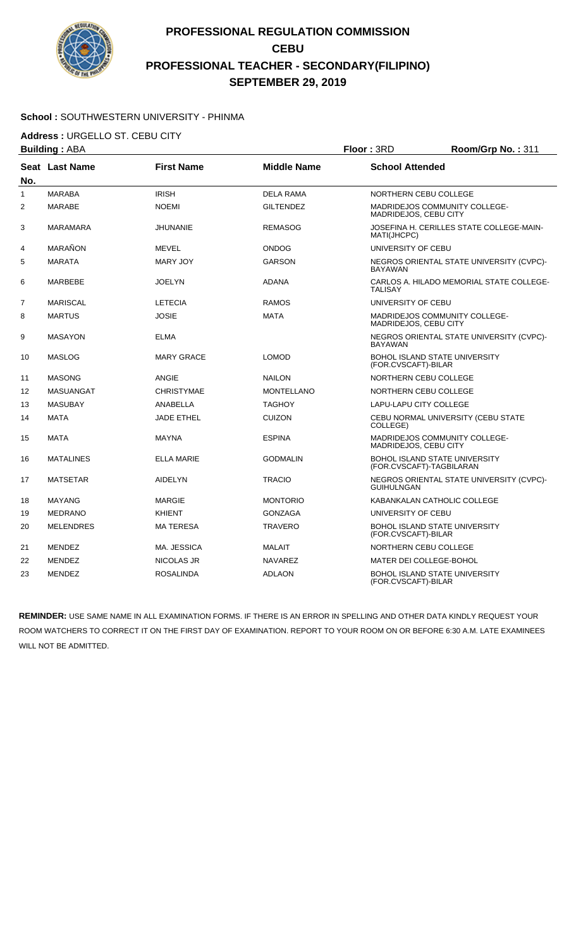

#### **School :** SOUTHWESTERN UNIVERSITY - PHINMA

**Address : URGELLO ST. CEBU CITY**<br>**Building** : ABA

|                | <b>Building: ABA</b> | Floor: 3RD        |                    |                                                                  | Room/Grp No.: 311                        |
|----------------|----------------------|-------------------|--------------------|------------------------------------------------------------------|------------------------------------------|
| No.            | Seat Last Name       | <b>First Name</b> | <b>Middle Name</b> | <b>School Attended</b>                                           |                                          |
| $\mathbf{1}$   | <b>MARABA</b>        | <b>IRISH</b>      | <b>DELA RAMA</b>   | NORTHERN CEBU COLLEGE                                            |                                          |
| $\overline{2}$ | MARABE               | <b>NOEMI</b>      | <b>GILTENDEZ</b>   | MADRIDEJOS COMMUNITY COLLEGE-<br>MADRIDEJOS, CEBU CITY           |                                          |
| 3              | <b>MARAMARA</b>      | <b>JHUNANIE</b>   | <b>REMASOG</b>     | MATI(JHCPC)                                                      | JOSEFINA H. CERILLES STATE COLLEGE-MAIN- |
| 4              | MARAÑON              | MEVEL             | <b>ONDOG</b>       | UNIVERSITY OF CEBU                                               |                                          |
| 5              | <b>MARATA</b>        | <b>MARY JOY</b>   | <b>GARSON</b>      | <b>BAYAWAN</b>                                                   | NEGROS ORIENTAL STATE UNIVERSITY (CVPC)- |
| 6              | <b>MARBEBE</b>       | <b>JOELYN</b>     | <b>ADANA</b>       | <b>TALISAY</b>                                                   | CARLOS A. HILADO MEMORIAL STATE COLLEGE- |
| $\overline{7}$ | <b>MARISCAL</b>      | <b>LETECIA</b>    | <b>RAMOS</b>       | UNIVERSITY OF CEBU                                               |                                          |
| 8              | <b>MARTUS</b>        | <b>JOSIE</b>      | <b>MATA</b>        | MADRIDEJOS COMMUNITY COLLEGE-<br>MADRIDEJOS, CEBU CITY           |                                          |
| 9              | <b>MASAYON</b>       | <b>ELMA</b>       |                    | <b>BAYAWAN</b>                                                   | NEGROS ORIENTAL STATE UNIVERSITY (CVPC)- |
| 10             | <b>MASLOG</b>        | <b>MARY GRACE</b> | <b>LOMOD</b>       | <b>BOHOL ISLAND STATE UNIVERSITY</b><br>(FOR.CVSCAFT)-BILAR      |                                          |
| 11             | <b>MASONG</b>        | <b>ANGIE</b>      | <b>NAILON</b>      | NORTHERN CEBU COLLEGE                                            |                                          |
| 12             | <b>MASUANGAT</b>     | <b>CHRISTYMAE</b> | <b>MONTELLANO</b>  | <b>NORTHERN CEBU COLLEGE</b>                                     |                                          |
| 13             | <b>MASUBAY</b>       | ANABELLA          | <b>TAGHOY</b>      | <b>LAPU-LAPU CITY COLLEGE</b>                                    |                                          |
| 14             | <b>MATA</b>          | <b>JADE ETHEL</b> | <b>CUIZON</b>      | COLLEGE)                                                         | CEBU NORMAL UNIVERSITY (CEBU STATE       |
| 15             | <b>MATA</b>          | <b>MAYNA</b>      | <b>ESPINA</b>      | MADRIDEJOS COMMUNITY COLLEGE-<br>MADRIDEJOS, CEBU CITY           |                                          |
| 16             | <b>MATALINES</b>     | <b>ELLA MARIE</b> | <b>GODMALIN</b>    | <b>BOHOL ISLAND STATE UNIVERSITY</b><br>(FOR.CVSCAFT)-TAGBILARAN |                                          |
| 17             | <b>MATSETAR</b>      | <b>AIDELYN</b>    | <b>TRACIO</b>      | <b>GUIHULNGAN</b>                                                | NEGROS ORIENTAL STATE UNIVERSITY (CVPC)- |
| 18             | <b>MAYANG</b>        | <b>MARGIE</b>     | <b>MONTORIO</b>    | KABANKALAN CATHOLIC COLLEGE                                      |                                          |
| 19             | <b>MEDRANO</b>       | <b>KHIENT</b>     | <b>GONZAGA</b>     | UNIVERSITY OF CEBU                                               |                                          |
| 20             | <b>MELENDRES</b>     | <b>MATERESA</b>   | <b>TRAVERO</b>     | <b>BOHOL ISLAND STATE UNIVERSITY</b><br>(FOR.CVSCAFT)-BILAR      |                                          |
| 21             | <b>MENDEZ</b>        | MA. JESSICA       | <b>MALAIT</b>      | NORTHERN CEBU COLLEGE                                            |                                          |
| 22             | <b>MENDEZ</b>        | NICOLAS JR        | <b>NAVAREZ</b>     | MATER DEI COLLEGE-BOHOL                                          |                                          |
| 23             | <b>MENDEZ</b>        | <b>ROSALINDA</b>  | <b>ADLAON</b>      | <b>BOHOL ISLAND STATE UNIVERSITY</b><br>(FOR.CVSCAFT)-BILAR      |                                          |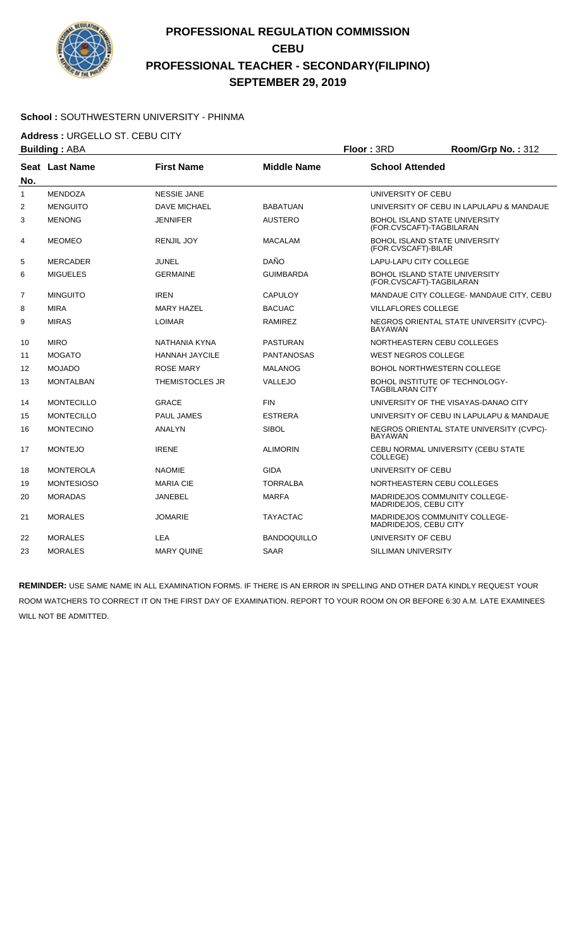

#### **School :** SOUTHWESTERN UNIVERSITY - PHINMA

**Address :** URGELLO ST. CEBU CITY

| <b>Building: ABA</b> |                       |                        |                    | Floor: 3RD                                                       | Room/Grp No.: 312                        |
|----------------------|-----------------------|------------------------|--------------------|------------------------------------------------------------------|------------------------------------------|
| No.                  | <b>Seat Last Name</b> | <b>First Name</b>      | <b>Middle Name</b> | <b>School Attended</b>                                           |                                          |
| $\mathbf{1}$         | <b>MENDOZA</b>        | <b>NESSIE JANE</b>     |                    | UNIVERSITY OF CEBU                                               |                                          |
| 2                    | <b>MENGUITO</b>       | <b>DAVE MICHAEL</b>    | <b>BABATUAN</b>    |                                                                  | UNIVERSITY OF CEBU IN LAPULAPU & MANDAUE |
| 3                    | <b>MENONG</b>         | <b>JENNIFER</b>        | <b>AUSTERO</b>     | <b>BOHOL ISLAND STATE UNIVERSITY</b><br>(FOR.CVSCAFT)-TAGBILARAN |                                          |
| 4                    | <b>MEOMEO</b>         | <b>RENJIL JOY</b>      | <b>MACALAM</b>     | BOHOL ISLAND STATE UNIVERSITY<br>(FOR.CVSCAFT)-BILAR             |                                          |
| 5                    | <b>MERCADER</b>       | JUNEL                  | <b>DAÑO</b>        | LAPU-LAPU CITY COLLEGE                                           |                                          |
| 6                    | <b>MIGUELES</b>       | <b>GERMAINE</b>        | <b>GUIMBARDA</b>   | BOHOL ISLAND STATE UNIVERSITY<br>(FOR.CVSCAFT)-TAGBILARAN        |                                          |
| $\overline{7}$       | <b>MINGUITO</b>       | <b>IREN</b>            | CAPULOY            |                                                                  | MANDAUE CITY COLLEGE- MANDAUE CITY, CEBU |
| 8                    | <b>MIRA</b>           | <b>MARY HAZEL</b>      | <b>BACUAC</b>      | <b>VILLAFLORES COLLEGE</b>                                       |                                          |
| 9                    | <b>MIRAS</b>          | <b>LOIMAR</b>          | <b>RAMIREZ</b>     | <b>BAYAWAN</b>                                                   | NEGROS ORIENTAL STATE UNIVERSITY (CVPC)- |
| 10                   | <b>MIRO</b>           | NATHANIA KYNA          | <b>PASTURAN</b>    | NORTHEASTERN CEBU COLLEGES                                       |                                          |
| 11                   | <b>MOGATO</b>         | <b>HANNAH JAYCILE</b>  | <b>PANTANOSAS</b>  | <b>WEST NEGROS COLLEGE</b>                                       |                                          |
| $12 \overline{ }$    | <b>MOJADO</b>         | <b>ROSE MARY</b>       | <b>MALANOG</b>     | <b>BOHOL NORTHWESTERN COLLEGE</b>                                |                                          |
| 13                   | <b>MONTALBAN</b>      | <b>THEMISTOCLES JR</b> | VALLEJO            | BOHOL INSTITUTE OF TECHNOLOGY-<br><b>TAGBILARAN CITY</b>         |                                          |
| 14                   | <b>MONTECILLO</b>     | <b>GRACE</b>           | <b>FIN</b>         |                                                                  | UNIVERSITY OF THE VISAYAS-DANAO CITY     |
| 15                   | <b>MONTECILLO</b>     | <b>PAUL JAMES</b>      | <b>ESTRERA</b>     |                                                                  | UNIVERSITY OF CEBU IN LAPULAPU & MANDAUE |
| 16                   | <b>MONTECINO</b>      | <b>ANALYN</b>          | <b>SIBOL</b>       | <b>BAYAWAN</b>                                                   | NEGROS ORIENTAL STATE UNIVERSITY (CVPC)- |
| 17                   | <b>MONTEJO</b>        | <b>IRENE</b>           | <b>ALIMORIN</b>    | COLLEGE)                                                         | CEBU NORMAL UNIVERSITY (CEBU STATE       |
| 18                   | <b>MONTEROLA</b>      | <b>NAOMIE</b>          | <b>GIDA</b>        | UNIVERSITY OF CEBU                                               |                                          |
| 19                   | <b>MONTESIOSO</b>     | <b>MARIA CIE</b>       | <b>TORRALBA</b>    | NORTHEASTERN CEBU COLLEGES                                       |                                          |
| 20                   | <b>MORADAS</b>        | <b>JANEBEL</b>         | <b>MARFA</b>       | <b>MADRIDEJOS COMMUNITY COLLEGE-</b><br>MADRIDEJOS, CEBU CITY    |                                          |
| 21                   | <b>MORALES</b>        | <b>JOMARIE</b>         | <b>TAYACTAC</b>    | MADRIDEJOS COMMUNITY COLLEGE-<br>MADRIDEJOS, CEBU CITY           |                                          |
| 22                   | <b>MORALES</b>        | <b>LEA</b>             | <b>BANDOQUILLO</b> | UNIVERSITY OF CEBU                                               |                                          |
| 23                   | <b>MORALES</b>        | <b>MARY QUINE</b>      | <b>SAAR</b>        | SILLIMAN UNIVERSITY                                              |                                          |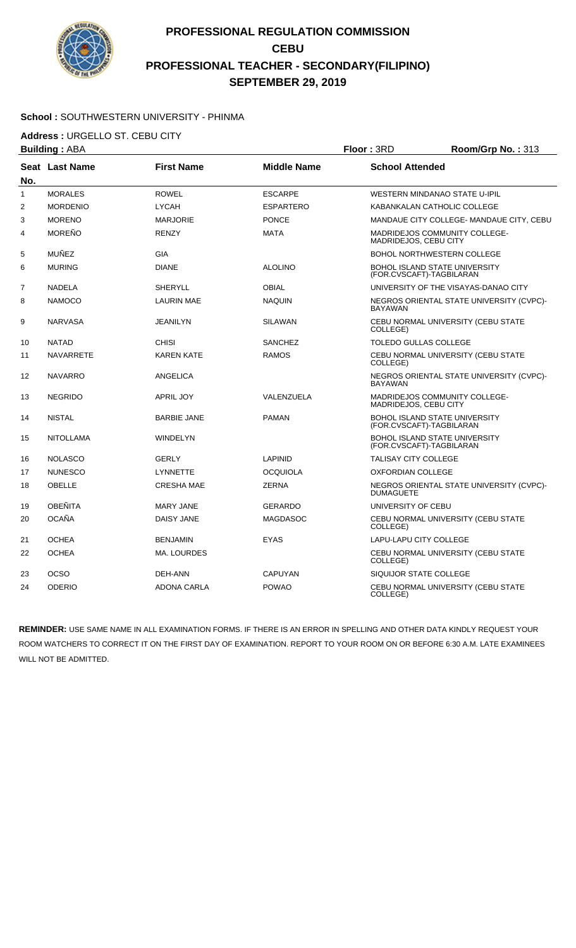

#### **School :** SOUTHWESTERN UNIVERSITY - PHINMA

**Address : URGELLO ST. CEBU CITY**<br>**Building** : ABA

|                | <b>Building: ABA</b> |                    |                    | Floor: 3RD<br>Room/Grp No.: 313 |                                                                  |
|----------------|----------------------|--------------------|--------------------|---------------------------------|------------------------------------------------------------------|
| No.            | Seat Last Name       | <b>First Name</b>  | <b>Middle Name</b> | <b>School Attended</b>          |                                                                  |
| $\mathbf{1}$   | <b>MORALES</b>       | <b>ROWEL</b>       | <b>ESCARPE</b>     |                                 | <b>WESTERN MINDANAO STATE U-IPIL</b>                             |
| $\overline{2}$ | <b>MORDENIO</b>      | <b>LYCAH</b>       | <b>ESPARTERO</b>   |                                 | KABANKALAN CATHOLIC COLLEGE                                      |
| 3              | <b>MORENO</b>        | <b>MARJORIE</b>    | <b>PONCE</b>       |                                 | MANDAUE CITY COLLEGE- MANDAUE CITY, CEBU                         |
| 4              | MOREÑO               | <b>RENZY</b>       | <b>MATA</b>        | MADRIDEJOS, CEBU CITY           | <b>MADRIDEJOS COMMUNITY COLLEGE-</b>                             |
| 5              | <b>MUÑEZ</b>         | <b>GIA</b>         |                    |                                 | <b>BOHOL NORTHWESTERN COLLEGE</b>                                |
| 6              | <b>MURING</b>        | <b>DIANE</b>       | <b>ALOLINO</b>     |                                 | <b>BOHOL ISLAND STATE UNIVERSITY</b><br>(FOR.CVSCAFT)-TAGBILARAN |
| $\overline{7}$ | <b>NADELA</b>        | <b>SHERYLL</b>     | <b>OBIAL</b>       |                                 | UNIVERSITY OF THE VISAYAS-DANAO CITY                             |
| 8              | NAMOCO               | <b>LAURIN MAE</b>  | <b>NAQUIN</b>      | <b>BAYAWAN</b>                  | NEGROS ORIENTAL STATE UNIVERSITY (CVPC)-                         |
| 9              | <b>NARVASA</b>       | <b>JEANILYN</b>    | <b>SILAWAN</b>     | COLLEGE)                        | CEBU NORMAL UNIVERSITY (CEBU STATE                               |
| 10             | <b>NATAD</b>         | <b>CHISI</b>       | <b>SANCHEZ</b>     | <b>TOLEDO GULLAS COLLEGE</b>    |                                                                  |
| 11             | <b>NAVARRETE</b>     | <b>KAREN KATE</b>  | <b>RAMOS</b>       | COLLEGE)                        | CEBU NORMAL UNIVERSITY (CEBU STATE                               |
| 12             | <b>NAVARRO</b>       | <b>ANGELICA</b>    |                    | <b>BAYAWAN</b>                  | NEGROS ORIENTAL STATE UNIVERSITY (CVPC)-                         |
| 13             | <b>NEGRIDO</b>       | <b>APRIL JOY</b>   | VALENZUELA         | MADRIDEJOS, CEBU CITY           | <b>MADRIDEJOS COMMUNITY COLLEGE-</b>                             |
| 14             | <b>NISTAL</b>        | <b>BARBIE JANE</b> | <b>PAMAN</b>       |                                 | <b>BOHOL ISLAND STATE UNIVERSITY</b><br>(FOR.CVSCAFT)-TAGBILARAN |
| 15             | <b>NITOLLAMA</b>     | <b>WINDELYN</b>    |                    |                                 | <b>BOHOL ISLAND STATE UNIVERSITY</b><br>(FOR.CVSCAFT)-TAGBILARAN |
| 16             | <b>NOLASCO</b>       | <b>GERLY</b>       | <b>LAPINID</b>     | TALISAY CITY COLLEGE            |                                                                  |
| 17             | <b>NUNESCO</b>       | <b>LYNNETTE</b>    | <b>OCQUIOLA</b>    | <b>OXFORDIAN COLLEGE</b>        |                                                                  |
| 18             | <b>OBELLE</b>        | <b>CRESHA MAE</b>  | <b>ZERNA</b>       | <b>DUMAGUETE</b>                | NEGROS ORIENTAL STATE UNIVERSITY (CVPC)-                         |
| 19             | <b>OBEÑITA</b>       | <b>MARY JANE</b>   | <b>GERARDO</b>     | UNIVERSITY OF CEBU              |                                                                  |
| 20             | <b>OCAÑA</b>         | DAISY JANE         | <b>MAGDASOC</b>    | COLLEGE)                        | CEBU NORMAL UNIVERSITY (CEBU STATE                               |
| 21             | <b>OCHEA</b>         | <b>BENJAMIN</b>    | <b>EYAS</b>        | <b>LAPU-LAPU CITY COLLEGE</b>   |                                                                  |
| 22             | <b>OCHEA</b>         | MA. LOURDES        |                    | COLLEGE)                        | CEBU NORMAL UNIVERSITY (CEBU STATE                               |
| 23             | <b>OCSO</b>          | DEH-ANN            | <b>CAPUYAN</b>     | SIQUIJOR STATE COLLEGE          |                                                                  |
| 24             | <b>ODERIO</b>        | <b>ADONA CARLA</b> | <b>POWAO</b>       | COLLEGE)                        | CEBU NORMAL UNIVERSITY (CEBU STATE                               |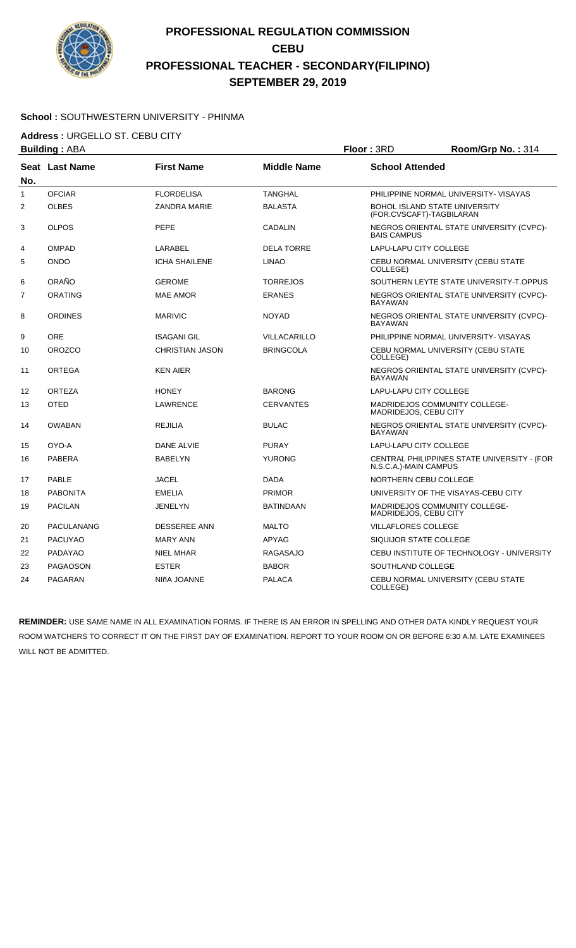

#### **School :** SOUTHWESTERN UNIVERSITY - PHINMA

**Address :** URGELLO ST. CEBU CITY

|                | <b>Building: ABA</b> |                        |                     | Floor: 3RD<br>Room/Grp No.: 314                                  |                                             |
|----------------|----------------------|------------------------|---------------------|------------------------------------------------------------------|---------------------------------------------|
| No.            | Seat Last Name       | <b>First Name</b>      | <b>Middle Name</b>  | <b>School Attended</b>                                           |                                             |
| $\mathbf{1}$   | <b>OFCIAR</b>        | <b>FLORDELISA</b>      | <b>TANGHAL</b>      |                                                                  | PHILIPPINE NORMAL UNIVERSITY- VISAYAS       |
| 2              | <b>OLBES</b>         | <b>ZANDRA MARIE</b>    | <b>BALASTA</b>      | <b>BOHOL ISLAND STATE UNIVERSITY</b><br>(FOR.CVSCAFT)-TAGBILARAN |                                             |
| 3              | <b>OLPOS</b>         | <b>PEPE</b>            | <b>CADALIN</b>      | <b>BAIS CAMPUS</b>                                               | NEGROS ORIENTAL STATE UNIVERSITY (CVPC)-    |
| 4              | <b>OMPAD</b>         | LARABEL                | <b>DELA TORRE</b>   | <b>LAPU-LAPU CITY COLLEGE</b>                                    |                                             |
| 5              | <b>ONDO</b>          | <b>ICHA SHAILENE</b>   | <b>LINAO</b>        | COLLEGE)                                                         | CEBU NORMAL UNIVERSITY (CEBU STATE          |
| 6              | ORAÑO                | <b>GEROME</b>          | <b>TORREJOS</b>     |                                                                  | SOUTHERN LEYTE STATE UNIVERSITY-T.OPPUS     |
| $\overline{7}$ | <b>ORATING</b>       | <b>MAE AMOR</b>        | <b>ERANES</b>       | <b>BAYAWAN</b>                                                   | NEGROS ORIENTAL STATE UNIVERSITY (CVPC)-    |
| 8              | <b>ORDINES</b>       | <b>MARIVIC</b>         | <b>NOYAD</b>        | <b>BAYAWAN</b>                                                   | NEGROS ORIENTAL STATE UNIVERSITY (CVPC)-    |
| 9              | <b>ORE</b>           | <b>ISAGANI GIL</b>     | <b>VILLACARILLO</b> |                                                                  | PHILIPPINE NORMAL UNIVERSITY- VISAYAS       |
| 10             | <b>OROZCO</b>        | <b>CHRISTIAN JASON</b> | <b>BRINGCOLA</b>    | COLLEGE)                                                         | CEBU NORMAL UNIVERSITY (CEBU STATE          |
| 11             | <b>ORTEGA</b>        | <b>KEN AIER</b>        |                     | <b>BAYAWAN</b>                                                   | NEGROS ORIENTAL STATE UNIVERSITY (CVPC)-    |
| 12             | <b>ORTEZA</b>        | <b>HONEY</b>           | <b>BARONG</b>       | LAPU-LAPU CITY COLLEGE                                           |                                             |
| 13             | <b>OTED</b>          | <b>LAWRENCE</b>        | <b>CERVANTES</b>    | MADRIDEJOS COMMUNITY COLLEGE-<br>MADRIDEJOS, CEBU CITY           |                                             |
| 14             | <b>OWABAN</b>        | <b>REJILIA</b>         | <b>BULAC</b>        | <b>BAYAWAN</b>                                                   | NEGROS ORIENTAL STATE UNIVERSITY (CVPC)-    |
| 15             | OYO-A                | DANE ALVIE             | <b>PURAY</b>        | <b>LAPU-LAPU CITY COLLEGE</b>                                    |                                             |
| 16             | <b>PABERA</b>        | <b>BABELYN</b>         | <b>YURONG</b>       | N.S.C.A.)-MAIN CAMPUS                                            | CENTRAL PHILIPPINES STATE UNIVERSITY - (FOR |
| 17             | PABLE                | <b>JACEL</b>           | <b>DADA</b>         | NORTHERN CEBU COLLEGE                                            |                                             |
| 18             | <b>PABONITA</b>      | <b>EMELIA</b>          | <b>PRIMOR</b>       |                                                                  | UNIVERSITY OF THE VISAYAS-CEBU CITY         |
| 19             | <b>PACILAN</b>       | <b>JENELYN</b>         | <b>BATINDAAN</b>    | MADRIDEJOS COMMUNITY COLLEGE-<br>MADRIDEJOS, CEBU CITY           |                                             |
| 20             | <b>PACULANANG</b>    | <b>DESSEREE ANN</b>    | <b>MALTO</b>        | <b>VILLAFLORES COLLEGE</b>                                       |                                             |
| 21             | <b>PACUYAO</b>       | <b>MARY ANN</b>        | APYAG               | SIQUIJOR STATE COLLEGE                                           |                                             |
| 22             | <b>PADAYAO</b>       | <b>NIEL MHAR</b>       | <b>RAGASAJO</b>     |                                                                  | CEBU INSTITUTE OF TECHNOLOGY - UNIVERSITY   |
| 23             | <b>PAGAOSON</b>      | <b>ESTER</b>           | <b>BABOR</b>        | SOUTHLAND COLLEGE                                                |                                             |
| 24             | <b>PAGARAN</b>       | NIñA JOANNE            | <b>PALACA</b>       | COLLEGE)                                                         | CEBU NORMAL UNIVERSITY (CEBU STATE          |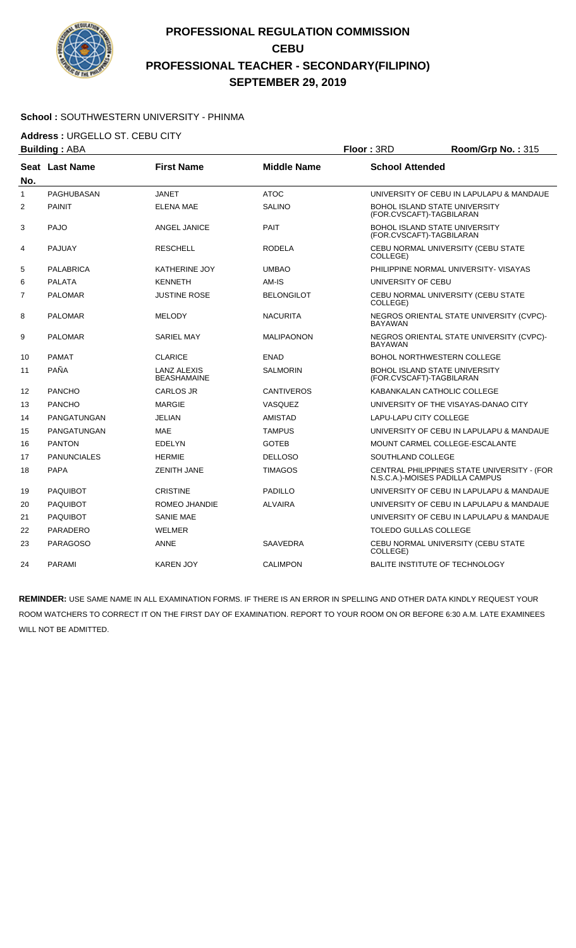

#### **School :** SOUTHWESTERN UNIVERSITY - PHINMA

**Address :** URGELLO ST. CEBU CITY

|     | <b>Building: ABA</b> | Floor: 3RD                               |                    |                                                                  | Room/Grp No.: 315                           |
|-----|----------------------|------------------------------------------|--------------------|------------------------------------------------------------------|---------------------------------------------|
| No. | Seat Last Name       | <b>First Name</b>                        | <b>Middle Name</b> | <b>School Attended</b>                                           |                                             |
| 1   | PAGHUBASAN           | <b>JANET</b>                             | <b>ATOC</b>        |                                                                  | UNIVERSITY OF CEBU IN LAPULAPU & MANDAUE    |
| 2   | <b>PAINIT</b>        | <b>ELENA MAE</b>                         | <b>SALINO</b>      | <b>BOHOL ISLAND STATE UNIVERSITY</b><br>(FOR.CVSCAFT)-TAGBILARAN |                                             |
| 3   | PAJO                 | ANGEL JANICE                             | <b>PAIT</b>        | BOHOL ISLAND STATE UNIVERSITY<br>(FOR.CVSCAFT)-TAGBILARAN        |                                             |
| 4   | <b>PAJUAY</b>        | <b>RESCHELL</b>                          | <b>RODELA</b>      | COLLEGE)                                                         | CEBU NORMAL UNIVERSITY (CEBU STATE          |
| 5   | PALABRICA            | <b>KATHERINE JOY</b>                     | <b>UMBAO</b>       |                                                                  | PHILIPPINE NORMAL UNIVERSITY- VISAYAS       |
| 6   | <b>PALATA</b>        | <b>KENNETH</b>                           | AM-IS              | UNIVERSITY OF CEBU                                               |                                             |
| 7   | <b>PALOMAR</b>       | JUSTINE ROSE                             | <b>BELONGILOT</b>  | COLLEGE)                                                         | CEBU NORMAL UNIVERSITY (CEBU STATE          |
| 8   | <b>PALOMAR</b>       | <b>MELODY</b>                            | NACURITA           | <b>BAYAWAN</b>                                                   | NEGROS ORIENTAL STATE UNIVERSITY (CVPC)-    |
| 9   | <b>PALOMAR</b>       | <b>SARIEL MAY</b>                        | <b>MALIPAONON</b>  | <b>BAYAWAN</b>                                                   | NEGROS ORIENTAL STATE UNIVERSITY (CVPC)-    |
| 10  | <b>PAMAT</b>         | <b>CLARICE</b>                           | <b>ENAD</b>        | <b>BOHOL NORTHWESTERN COLLEGE</b>                                |                                             |
| 11  | PAÑA                 | <b>LANZ ALEXIS</b><br><b>BEASHAMAINE</b> | SALMORIN           | <b>BOHOL ISLAND STATE UNIVERSITY</b><br>(FOR.CVSCAFT)-TAGBILARAN |                                             |
| 12  | <b>PANCHO</b>        | <b>CARLOS JR</b>                         | <b>CANTIVEROS</b>  | KABANKALAN CATHOLIC COLLEGE                                      |                                             |
| 13  | <b>PANCHO</b>        | <b>MARGIE</b>                            | <b>VASQUEZ</b>     |                                                                  | UNIVERSITY OF THE VISAYAS-DANAO CITY        |
| 14  | PANGATUNGAN          | <b>JELIAN</b>                            | <b>AMISTAD</b>     | LAPU-LAPU CITY COLLEGE                                           |                                             |
| 15  | PANGATUNGAN          | <b>MAE</b>                               | <b>TAMPUS</b>      |                                                                  | UNIVERSITY OF CEBU IN LAPULAPU & MANDAUE    |
| 16  | <b>PANTON</b>        | <b>EDELYN</b>                            | <b>GOTEB</b>       | MOUNT CARMEL COLLEGE-ESCALANTE                                   |                                             |
| 17  | <b>PANUNCIALES</b>   | <b>HERMIE</b>                            | <b>DELLOSO</b>     | SOUTHLAND COLLEGE                                                |                                             |
| 18  | <b>PAPA</b>          | <b>ZENITH JANE</b>                       | <b>TIMAGOS</b>     | N.S.C.A.)-MOISES PADILLA CAMPUS                                  | CENTRAL PHILIPPINES STATE UNIVERSITY - (FOR |
| 19  | <b>PAQUIBOT</b>      | <b>CRISTINE</b>                          | <b>PADILLO</b>     |                                                                  | UNIVERSITY OF CEBU IN LAPULAPU & MANDAUE    |
| 20  | <b>PAQUIBOT</b>      | ROMEO JHANDIE                            | <b>ALVAIRA</b>     |                                                                  | UNIVERSITY OF CEBU IN LAPULAPU & MANDAUE    |
| 21  | <b>PAQUIBOT</b>      | <b>SANIE MAE</b>                         |                    |                                                                  | UNIVERSITY OF CEBU IN LAPULAPU & MANDAUE    |
| 22  | <b>PARADERO</b>      | WELMER                                   |                    | <b>TOLEDO GULLAS COLLEGE</b>                                     |                                             |
| 23  | <b>PARAGOSO</b>      | <b>ANNE</b>                              | SAAVEDRA           | COLLEGE)                                                         | CEBU NORMAL UNIVERSITY (CEBU STATE          |
| 24  | <b>PARAMI</b>        | <b>KAREN JOY</b>                         | <b>CALIMPON</b>    | <b>BALITE INSTITUTE OF TECHNOLOGY</b>                            |                                             |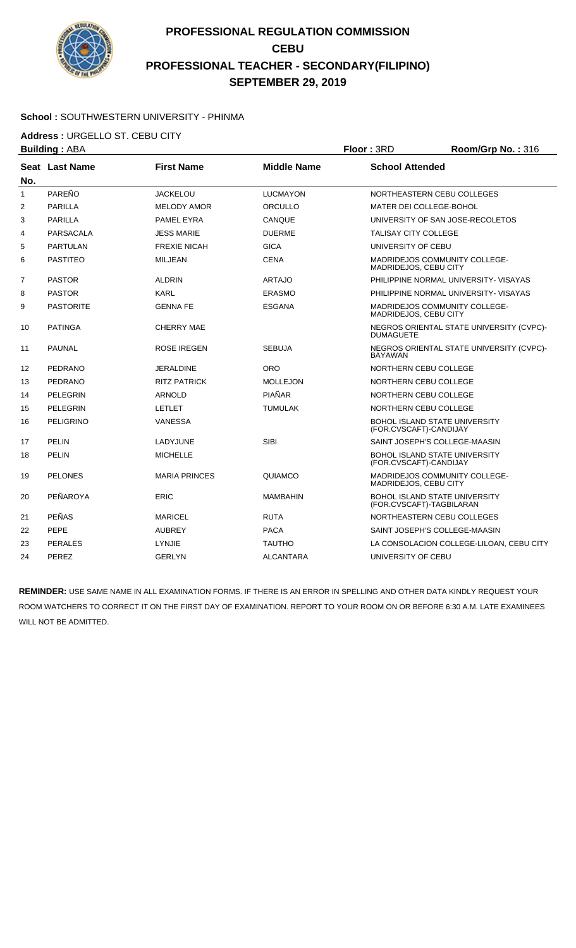

#### **School :** SOUTHWESTERN UNIVERSITY - PHINMA

**Address :** URGELLO ST. CEBU CITY

|              | <b>Building: ABA</b>  |                      |                    | Floor: 3RD<br>Room/Grp No.: 316 |                                          |
|--------------|-----------------------|----------------------|--------------------|---------------------------------|------------------------------------------|
| No.          | <b>Seat Last Name</b> | <b>First Name</b>    | <b>Middle Name</b> | <b>School Attended</b>          |                                          |
| $\mathbf{1}$ | PAREÑO                | <b>JACKELOU</b>      | <b>LUCMAYON</b>    |                                 | NORTHEASTERN CEBU COLLEGES               |
| 2            | <b>PARILLA</b>        | <b>MELODY AMOR</b>   | ORCULLO            | MATER DEI COLLEGE-BOHOL         |                                          |
| 3            | <b>PARILLA</b>        | PAMEL EYRA           | CANQUE             |                                 | UNIVERSITY OF SAN JOSE-RECOLETOS         |
| 4            | PARSACALA             | <b>JESS MARIE</b>    | <b>DUERME</b>      | TALISAY CITY COLLEGE            |                                          |
| 5            | PARTULAN              | <b>FREXIE NICAH</b>  | <b>GICA</b>        | UNIVERSITY OF CEBU              |                                          |
| 6            | <b>PASTITEO</b>       | <b>MILJEAN</b>       | <b>CENA</b>        | MADRIDEJOS, CEBU CITY           | <b>MADRIDEJOS COMMUNITY COLLEGE-</b>     |
| 7            | <b>PASTOR</b>         | <b>ALDRIN</b>        | <b>ARTAJO</b>      |                                 | PHILIPPINE NORMAL UNIVERSITY- VISAYAS    |
| 8            | <b>PASTOR</b>         | <b>KARL</b>          | <b>ERASMO</b>      |                                 | PHILIPPINE NORMAL UNIVERSITY- VISAYAS    |
| 9            | <b>PASTORITE</b>      | <b>GENNA FE</b>      | <b>ESGANA</b>      | MADRIDEJOS, CEBU CITY           | MADRIDEJOS COMMUNITY COLLEGE-            |
| 10           | <b>PATINGA</b>        | <b>CHERRY MAE</b>    |                    | <b>DUMAGUETE</b>                | NEGROS ORIENTAL STATE UNIVERSITY (CVPC)- |
| 11           | <b>PAUNAL</b>         | ROSE IREGEN          | <b>SEBUJA</b>      | <b>BAYAWAN</b>                  | NEGROS ORIENTAL STATE UNIVERSITY (CVPC)- |
| 12           | <b>PEDRANO</b>        | <b>JERALDINE</b>     | <b>ORO</b>         | NORTHERN CEBU COLLEGE           |                                          |
| 13           | <b>PEDRANO</b>        | <b>RITZ PATRICK</b>  | <b>MOLLEJON</b>    | NORTHERN CEBU COLLEGE           |                                          |
| 14           | <b>PELEGRIN</b>       | <b>ARNOLD</b>        | PIAÑAR             | NORTHERN CEBU COLLEGE           |                                          |
| 15           | <b>PELEGRIN</b>       | <b>LETLET</b>        | <b>TUMULAK</b>     | NORTHERN CEBU COLLEGE           |                                          |
| 16           | <b>PELIGRINO</b>      | VANESSA              |                    | (FOR.CVSCAFT)-CANDIJAY          | BOHOL ISLAND STATE UNIVERSITY            |
| 17           | <b>PELIN</b>          | LADYJUNE             | <b>SIBI</b>        |                                 | SAINT JOSEPH'S COLLEGE-MAASIN            |
| 18           | <b>PELIN</b>          | <b>MICHELLE</b>      |                    | (FOR.CVSCAFT)-CANDIJAY          | BOHOL ISLAND STATE UNIVERSITY            |
| 19           | <b>PELONES</b>        | <b>MARIA PRINCES</b> | QUIAMCO            | MADRIDEJOS, CEBU CITY           | MADRIDEJOS COMMUNITY COLLEGE-            |
| 20           | PEÑAROYA              | <b>ERIC</b>          | <b>MAMBAHIN</b>    | (FOR.CVSCAFT)-TAGBILARAN        | <b>BOHOL ISLAND STATE UNIVERSITY</b>     |
| 21           | <b>PEÑAS</b>          | <b>MARICEL</b>       | <b>RUTA</b>        |                                 | NORTHEASTERN CEBU COLLEGES               |
| 22           | <b>PEPE</b>           | <b>AUBREY</b>        | <b>PACA</b>        |                                 | SAINT JOSEPH'S COLLEGE-MAASIN            |
| 23           | <b>PERALES</b>        | LYNJIE               | <b>TAUTHO</b>      |                                 | LA CONSOLACION COLLEGE-LILOAN, CEBU CITY |
| 24           | PEREZ                 | GERLYN               | <b>ALCANTARA</b>   | UNIVERSITY OF CEBU              |                                          |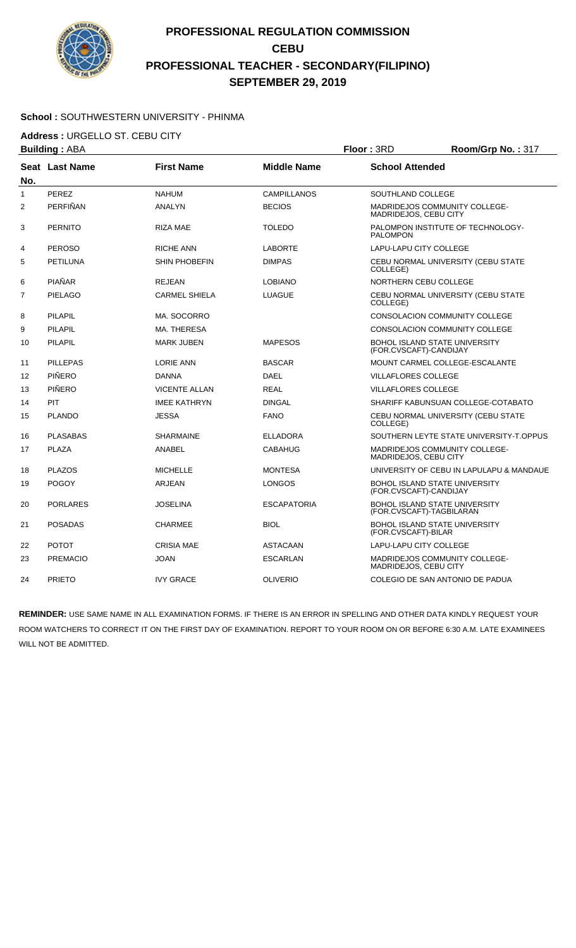

### **School :** SOUTHWESTERN UNIVERSITY - PHINMA

**Address :** URGELLO ST. CEBU CITY

|                | <b>Building: ABA</b> |                      |                    | Floor: 3RD<br>Room/Grp No.: 317                                  |                                          |
|----------------|----------------------|----------------------|--------------------|------------------------------------------------------------------|------------------------------------------|
| No.            | Seat Last Name       | <b>First Name</b>    | <b>Middle Name</b> | <b>School Attended</b>                                           |                                          |
| $\mathbf{1}$   | PEREZ                | <b>NAHUM</b>         | <b>CAMPILLANOS</b> | SOUTHLAND COLLEGE                                                |                                          |
| 2              | PERFIÑAN             | <b>ANALYN</b>        | <b>BECIOS</b>      | <b>MADRIDEJOS COMMUNITY COLLEGE-</b><br>MADRIDEJOS, CEBU CITY    |                                          |
| 3              | <b>PERNITO</b>       | RIZA MAE             | <b>TOLEDO</b>      | <b>PALOMPON</b>                                                  | PALOMPON INSTITUTE OF TECHNOLOGY-        |
| 4              | <b>PEROSO</b>        | RICHE ANN            | <b>LABORTE</b>     | LAPU-LAPU CITY COLLEGE                                           |                                          |
| 5              | PETILUNA             | SHIN PHOBEFIN        | <b>DIMPAS</b>      | COLLEGE)                                                         | CEBU NORMAL UNIVERSITY (CEBU STATE       |
| 6              | <b>PIAÑAR</b>        | <b>REJEAN</b>        | <b>LOBIANO</b>     | NORTHERN CEBU COLLEGE                                            |                                          |
| $\overline{7}$ | <b>PIELAGO</b>       | <b>CARMEL SHIELA</b> | <b>LUAGUE</b>      | COLLEGE)                                                         | CEBU NORMAL UNIVERSITY (CEBU STATE       |
| 8              | <b>PILAPIL</b>       | MA. SOCORRO          |                    | CONSOLACION COMMUNITY COLLEGE                                    |                                          |
| 9              | <b>PILAPIL</b>       | MA. THERESA          |                    | CONSOLACION COMMUNITY COLLEGE                                    |                                          |
| 10             | <b>PILAPIL</b>       | <b>MARK JUBEN</b>    | <b>MAPESOS</b>     | <b>BOHOL ISLAND STATE UNIVERSITY</b><br>(FOR.CVSCAFT)-CANDIJAY   |                                          |
| 11             | <b>PILLEPAS</b>      | <b>LORIE ANN</b>     | <b>BASCAR</b>      | MOUNT CARMEL COLLEGE-ESCALANTE                                   |                                          |
| 12             | PIÑERO               | <b>DANNA</b>         | <b>DAEL</b>        | <b>VILLAFLORES COLLEGE</b>                                       |                                          |
| 13             | PIÑERO               | <b>VICENTE ALLAN</b> | <b>REAL</b>        | <b>VILLAFLORES COLLEGE</b>                                       |                                          |
| 14             | PIT                  | <b>IMEE KATHRYN</b>  | <b>DINGAL</b>      |                                                                  | SHARIFF KABUNSUAN COLLEGE-COTABATO       |
| 15             | <b>PLANDO</b>        | <b>JESSA</b>         | <b>FANO</b>        | COLLEGE)                                                         | CEBU NORMAL UNIVERSITY (CEBU STATE       |
| 16             | <b>PLASABAS</b>      | <b>SHARMAINE</b>     | <b>ELLADORA</b>    |                                                                  | SOUTHERN LEYTE STATE UNIVERSITY-T.OPPUS  |
| 17             | <b>PLAZA</b>         | <b>ANABEL</b>        | <b>CABAHUG</b>     | MADRIDEJOS COMMUNITY COLLEGE-<br>MADRIDEJOS, CEBU CITY           |                                          |
| 18             | <b>PLAZOS</b>        | <b>MICHELLE</b>      | <b>MONTESA</b>     |                                                                  | UNIVERSITY OF CEBU IN LAPULAPU & MANDAUE |
| 19             | <b>POGOY</b>         | <b>ARJEAN</b>        | <b>LONGOS</b>      | <b>BOHOL ISLAND STATE UNIVERSITY</b><br>(FOR.CVSCAFT)-CANDIJAY   |                                          |
| 20             | <b>PORLARES</b>      | <b>JOSELINA</b>      | <b>ESCAPATORIA</b> | <b>BOHOL ISLAND STATE UNIVERSITY</b><br>(FOR.CVSCAFT)-TAGBILARAN |                                          |
| 21             | <b>POSADAS</b>       | <b>CHARMEE</b>       | <b>BIOL</b>        | <b>BOHOL ISLAND STATE UNIVERSITY</b><br>(FOR.CVSCAFT)-BILAR      |                                          |
| 22             | <b>POTOT</b>         | <b>CRISIA MAE</b>    | ASTACAAN           | LAPU-LAPU CITY COLLEGE                                           |                                          |
| 23             | <b>PREMACIO</b>      | <b>JOAN</b>          | <b>ESCARLAN</b>    | MADRIDEJOS COMMUNITY COLLEGE-<br>MADRIDEJOS, CEBU CITY           |                                          |
| 24             | <b>PRIETO</b>        | <b>IVY GRACE</b>     | <b>OLIVERIO</b>    | COLEGIO DE SAN ANTONIO DE PADUA                                  |                                          |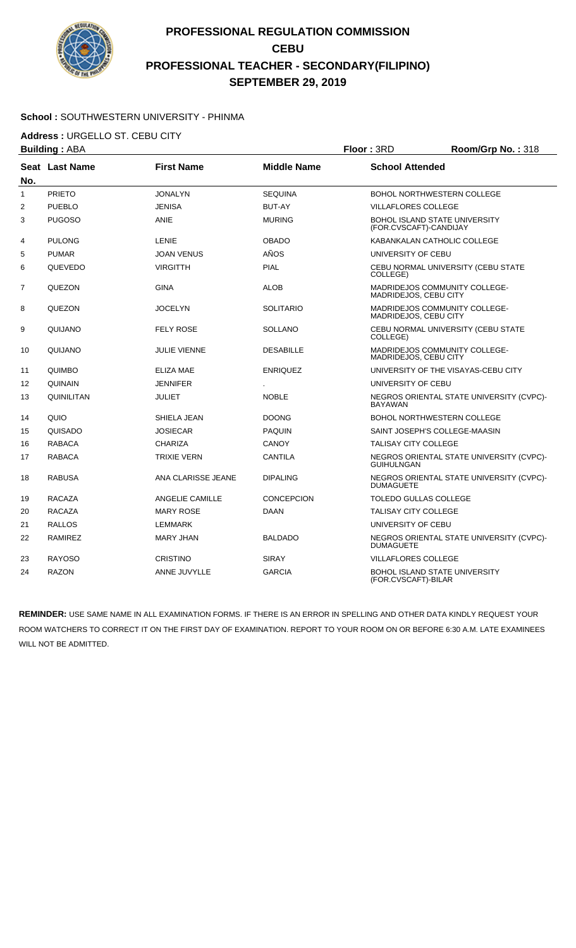

### **School :** SOUTHWESTERN UNIVERSITY - PHINMA

**Address :** URGELLO ST. CEBU CITY

| <b>Building: ABA</b> |                |                     | Floor: 3RD         | Room/Grp No.: 318            |                                          |
|----------------------|----------------|---------------------|--------------------|------------------------------|------------------------------------------|
| No.                  | Seat Last Name | <b>First Name</b>   | <b>Middle Name</b> | <b>School Attended</b>       |                                          |
| $\mathbf{1}$         | <b>PRIETO</b>  | <b>JONALYN</b>      | <b>SEQUINA</b>     |                              | <b>BOHOL NORTHWESTERN COLLEGE</b>        |
| 2                    | <b>PUEBLO</b>  | <b>JENISA</b>       | <b>BUT-AY</b>      | <b>VILLAFLORES COLLEGE</b>   |                                          |
| 3                    | <b>PUGOSO</b>  | <b>ANIE</b>         | <b>MURING</b>      | (FOR.CVSCAFT)-CANDIJAY       | <b>BOHOL ISLAND STATE UNIVERSITY</b>     |
| 4                    | <b>PULONG</b>  | <b>LENIE</b>        | <b>OBADO</b>       |                              | KABANKALAN CATHOLIC COLLEGE              |
| 5                    | <b>PUMAR</b>   | <b>JOAN VENUS</b>   | AÑOS               | UNIVERSITY OF CEBU           |                                          |
| 6                    | <b>QUEVEDO</b> | <b>VIRGITTH</b>     | <b>PIAL</b>        | COLLEGE)                     | CEBU NORMAL UNIVERSITY (CEBU STATE       |
| $\overline{7}$       | QUEZON         | <b>GINA</b>         | <b>ALOB</b>        | MADRIDEJOS, CEBU CITY        | <b>MADRIDEJOS COMMUNITY COLLEGE-</b>     |
| 8                    | QUEZON         | <b>JOCELYN</b>      | <b>SOLITARIO</b>   | <b>MADRIDEJOS, CEBU CITY</b> | <b>MADRIDEJOS COMMUNITY COLLEGE-</b>     |
| 9                    | QUIJANO        | <b>FELY ROSE</b>    | <b>SOLLANO</b>     | COLLEGE)                     | CEBU NORMAL UNIVERSITY (CEBU STATE       |
| 10                   | QUIJANO        | <b>JULIE VIENNE</b> | <b>DESABILLE</b>   | MADRIDEJOS, CEBU CITY        | MADRIDEJOS COMMUNITY COLLEGE-            |
| 11                   | <b>QUIMBO</b>  | ELIZA MAE           | <b>ENRIQUEZ</b>    |                              | UNIVERSITY OF THE VISAYAS-CEBU CITY      |
| 12                   | QUINAIN        | <b>JENNIFER</b>     |                    | UNIVERSITY OF CEBU           |                                          |
| 13                   | QUINILITAN     | <b>JULIET</b>       | <b>NOBLE</b>       | <b>BAYAWAN</b>               | NEGROS ORIENTAL STATE UNIVERSITY (CVPC)- |
| 14                   | QUIO           | SHIELA JEAN         | <b>DOONG</b>       |                              | <b>BOHOL NORTHWESTERN COLLEGE</b>        |
| 15                   | QUISADO        | <b>JOSIECAR</b>     | <b>PAQUIN</b>      |                              | SAINT JOSEPH'S COLLEGE-MAASIN            |
| 16                   | <b>RABACA</b>  | <b>CHARIZA</b>      | <b>CANOY</b>       | <b>TALISAY CITY COLLEGE</b>  |                                          |
| 17                   | <b>RABACA</b>  | <b>TRIXIE VERN</b>  | CANTILA            | <b>GUIHULNGAN</b>            | NEGROS ORIENTAL STATE UNIVERSITY (CVPC)- |
| 18                   | <b>RABUSA</b>  | ANA CLARISSE JEANE  | <b>DIPALING</b>    | <b>DUMAGUETE</b>             | NEGROS ORIENTAL STATE UNIVERSITY (CVPC)- |
| 19                   | <b>RACAZA</b>  | ANGELIE CAMILLE     | <b>CONCEPCION</b>  | <b>TOLEDO GULLAS COLLEGE</b> |                                          |
| 20                   | <b>RACAZA</b>  | <b>MARY ROSE</b>    | DAAN               | <b>TALISAY CITY COLLEGE</b>  |                                          |
| 21                   | <b>RALLOS</b>  | <b>LEMMARK</b>      |                    | UNIVERSITY OF CEBU           |                                          |
| 22                   | <b>RAMIREZ</b> | <b>MARY JHAN</b>    | <b>BALDADO</b>     | <b>DUMAGUETE</b>             | NEGROS ORIENTAL STATE UNIVERSITY (CVPC)- |
| 23                   | <b>RAYOSO</b>  | <b>CRISTINO</b>     | <b>SIRAY</b>       | <b>VILLAFLORES COLLEGE</b>   |                                          |
| 24                   | <b>RAZON</b>   | ANNE JUVYLLE        | <b>GARCIA</b>      | (FOR.CVSCAFT)-BILAR          | <b>BOHOL ISLAND STATE UNIVERSITY</b>     |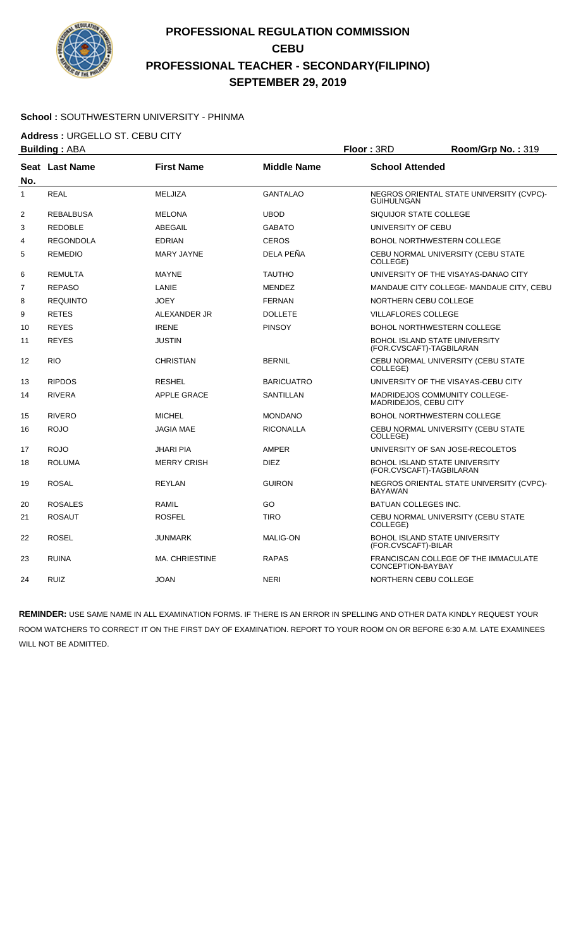

### **School :** SOUTHWESTERN UNIVERSITY - PHINMA

**Address :** URGELLO ST. CEBU CITY

|                | <b>Building: ABA</b> | Floor: 3RD            |                    | Room/Grp No.: 319                                                |                                          |
|----------------|----------------------|-----------------------|--------------------|------------------------------------------------------------------|------------------------------------------|
|                | Seat Last Name       | <b>First Name</b>     | <b>Middle Name</b> | <b>School Attended</b>                                           |                                          |
| No.            |                      |                       |                    |                                                                  |                                          |
| $\mathbf{1}$   | <b>REAL</b>          | MELJIZA               | <b>GANTALAO</b>    | <b>GUIHULNGAN</b>                                                | NEGROS ORIENTAL STATE UNIVERSITY (CVPC)- |
| 2              | <b>REBALBUSA</b>     | <b>MELONA</b>         | <b>UBOD</b>        | SIQUIJOR STATE COLLEGE                                           |                                          |
| 3              | <b>REDOBLE</b>       | ABEGAIL               | GABATO             | UNIVERSITY OF CEBU                                               |                                          |
| 4              | <b>REGONDOLA</b>     | <b>EDRIAN</b>         | <b>CEROS</b>       | <b>BOHOL NORTHWESTERN COLLEGE</b>                                |                                          |
| 5              | <b>REMEDIO</b>       | <b>MARY JAYNE</b>     | DELA PEÑA          | COLLEGE)                                                         | CEBU NORMAL UNIVERSITY (CEBU STATE       |
| 6              | <b>REMULTA</b>       | <b>MAYNE</b>          | <b>TAUTHO</b>      |                                                                  | UNIVERSITY OF THE VISAYAS-DANAO CITY     |
| $\overline{7}$ | <b>REPASO</b>        | LANIE                 | <b>MENDEZ</b>      |                                                                  | MANDAUE CITY COLLEGE- MANDAUE CITY, CEBU |
| 8              | <b>REQUINTO</b>      | <b>JOEY</b>           | <b>FERNAN</b>      | NORTHERN CEBU COLLEGE                                            |                                          |
| 9              | <b>RETES</b>         | ALEXANDER JR          | <b>DOLLETE</b>     | <b>VILLAFLORES COLLEGE</b>                                       |                                          |
| 10             | <b>REYES</b>         | <b>IRENE</b>          | <b>PINSOY</b>      | <b>BOHOL NORTHWESTERN COLLEGE</b>                                |                                          |
| 11             | <b>REYES</b>         | <b>JUSTIN</b>         |                    | <b>BOHOL ISLAND STATE UNIVERSITY</b><br>(FOR.CVSCAFT)-TAGBILARAN |                                          |
| 12             | <b>RIO</b>           | <b>CHRISTIAN</b>      | <b>BERNIL</b>      | COLLEGE)                                                         | CEBU NORMAL UNIVERSITY (CEBU STATE       |
| 13             | <b>RIPDOS</b>        | <b>RESHEL</b>         | <b>BARICUATRO</b>  |                                                                  | UNIVERSITY OF THE VISAYAS-CEBU CITY      |
| 14             | <b>RIVERA</b>        | <b>APPLE GRACE</b>    | <b>SANTILLAN</b>   | MADRIDEJOS COMMUNITY COLLEGE-<br>MADRIDEJOS, CEBU CITY           |                                          |
| 15             | <b>RIVERO</b>        | <b>MICHEL</b>         | <b>MONDANO</b>     | <b>BOHOL NORTHWESTERN COLLEGE</b>                                |                                          |
| 16             | <b>ROJO</b>          | <b>JAGIA MAE</b>      | <b>RICONALLA</b>   | COLLEGE)                                                         | CEBU NORMAL UNIVERSITY (CEBU STATE       |
| 17             | <b>ROJO</b>          | JHARI PIA             | AMPER              | UNIVERSITY OF SAN JOSE-RECOLETOS                                 |                                          |
| 18             | <b>ROLUMA</b>        | <b>MERRY CRISH</b>    | <b>DIEZ</b>        | <b>BOHOL ISLAND STATE UNIVERSITY</b><br>(FOR.CVSCAFT)-TAGBILARAN |                                          |
| 19             | <b>ROSAL</b>         | <b>REYLAN</b>         | <b>GUIRON</b>      | <b>BAYAWAN</b>                                                   | NEGROS ORIENTAL STATE UNIVERSITY (CVPC)- |
| 20             | <b>ROSALES</b>       | <b>RAMIL</b>          | GO                 | <b>BATUAN COLLEGES INC.</b>                                      |                                          |
| 21             | <b>ROSAUT</b>        | <b>ROSFEL</b>         | <b>TIRO</b>        | COLLEGE)                                                         | CEBU NORMAL UNIVERSITY (CEBU STATE       |
| 22             | <b>ROSEL</b>         | JUNMARK               | <b>MALIG-ON</b>    | <b>BOHOL ISLAND STATE UNIVERSITY</b><br>(FOR.CVSCAFT)-BILAR      |                                          |
| 23             | <b>RUINA</b>         | <b>MA. CHRIESTINE</b> | <b>RAPAS</b>       | CONCEPTION-BAYBAY                                                | FRANCISCAN COLLEGE OF THE IMMACULATE     |
| 24             | <b>RUIZ</b>          | <b>JOAN</b>           | <b>NERI</b>        | NORTHERN CEBU COLLEGE                                            |                                          |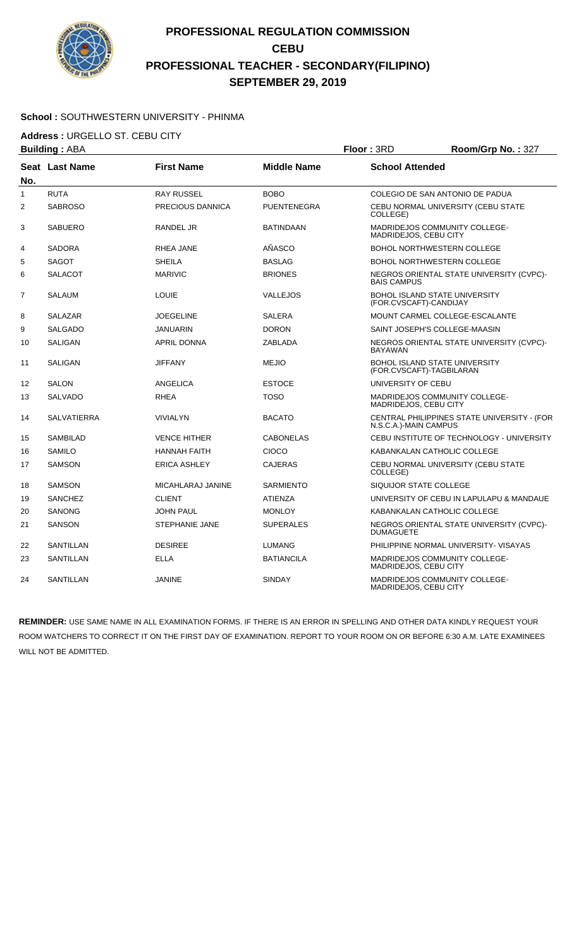

#### **School :** SOUTHWESTERN UNIVERSITY - PHINMA

**Address :** URGELLO ST. CEBU CITY

|                | <b>Building: ABA</b> |                       |                    | Floor: 3RD                   | Room/Grp No.: 327                           |
|----------------|----------------------|-----------------------|--------------------|------------------------------|---------------------------------------------|
| No.            | Seat Last Name       | <b>First Name</b>     | <b>Middle Name</b> | <b>School Attended</b>       |                                             |
| $\mathbf{1}$   | <b>RUTA</b>          | <b>RAY RUSSEL</b>     | <b>BOBO</b>        |                              | COLEGIO DE SAN ANTONIO DE PADUA             |
| $\overline{2}$ | <b>SABROSO</b>       | PRECIOUS DANNICA      | <b>PUENTENEGRA</b> | COLLEGE)                     | CEBU NORMAL UNIVERSITY (CEBU STATE          |
| 3              | <b>SABUERO</b>       | <b>RANDEL JR</b>      | <b>BATINDAAN</b>   | <b>MADRIDEJOS, CEBU CITY</b> | <b>MADRIDEJOS COMMUNITY COLLEGE-</b>        |
| 4              | <b>SADORA</b>        | RHEA JANE             | AÑASCO             |                              | <b>BOHOL NORTHWESTERN COLLEGE</b>           |
| 5              | SAGOT                | <b>SHEILA</b>         | <b>BASLAG</b>      |                              | <b>BOHOL NORTHWESTERN COLLEGE</b>           |
| 6              | <b>SALACOT</b>       | <b>MARIVIC</b>        | <b>BRIONES</b>     | <b>BAIS CAMPUS</b>           | NEGROS ORIENTAL STATE UNIVERSITY (CVPC)-    |
| 7              | SALAUM               | LOUIE                 | <b>VALLEJOS</b>    | (FOR.CVSCAFT)-CANDIJAY       | <b>BOHOL ISLAND STATE UNIVERSITY</b>        |
| 8              | <b>SALAZAR</b>       | <b>JOEGELINE</b>      | <b>SALERA</b>      |                              | MOUNT CARMEL COLLEGE-ESCALANTE              |
| 9              | <b>SALGADO</b>       | <b>JANUARIN</b>       | <b>DORON</b>       |                              | SAINT JOSEPH'S COLLEGE-MAASIN               |
| 10             | <b>SALIGAN</b>       | <b>APRIL DONNA</b>    | <b>ZABLADA</b>     | <b>BAYAWAN</b>               | NEGROS ORIENTAL STATE UNIVERSITY (CVPC)-    |
| 11             | SALIGAN              | <b>JIFFANY</b>        | <b>MEJIO</b>       | (FOR.CVSCAFT)-TAGBILARAN     | <b>BOHOL ISLAND STATE UNIVERSITY</b>        |
| 12             | <b>SALON</b>         | <b>ANGELICA</b>       | <b>ESTOCE</b>      | UNIVERSITY OF CEBU           |                                             |
| 13             | <b>SALVADO</b>       | <b>RHEA</b>           | <b>TOSO</b>        | MADRIDEJOS, CEBU CITY        | <b>MADRIDEJOS COMMUNITY COLLEGE-</b>        |
| 14             | <b>SALVATIERRA</b>   | <b>VIVIALYN</b>       | <b>BACATO</b>      | N.S.C.A.)-MAIN CAMPUS        | CENTRAL PHILIPPINES STATE UNIVERSITY - (FOR |
| 15             | <b>SAMBILAD</b>      | <b>VENCE HITHER</b>   | <b>CABONELAS</b>   |                              | CEBU INSTITUTE OF TECHNOLOGY - UNIVERSITY   |
| 16             | <b>SAMILO</b>        | <b>HANNAH FAITH</b>   | CIOCO              |                              | KABANKALAN CATHOLIC COLLEGE                 |
| 17             | <b>SAMSON</b>        | <b>ERICA ASHLEY</b>   | <b>CAJERAS</b>     | COLLEGE)                     | CEBU NORMAL UNIVERSITY (CEBU STATE          |
| 18             | <b>SAMSON</b>        | MICAHLARAJ JANINE     | <b>SARMIENTO</b>   | SIQUIJOR STATE COLLEGE       |                                             |
| 19             | <b>SANCHEZ</b>       | <b>CLIENT</b>         | <b>ATIENZA</b>     |                              | UNIVERSITY OF CEBU IN LAPULAPU & MANDAUE    |
| 20             | <b>SANONG</b>        | <b>JOHN PAUL</b>      | <b>MONLOY</b>      |                              | KABANKALAN CATHOLIC COLLEGE                 |
| 21             | <b>SANSON</b>        | <b>STEPHANIE JANE</b> | <b>SUPERALES</b>   | <b>DUMAGUETE</b>             | NEGROS ORIENTAL STATE UNIVERSITY (CVPC)-    |
| 22             | SANTILLAN            | <b>DESIREE</b>        | <b>LUMANG</b>      |                              | PHILIPPINE NORMAL UNIVERSITY- VISAYAS       |
| 23             | SANTILLAN            | ELLA                  | <b>BATIANCILA</b>  | MADRIDEJOS, CEBU CITY        | MADRIDEJOS COMMUNITY COLLEGE-               |
| 24             | SANTILLAN            | <b>JANINE</b>         | <b>SINDAY</b>      | MADRIDEJOS, CEBU CITY        | MADRIDEJOS COMMUNITY COLLEGE-               |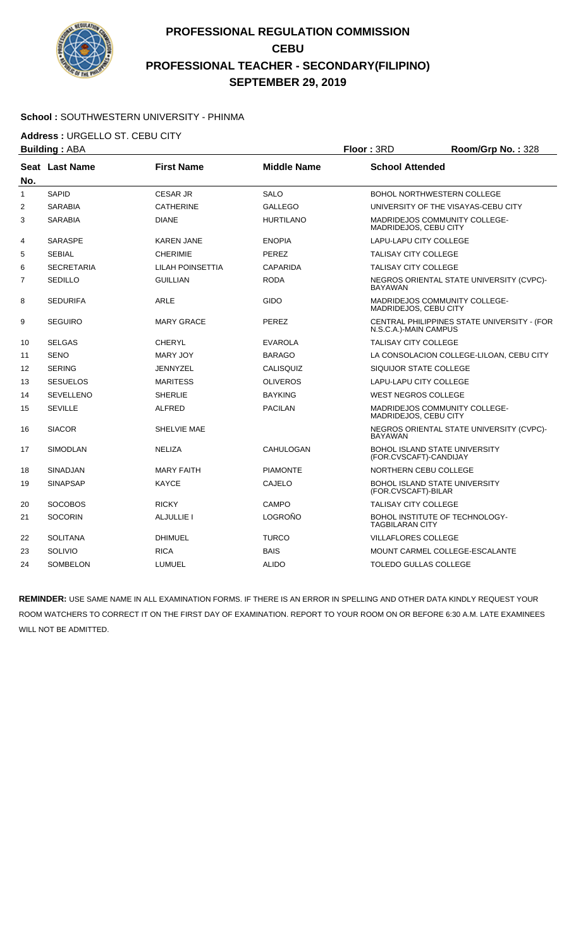

#### **School :** SOUTHWESTERN UNIVERSITY - PHINMA

**Address :** URGELLO ST. CEBU CITY

|              | <b>Building: ABA</b>  |                   | Floor: 3RD         | Room/Grp No.: 328                        |                                             |
|--------------|-----------------------|-------------------|--------------------|------------------------------------------|---------------------------------------------|
| No.          | <b>Seat Last Name</b> | <b>First Name</b> | <b>Middle Name</b> | <b>School Attended</b>                   |                                             |
| $\mathbf{1}$ | <b>SAPID</b>          | <b>CESAR JR</b>   | <b>SALO</b>        |                                          | <b>BOHOL NORTHWESTERN COLLEGE</b>           |
| 2            | <b>SARABIA</b>        | <b>CATHERINE</b>  | <b>GALLEGO</b>     |                                          | UNIVERSITY OF THE VISAYAS-CEBU CITY         |
| 3            | <b>SARABIA</b>        | <b>DIANE</b>      | <b>HURTILANO</b>   | MADRIDEJOS, CEBU CITY                    | MADRIDEJOS COMMUNITY COLLEGE-               |
| 4            | <b>SARASPE</b>        | <b>KAREN JANE</b> | <b>ENOPIA</b>      | LAPU-LAPU CITY COLLEGE                   |                                             |
| 5            | <b>SEBIAL</b>         | <b>CHERIMIE</b>   | <b>PEREZ</b>       | <b>TALISAY CITY COLLEGE</b>              |                                             |
| 6            | <b>SECRETARIA</b>     | LILAH POINSETTIA  | <b>CAPARIDA</b>    | <b>TALISAY CITY COLLEGE</b>              |                                             |
| 7            | <b>SEDILLO</b>        | <b>GUILLIAN</b>   | <b>RODA</b>        | <b>BAYAWAN</b>                           | NEGROS ORIENTAL STATE UNIVERSITY (CVPC)-    |
| 8            | <b>SEDURIFA</b>       | <b>ARLE</b>       | <b>GIDO</b>        | MADRIDEJOS, CEBU CITY                    | <b>MADRIDEJOS COMMUNITY COLLEGE-</b>        |
| 9            | <b>SEGUIRO</b>        | <b>MARY GRACE</b> | <b>PEREZ</b>       | N.S.C.A.)-MAIN CAMPUS                    | CENTRAL PHILIPPINES STATE UNIVERSITY - (FOR |
| 10           | <b>SELGAS</b>         | <b>CHERYL</b>     | <b>EVAROLA</b>     | <b>TALISAY CITY COLLEGE</b>              |                                             |
| 11           | <b>SENO</b>           | <b>MARY JOY</b>   | <b>BARAGO</b>      | LA CONSOLACION COLLEGE-LILOAN, CEBU CITY |                                             |
| 12           | <b>SERING</b>         | <b>JENNYZEL</b>   | CALISQUIZ          | SIQUIJOR STATE COLLEGE                   |                                             |
| 13           | <b>SESUELOS</b>       | <b>MARITESS</b>   | <b>OLIVEROS</b>    | <b>LAPU-LAPU CITY COLLEGE</b>            |                                             |
| 14           | <b>SEVELLENO</b>      | <b>SHERLIE</b>    | <b>BAYKING</b>     | <b>WEST NEGROS COLLEGE</b>               |                                             |
| 15           | <b>SEVILLE</b>        | <b>ALFRED</b>     | <b>PACILAN</b>     | MADRIDEJOS, CEBU CITY                    | MADRIDEJOS COMMUNITY COLLEGE-               |
| 16           | <b>SIACOR</b>         | SHELVIE MAE       |                    | <b>BAYAWAN</b>                           | NEGROS ORIENTAL STATE UNIVERSITY (CVPC)-    |
| 17           | <b>SIMODLAN</b>       | <b>NELIZA</b>     | CAHULOGAN          | (FOR.CVSCAFT)-CANDIJAY                   | <b>BOHOL ISLAND STATE UNIVERSITY</b>        |
| 18           | <b>SINADJAN</b>       | <b>MARY FAITH</b> | <b>PIAMONTE</b>    | NORTHERN CEBU COLLEGE                    |                                             |
| 19           | <b>SINAPSAP</b>       | <b>KAYCE</b>      | <b>CAJELO</b>      | (FOR.CVSCAFT)-BILAR                      | BOHOL ISLAND STATE UNIVERSITY               |
| 20           | <b>SOCOBOS</b>        | <b>RICKY</b>      | <b>CAMPO</b>       | <b>TALISAY CITY COLLEGE</b>              |                                             |
| 21           | <b>SOCORIN</b>        | ALJULLIE I        | LOGROÑO            | <b>TAGBILARAN CITY</b>                   | BOHOL INSTITUTE OF TECHNOLOGY-              |
| 22           | <b>SOLITANA</b>       | <b>DHIMUEL</b>    | <b>TURCO</b>       | <b>VILLAFLORES COLLEGE</b>               |                                             |
| 23           | SOLIVIO               | <b>RICA</b>       | <b>BAIS</b>        |                                          | MOUNT CARMEL COLLEGE-ESCALANTE              |
| 24           | <b>SOMBELON</b>       | LUMUEL            | <b>ALIDO</b>       | <b>TOLEDO GULLAS COLLEGE</b>             |                                             |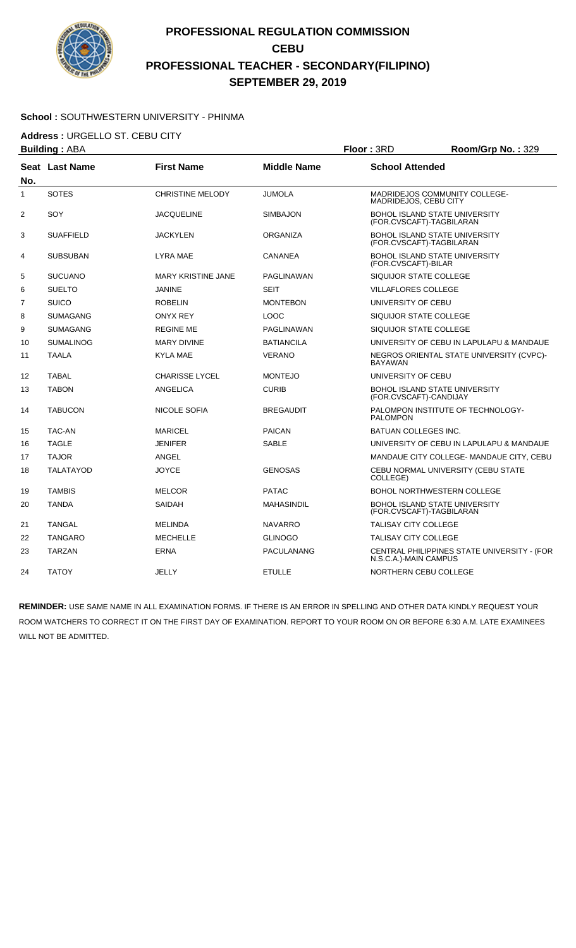

### **School :** SOUTHWESTERN UNIVERSITY - PHINMA

**Address :** URGELLO ST. CEBU CITY

|                | <b>Building: ABA</b> |                           | Floor: 3RD         | Room/Grp No.: 329            |                                             |
|----------------|----------------------|---------------------------|--------------------|------------------------------|---------------------------------------------|
| No.            | Seat Last Name       | <b>First Name</b>         | <b>Middle Name</b> | <b>School Attended</b>       |                                             |
| $\mathbf{1}$   | <b>SOTES</b>         | <b>CHRISTINE MELODY</b>   | <b>JUMOLA</b>      | MADRIDEJOS, CEBU CITY        | MADRIDEJOS COMMUNITY COLLEGE-               |
| $\overline{2}$ | SOY                  | <b>JACQUELINE</b>         | <b>SIMBAJON</b>    | (FOR.CVSCAFT)-TAGBILARAN     | <b>BOHOL ISLAND STATE UNIVERSITY</b>        |
| 3              | <b>SUAFFIELD</b>     | <b>JACKYLEN</b>           | <b>ORGANIZA</b>    | (FOR.CVSCAFT)-TAGBILARAN     | BOHOL ISLAND STATE UNIVERSITY               |
| 4              | <b>SUBSUBAN</b>      | LYRA MAE                  | <b>CANANEA</b>     | (FOR.CVSCAFT)-BILAR          | BOHOL ISLAND STATE UNIVERSITY               |
| 5              | <b>SUCUANO</b>       | <b>MARY KRISTINE JANE</b> | PAGLINAWAN         | SIQUIJOR STATE COLLEGE       |                                             |
| 6              | <b>SUELTO</b>        | <b>JANINE</b>             | <b>SEIT</b>        | <b>VILLAFLORES COLLEGE</b>   |                                             |
| $\overline{7}$ | <b>SUICO</b>         | <b>ROBELIN</b>            | <b>MONTEBON</b>    | UNIVERSITY OF CEBU           |                                             |
| 8              | <b>SUMAGANG</b>      | <b>ONYX REY</b>           | <b>LOOC</b>        | SIQUIJOR STATE COLLEGE       |                                             |
| 9              | <b>SUMAGANG</b>      | <b>REGINE ME</b>          | PAGLINAWAN         | SIQUIJOR STATE COLLEGE       |                                             |
| 10             | <b>SUMALINOG</b>     | <b>MARY DIVINE</b>        | <b>BATIANCILA</b>  |                              | UNIVERSITY OF CEBU IN LAPULAPU & MANDAUE    |
| 11             | <b>TAALA</b>         | <b>KYLA MAE</b>           | <b>VERANO</b>      | <b>BAYAWAN</b>               | NEGROS ORIENTAL STATE UNIVERSITY (CVPC)-    |
| 12             | <b>TABAL</b>         | <b>CHARISSE LYCEL</b>     | <b>MONTEJO</b>     | UNIVERSITY OF CEBU           |                                             |
| 13             | <b>TABON</b>         | ANGELICA                  | <b>CURIB</b>       | (FOR.CVSCAFT)-CANDIJAY       | <b>BOHOL ISLAND STATE UNIVERSITY</b>        |
| 14             | <b>TABUCON</b>       | NICOLE SOFIA              | <b>BREGAUDIT</b>   | <b>PALOMPON</b>              | PALOMPON INSTITUTE OF TECHNOLOGY-           |
| 15             | <b>TAC-AN</b>        | <b>MARICEL</b>            | <b>PAICAN</b>      | <b>BATUAN COLLEGES INC.</b>  |                                             |
| 16             | <b>TAGLE</b>         | <b>JENIFER</b>            | <b>SABLE</b>       |                              | UNIVERSITY OF CEBU IN LAPULAPU & MANDAUE    |
| 17             | <b>TAJOR</b>         | ANGEL                     |                    |                              | MANDAUE CITY COLLEGE- MANDAUE CITY, CEBU    |
| 18             | <b>TALATAYOD</b>     | <b>JOYCE</b>              | <b>GENOSAS</b>     | COLLEGE)                     | CEBU NORMAL UNIVERSITY (CEBU STATE          |
| 19             | <b>TAMBIS</b>        | <b>MELCOR</b>             | <b>PATAC</b>       |                              | <b>BOHOL NORTHWESTERN COLLEGE</b>           |
| 20             | <b>TANDA</b>         | <b>SAIDAH</b>             | <b>MAHASINDIL</b>  | (FOR.CVSCAFT)-TAGBILARAN     | BOHOL ISLAND STATE UNIVERSITY               |
| 21             | <b>TANGAL</b>        | <b>MELINDA</b>            | <b>NAVARRO</b>     | <b>TALISAY CITY COLLEGE</b>  |                                             |
| 22             | <b>TANGARO</b>       | <b>MECHELLE</b>           | <b>GLINOGO</b>     | TALISAY CITY COLLEGE         |                                             |
| 23             | <b>TARZAN</b>        | <b>ERNA</b>               | <b>PACULANANG</b>  | N.S.C.A.)-MAIN CAMPUS        | CENTRAL PHILIPPINES STATE UNIVERSITY - (FOR |
| 24             | <b>TATOY</b>         | <b>JELLY</b>              | <b>ETULLE</b>      | <b>NORTHERN CEBU COLLEGE</b> |                                             |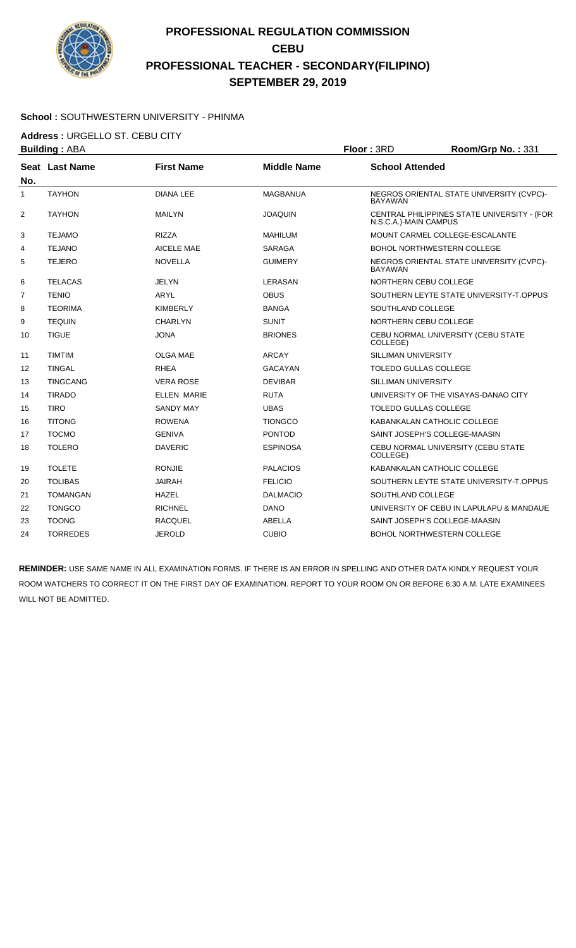

#### **School :** SOUTHWESTERN UNIVERSITY - PHINMA

**Address :** URGELLO ST. CEBU CITY

| <b>Building: ABA</b> |                       |                   | Floor: 3RD         | Room/Grp No.: 331            |                                             |
|----------------------|-----------------------|-------------------|--------------------|------------------------------|---------------------------------------------|
| No.                  | <b>Seat Last Name</b> | <b>First Name</b> | <b>Middle Name</b> | <b>School Attended</b>       |                                             |
| 1                    | <b>TAYHON</b>         | <b>DIANA LEE</b>  | <b>MAGBANUA</b>    | <b>BAYAWAN</b>               | NEGROS ORIENTAL STATE UNIVERSITY (CVPC)-    |
| 2                    | <b>TAYHON</b>         | <b>MAILYN</b>     | <b>JOAQUIN</b>     | N.S.C.A.)-MAIN CAMPUS        | CENTRAL PHILIPPINES STATE UNIVERSITY - (FOR |
| 3                    | <b>TEJAMO</b>         | <b>RIZZA</b>      | <b>MAHILUM</b>     |                              | MOUNT CARMEL COLLEGE-ESCALANTE              |
| 4                    | <b>TEJANO</b>         | <b>AICELE MAE</b> | <b>SARAGA</b>      |                              | <b>BOHOL NORTHWESTERN COLLEGE</b>           |
| 5                    | <b>TEJERO</b>         | <b>NOVELLA</b>    | <b>GUIMERY</b>     | <b>BAYAWAN</b>               | NEGROS ORIENTAL STATE UNIVERSITY (CVPC)-    |
| 6                    | <b>TELACAS</b>        | <b>JELYN</b>      | LERASAN            | NORTHERN CEBU COLLEGE        |                                             |
| 7                    | <b>TENIO</b>          | ARYL              | <b>OBUS</b>        |                              | SOUTHERN LEYTE STATE UNIVERSITY-T.OPPUS     |
| 8                    | <b>TEORIMA</b>        | <b>KIMBERLY</b>   | <b>BANGA</b>       | SOUTHLAND COLLEGE            |                                             |
| 9                    | <b>TEQUIN</b>         | <b>CHARLYN</b>    | <b>SUNIT</b>       | NORTHERN CEBU COLLEGE        |                                             |
| 10                   | <b>TIGUE</b>          | <b>JONA</b>       | <b>BRIONES</b>     | COLLEGE)                     | CEBU NORMAL UNIVERSITY (CEBU STATE          |
| 11                   | <b>TIMTIM</b>         | <b>OLGA MAE</b>   | <b>ARCAY</b>       | SILLIMAN UNIVERSITY          |                                             |
| 12                   | <b>TINGAL</b>         | <b>RHEA</b>       | <b>GACAYAN</b>     | <b>TOLEDO GULLAS COLLEGE</b> |                                             |
| 13                   | <b>TINGCANG</b>       | <b>VERA ROSE</b>  | <b>DEVIBAR</b>     | SILLIMAN UNIVERSITY          |                                             |
| 14                   | <b>TIRADO</b>         | ELLEN MARIE       | <b>RUTA</b>        |                              | UNIVERSITY OF THE VISAYAS-DANAO CITY        |
| 15                   | <b>TIRO</b>           | <b>SANDY MAY</b>  | <b>UBAS</b>        | <b>TOLEDO GULLAS COLLEGE</b> |                                             |
| 16                   | <b>TITONG</b>         | <b>ROWENA</b>     | <b>TIONGCO</b>     |                              | KABANKALAN CATHOLIC COLLEGE                 |
| 17                   | <b>TOCMO</b>          | <b>GENIVA</b>     | <b>PONTOD</b>      |                              | SAINT JOSEPH'S COLLEGE-MAASIN               |
| 18                   | <b>TOLERO</b>         | <b>DAVERIC</b>    | <b>ESPINOSA</b>    | COLLEGE)                     | CEBU NORMAL UNIVERSITY (CEBU STATE          |
| 19                   | <b>TOLETE</b>         | <b>RONJIE</b>     | <b>PALACIOS</b>    |                              | KABANKALAN CATHOLIC COLLEGE                 |
| 20                   | <b>TOLIBAS</b>        | <b>JAIRAH</b>     | <b>FELICIO</b>     |                              | SOUTHERN LEYTE STATE UNIVERSITY-T.OPPUS     |
| 21                   | <b>TOMANGAN</b>       | <b>HAZEL</b>      | <b>DALMACIO</b>    | SOUTHLAND COLLEGE            |                                             |
| 22                   | <b>TONGCO</b>         | <b>RICHNEL</b>    | <b>DANO</b>        |                              | UNIVERSITY OF CEBU IN LAPULAPU & MANDAUE    |
| 23                   | <b>TOONG</b>          | <b>RACQUEL</b>    | <b>ABELLA</b>      |                              | SAINT JOSEPH'S COLLEGE-MAASIN               |
| 24                   | <b>TORREDES</b>       | <b>JEROLD</b>     | <b>CUBIO</b>       |                              | <b>BOHOL NORTHWESTERN COLLEGE</b>           |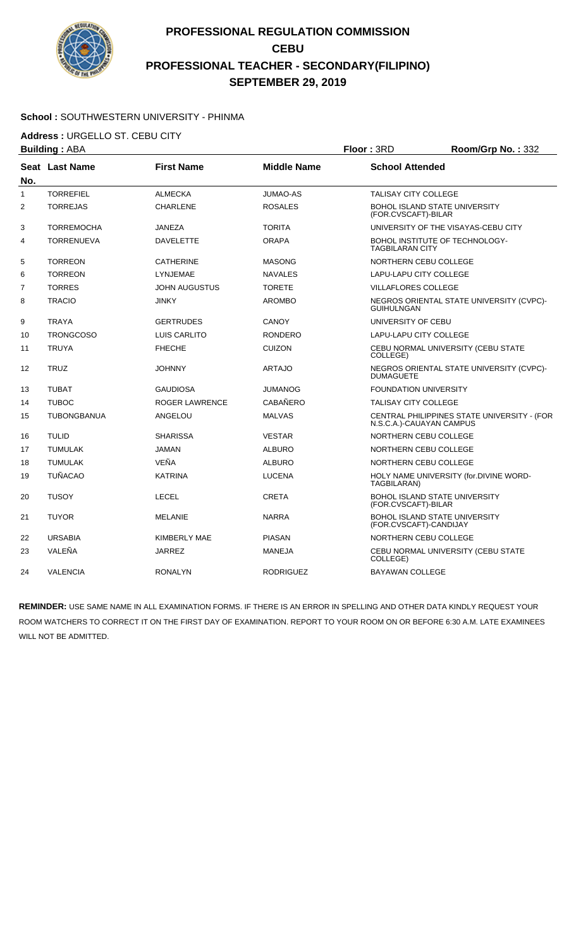

#### **School :** SOUTHWESTERN UNIVERSITY - PHINMA

**Address :** URGELLO ST. CEBU CITY

|     | <b>Building: ABA</b> |                      |                    | Floor: 3RD                                                     | Room/Grp No.: 332                           |
|-----|----------------------|----------------------|--------------------|----------------------------------------------------------------|---------------------------------------------|
| No. | Seat Last Name       | <b>First Name</b>    | <b>Middle Name</b> | <b>School Attended</b>                                         |                                             |
| 1   | <b>TORREFIEL</b>     | <b>ALMECKA</b>       | JUMAO-AS           | <b>TALISAY CITY COLLEGE</b>                                    |                                             |
| 2   | <b>TORREJAS</b>      | <b>CHARLENE</b>      | <b>ROSALES</b>     | <b>BOHOL ISLAND STATE UNIVERSITY</b><br>(FOR.CVSCAFT)-BILAR    |                                             |
| 3   | <b>TORREMOCHA</b>    | <b>JANEZA</b>        | <b>TORITA</b>      |                                                                | UNIVERSITY OF THE VISAYAS-CEBU CITY         |
| 4   | <b>TORRENUEVA</b>    | <b>DAVELETTE</b>     | <b>ORAPA</b>       | BOHOL INSTITUTE OF TECHNOLOGY-<br><b>TAGBILARAN CITY</b>       |                                             |
| 5   | <b>TORREON</b>       | <b>CATHERINE</b>     | <b>MASONG</b>      | NORTHERN CEBU COLLEGE                                          |                                             |
| 6   | <b>TORREON</b>       | LYNJEMAE             | <b>NAVALES</b>     | LAPU-LAPU CITY COLLEGE                                         |                                             |
| 7   | <b>TORRES</b>        | <b>JOHN AUGUSTUS</b> | <b>TORETE</b>      | <b>VILLAFLORES COLLEGE</b>                                     |                                             |
| 8   | <b>TRACIO</b>        | <b>JINKY</b>         | <b>AROMBO</b>      | <b>GUIHULNGAN</b>                                              | NEGROS ORIENTAL STATE UNIVERSITY (CVPC)-    |
| 9   | <b>TRAYA</b>         | <b>GERTRUDES</b>     | CANOY              | UNIVERSITY OF CEBU                                             |                                             |
| 10  | <b>TRONGCOSO</b>     | LUIS CARLITO         | <b>RONDERO</b>     | LAPU-LAPU CITY COLLEGE                                         |                                             |
| 11  | <b>TRUYA</b>         | <b>FHECHE</b>        | <b>CUIZON</b>      | COLLEGE)                                                       | CEBU NORMAL UNIVERSITY (CEBU STATE          |
| 12  | <b>TRUZ</b>          | <b>JOHNNY</b>        | <b>ARTAJO</b>      | <b>DUMAGUETE</b>                                               | NEGROS ORIENTAL STATE UNIVERSITY (CVPC)-    |
| 13  | <b>TUBAT</b>         | <b>GAUDIOSA</b>      | <b>JUMANOG</b>     | <b>FOUNDATION UNIVERSITY</b>                                   |                                             |
| 14  | <b>TUBOC</b>         | ROGER LAWRENCE       | CABAÑERO           | <b>TALISAY CITY COLLEGE</b>                                    |                                             |
| 15  | <b>TUBONGBANUA</b>   | ANGELOU              | <b>MALVAS</b>      | N.S.C.A.)-CAUAYAN CAMPUS                                       | CENTRAL PHILIPPINES STATE UNIVERSITY - (FOR |
| 16  | <b>TULID</b>         | <b>SHARISSA</b>      | <b>VESTAR</b>      | NORTHERN CEBU COLLEGE                                          |                                             |
| 17  | <b>TUMULAK</b>       | <b>JAMAN</b>         | <b>ALBURO</b>      | NORTHERN CEBU COLLEGE                                          |                                             |
| 18  | <b>TUMULAK</b>       | VEÑA                 | <b>ALBURO</b>      | <b>NORTHERN CEBU COLLEGE</b>                                   |                                             |
| 19  | <b>TUÑACAO</b>       | <b>KATRINA</b>       | <b>LUCENA</b>      | TAGBILARAN)                                                    | HOLY NAME UNIVERSITY (for.DIVINE WORD-      |
| 20  | <b>TUSOY</b>         | <b>LECEL</b>         | <b>CRETA</b>       | <b>BOHOL ISLAND STATE UNIVERSITY</b><br>(FOR.CVSCAFT)-BILAR    |                                             |
| 21  | <b>TUYOR</b>         | <b>MELANIE</b>       | <b>NARRA</b>       | <b>BOHOL ISLAND STATE UNIVERSITY</b><br>(FOR.CVSCAFT)-CANDIJAY |                                             |
| 22  | <b>URSABIA</b>       | KIMBERLY MAE         | <b>PIASAN</b>      | NORTHERN CEBU COLLEGE                                          |                                             |
| 23  | VALEÑA               | <b>JARREZ</b>        | <b>MANEJA</b>      | COLLEGE)                                                       | CEBU NORMAL UNIVERSITY (CEBU STATE          |
| 24  | <b>VALENCIA</b>      | <b>RONALYN</b>       | <b>RODRIGUEZ</b>   | <b>BAYAWAN COLLEGE</b>                                         |                                             |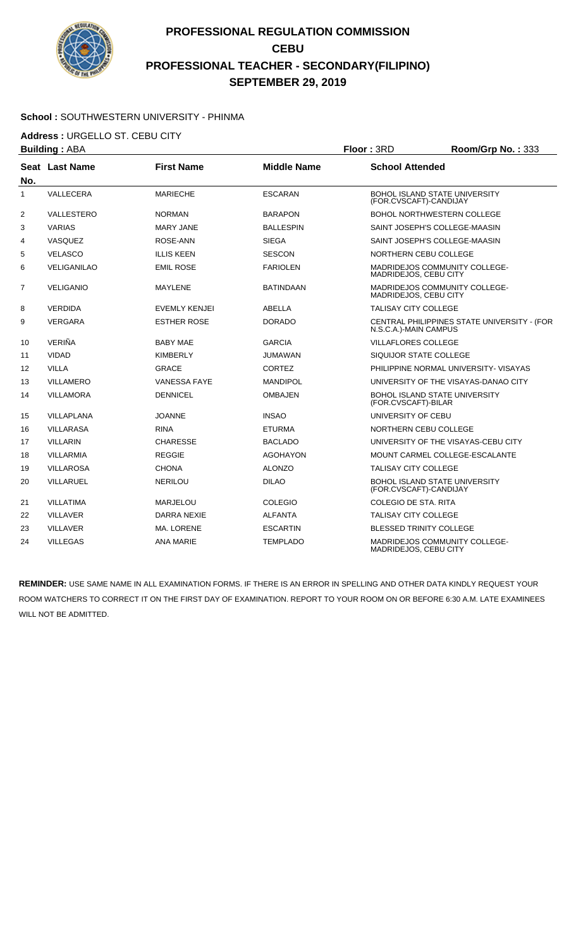

#### **School :** SOUTHWESTERN UNIVERSITY - PHINMA

**Address :** URGELLO ST. CEBU CITY

|                     | <b>Building: ABA</b> |                      |                    | Floor: 3RD                  | Room/Grp No.: 333                           |
|---------------------|----------------------|----------------------|--------------------|-----------------------------|---------------------------------------------|
|                     | Seat Last Name       | <b>First Name</b>    | <b>Middle Name</b> | <b>School Attended</b>      |                                             |
| No.<br>$\mathbf{1}$ | VALLECERA            | <b>MARIECHE</b>      | <b>ESCARAN</b>     | (FOR.CVSCAFT)-CANDIJAY      | <b>BOHOL ISLAND STATE UNIVERSITY</b>        |
| 2                   | VALLESTERO           | <b>NORMAN</b>        | <b>BARAPON</b>     |                             | BOHOL NORTHWESTERN COLLEGE                  |
| 3                   | <b>VARIAS</b>        | <b>MARY JANE</b>     | <b>BALLESPIN</b>   |                             | SAINT JOSEPH'S COLLEGE-MAASIN               |
| 4                   | VASQUEZ              | ROSE-ANN             | <b>SIEGA</b>       |                             | SAINT JOSEPH'S COLLEGE-MAASIN               |
| 5                   | VELASCO              | <b>ILLIS KEEN</b>    | <b>SESCON</b>      |                             | NORTHERN CEBU COLLEGE                       |
| 6                   | <b>VELIGANILAO</b>   | <b>EMIL ROSE</b>     | FARIOLEN           | MADRIDEJOS, CEBU CITY       | MADRIDEJOS COMMUNITY COLLEGE-               |
| $\overline{7}$      | <b>VELIGANIO</b>     | MAYLENE              | <b>BATINDAAN</b>   | MADRIDEJOS, CEBU CITY       | <b>MADRIDEJOS COMMUNITY COLLEGE-</b>        |
| 8                   | <b>VERDIDA</b>       | <b>EVEMLY KENJEI</b> | ABELLA             | <b>TALISAY CITY COLLEGE</b> |                                             |
| 9                   | <b>VERGARA</b>       | <b>ESTHER ROSE</b>   | <b>DORADO</b>      | N.S.C.A.)-MAIN CAMPUS       | CENTRAL PHILIPPINES STATE UNIVERSITY - (FOR |
| 10                  | VERIÑA               | <b>BABY MAE</b>      | <b>GARCIA</b>      | <b>VILLAFLORES COLLEGE</b>  |                                             |
| 11                  | <b>VIDAD</b>         | <b>KIMBERLY</b>      | JUMAWAN            | SIQUIJOR STATE COLLEGE      |                                             |
| $12 \overline{ }$   | <b>VILLA</b>         | <b>GRACE</b>         | <b>CORTEZ</b>      |                             | PHILIPPINE NORMAL UNIVERSITY- VISAYAS       |
| 13                  | <b>VILLAMERO</b>     | <b>VANESSA FAYE</b>  | <b>MANDIPOL</b>    |                             | UNIVERSITY OF THE VISAYAS-DANAO CITY        |
| 14                  | <b>VILLAMORA</b>     | <b>DENNICEL</b>      | <b>OMBAJEN</b>     | (FOR.CVSCAFT)-BILAR         | <b>BOHOL ISLAND STATE UNIVERSITY</b>        |
| 15                  | <b>VILLAPLANA</b>    | <b>JOANNE</b>        | <b>INSAO</b>       | UNIVERSITY OF CEBU          |                                             |
| 16                  | <b>VILLARASA</b>     | <b>RINA</b>          | <b>ETURMA</b>      |                             | NORTHERN CEBU COLLEGE                       |
| 17                  | <b>VILLARIN</b>      | <b>CHARESSE</b>      | <b>BACLADO</b>     |                             | UNIVERSITY OF THE VISAYAS-CEBU CITY         |
| 18                  | <b>VILLARMIA</b>     | <b>REGGIE</b>        | <b>AGOHAYON</b>    |                             | MOUNT CARMEL COLLEGE-ESCALANTE              |
| 19                  | <b>VILLAROSA</b>     | <b>CHONA</b>         | <b>ALONZO</b>      | <b>TALISAY CITY COLLEGE</b> |                                             |
| 20                  | VILLARUEL            | <b>NERILOU</b>       | <b>DILAO</b>       | (FOR.CVSCAFT)-CANDIJAY      | <b>BOHOL ISLAND STATE UNIVERSITY</b>        |
| 21                  | <b>VILLATIMA</b>     | <b>MARJELOU</b>      | <b>COLEGIO</b>     | COLEGIO DE STA, RITA        |                                             |
| 22                  | <b>VILLAVER</b>      | DARRA NEXIE          | <b>ALFANTA</b>     | <b>TALISAY CITY COLLEGE</b> |                                             |
| 23                  | <b>VILLAVER</b>      | <b>MA. LORENE</b>    | <b>ESCARTIN</b>    |                             | <b>BLESSED TRINITY COLLEGE</b>              |
| 24                  | <b>VILLEGAS</b>      | <b>ANA MARIE</b>     | <b>TEMPLADO</b>    | MADRIDEJOS, CEBU CITY       | <b>MADRIDEJOS COMMUNITY COLLEGE-</b>        |